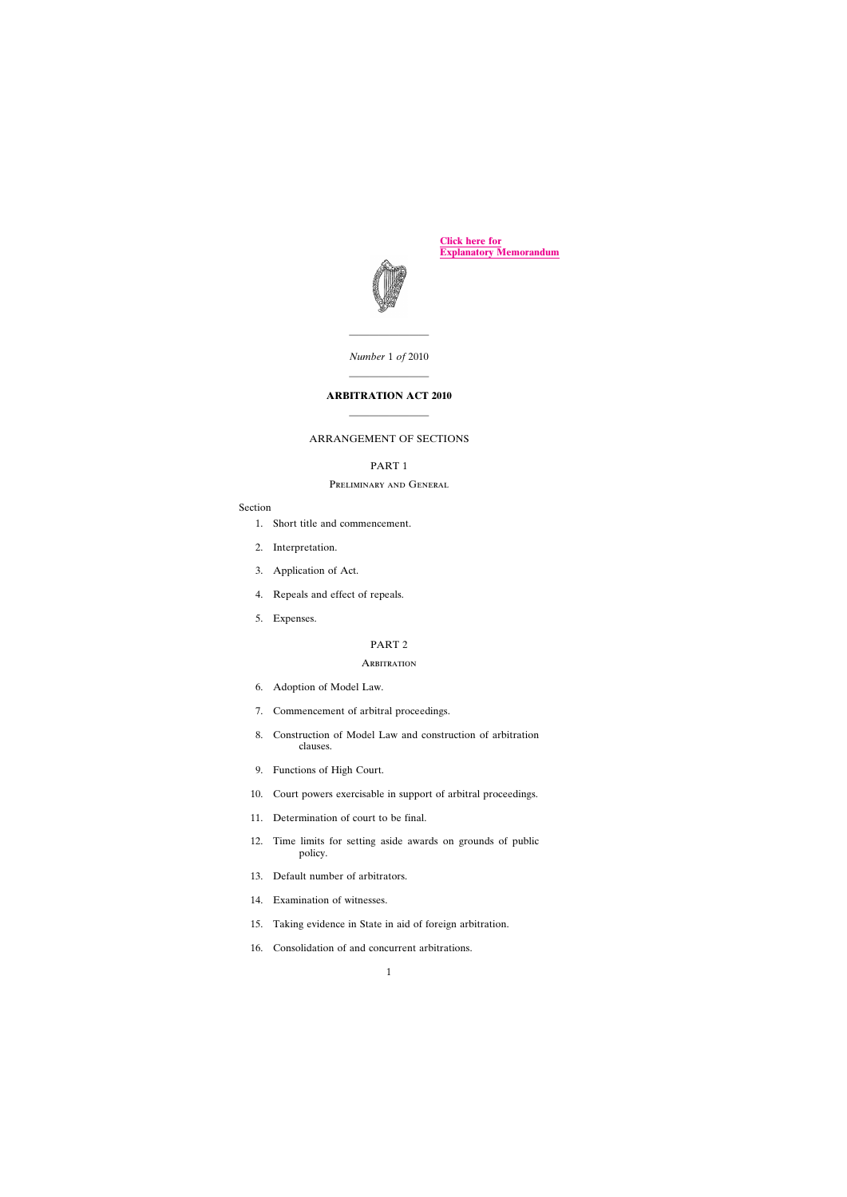**Click here for [Explanatory Memorandum](#page-62-0)**

<span id="page-0-0"></span>

*Number* 1 *of* 2010

————————

# ———————— **ARBITRATION ACT 2010**

————————

# ARRANGEMENT OF SECTIONS

# PART 1

#### Preliminary and General

## Section

- [1. Short title and commencement.](#page-4-0)
- [2. Interpretation.](#page-4-0)
- [3. Application of Act.](#page-6-0)
- [4. Repeals and effect of repeals.](#page-6-0)
- [5. Expenses.](#page-6-0)

# PART 2

## **ARBITRATION**

- [6. Adoption of Model Law.](#page-6-0)
- [7. Commencement of arbitral proceedings.](#page-6-0)
- [8. Construction of Model Law and construction of arbitration](#page-7-0) clauses.
- [9. Functions of High Court.](#page-8-0)
- [10. Court powers exercisable in support of arbitral proceedings.](#page-8-0)
- [11. Determination of court to be final.](#page-8-0)
- [12. Time limits for setting aside awards on grounds of public](#page-9-0) policy.
- [13. Default number of arbitrators.](#page-9-0)
- [14. Examination of witnesses.](#page-9-0)
- [15. Taking evidence in State in aid of foreign arbitration.](#page-9-0)
- [16. Consolidation of and concurrent arbitrations.](#page-9-0)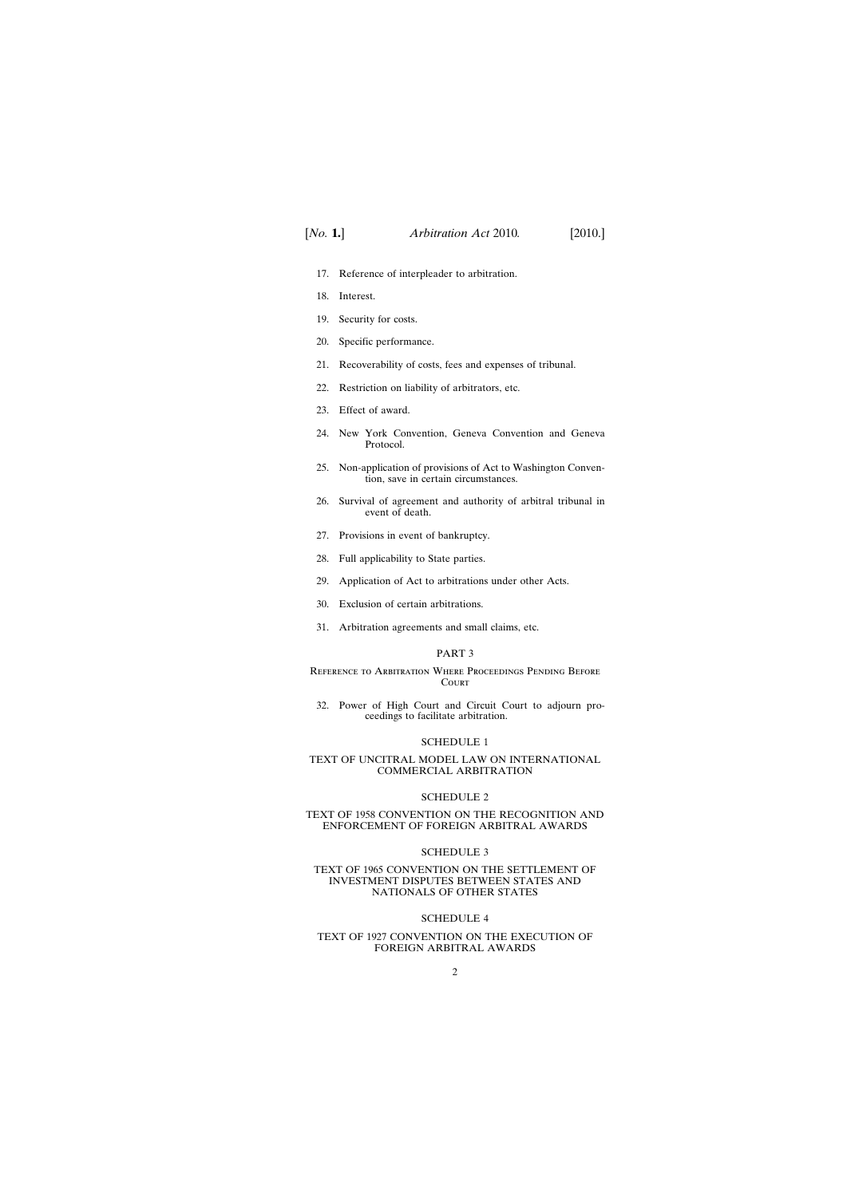- [17. Reference of interpleader to arbitration.](#page-9-0)
- [18. Interest.](#page-10-0)
- [19. Security for costs.](#page-10-0)
- [20. Specific performance.](#page-10-0)
- [21. Recoverability of costs, fees and expenses of tribunal.](#page-10-0)
- [22. Restriction on liability of arbitrators, etc.](#page-11-0)
- [23. Effect of award.](#page-12-0)
- [24. New York Convention, Geneva Convention and Geneva](#page-12-0) Protocol.
- [25. Non-application of provisions of Act to Washington Conven](#page-13-0)tion, save in certain circumstances.
- [26. Survival of agreement and authority of arbitral tribunal in](#page-13-0) event of death.
- [27. Provisions in event of bankruptcy.](#page-14-0)
- [28. Full applicability to State parties.](#page-14-0)
- [29. Application of Act to arbitrations under other Acts.](#page-14-0)
- [30. Exclusion of certain arbitrations.](#page-15-0)
- [31. Arbitration agreements and small claims, etc.](#page-15-0)

## PART 3

Reference to Arbitration Where Proceedings Pending Before **COURT** 

[32. Power of High Court and Circuit Court to adjourn pro](#page-15-0)ceedings to facilitate arbitration.

## [SCHEDULE 1](#page-17-0)

## TEXT OF UNCITRAL MODEL LAW ON INTERNATIONAL COMMERCIAL ARBITRATION

## [SCHEDULE 2](#page-32-0)

## TEXT OF 1958 CONVENTION ON THE RECOGNITION AND ENFORCEMENT OF FOREIGN ARBITRAL AWARDS

## [SCHEDULE 3](#page-37-0)

## TEXT OF 1965 CONVENTION ON THE SETTLEMENT OF INVESTMENT DISPUTES BETWEEN STATES AND NATIONALS OF OTHER STATES

## [SCHEDULE 4](#page-55-0)

## TEXT OF 1927 CONVENTION ON THE EXECUTION OF FOREIGN ARBITRAL AWARDS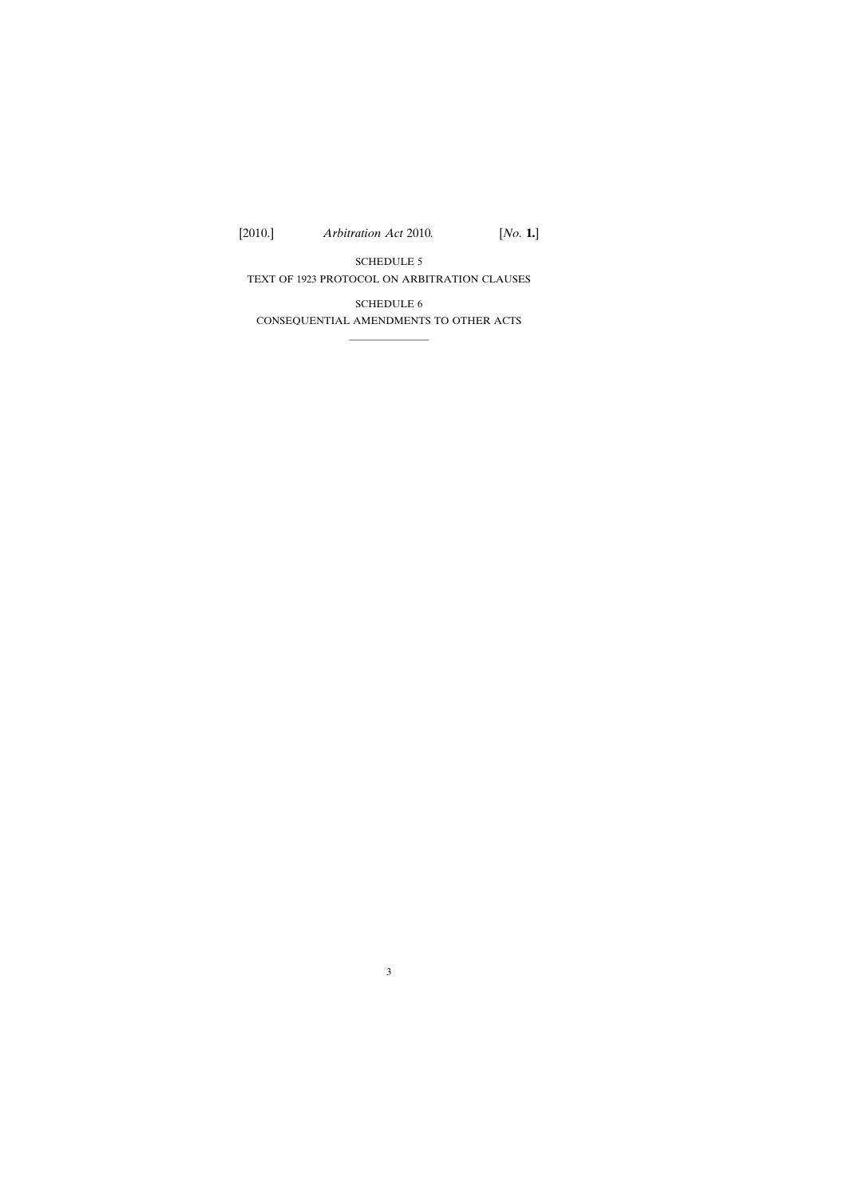# [SCHEDULE 5](#page-59-0)

# TEXT OF 1923 PROTOCOL ON ARBITRATION CLAUSES

# [SCHEDULE 6](#page-61-0)

CONSEQUENTIAL AMENDMENTS TO OTHER ACTS ————————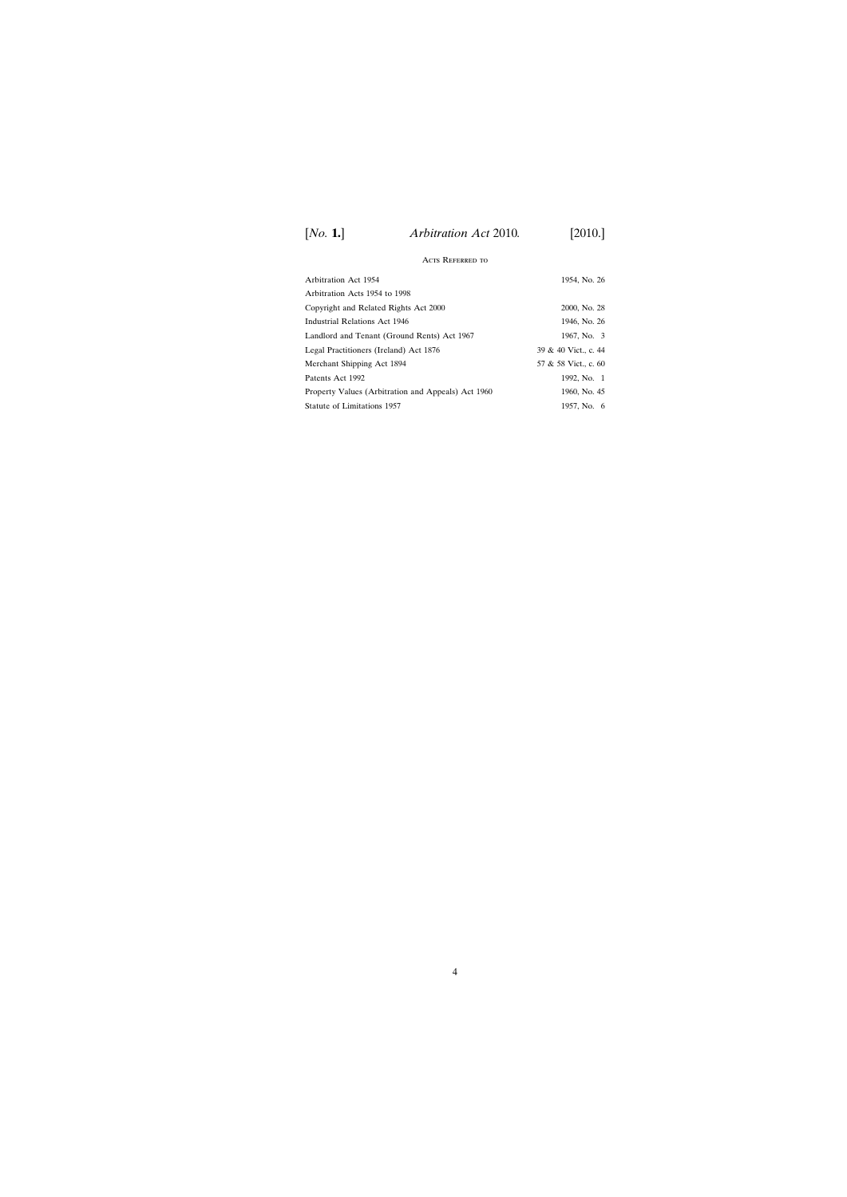# Acts Referred to

| <b>Arbitration Act 1954</b>                        | 1954, No. 26         |
|----------------------------------------------------|----------------------|
| Arbitration Acts 1954 to 1998                      |                      |
| Copyright and Related Rights Act 2000              | 2000, No. 28         |
| Industrial Relations Act 1946                      | 1946, No. 26         |
| Landlord and Tenant (Ground Rents) Act 1967        | 1967, No. 3          |
| Legal Practitioners (Ireland) Act 1876             | 39 & 40 Vict., c. 44 |
| Merchant Shipping Act 1894                         | 57 & 58 Vict., c. 60 |
| Patents Act 1992                                   | 1992, No. 1          |
| Property Values (Arbitration and Appeals) Act 1960 | 1960, No. 45         |
| Statute of Limitations 1957                        | 1957, No. 6          |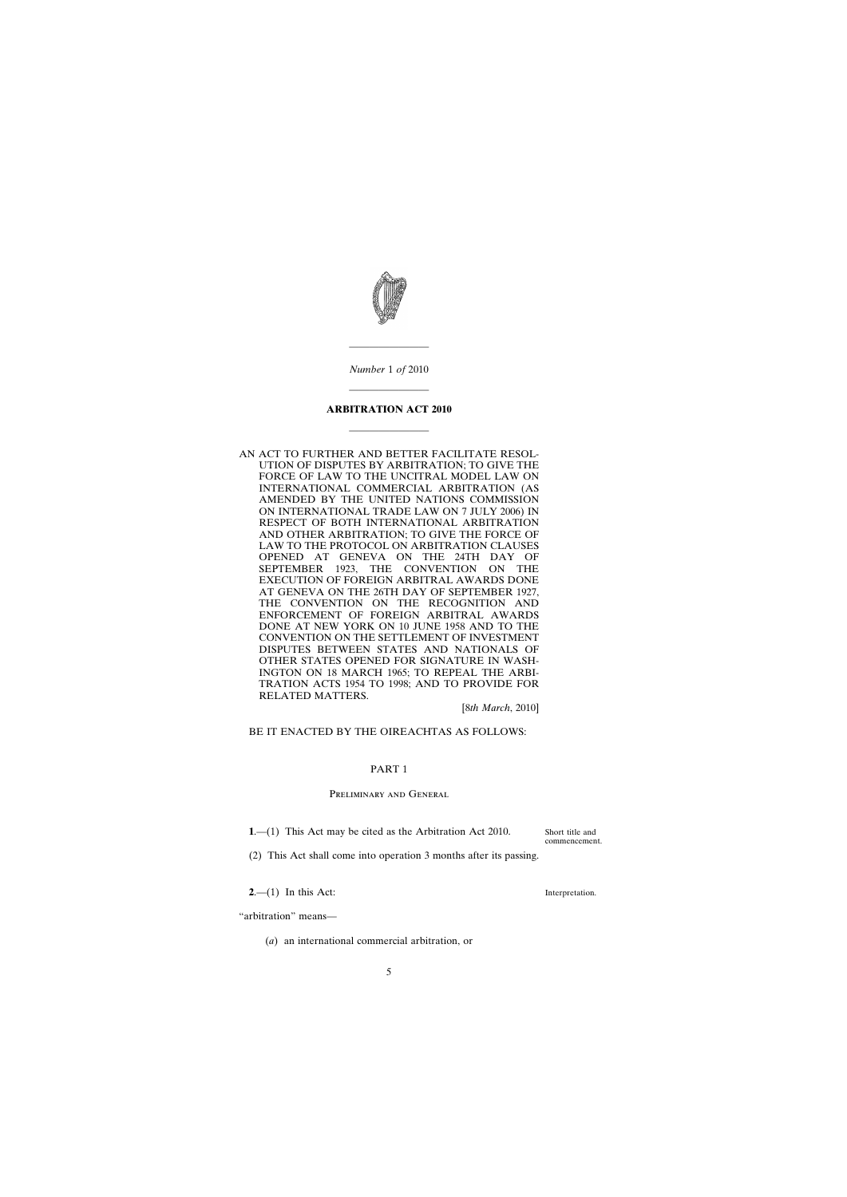<span id="page-4-0"></span>

*Number* 1 *of* 2010

————————

————————

## **ARBITRATION ACT 2010**

————————

AN ACT TO FURTHER AND BETTER FACILITATE RESOL-UTION OF DISPUTES BY ARBITRATION; TO GIVE THE FORCE OF LAW TO THE UNCITRAL MODEL LAW ON INTERNATIONAL COMMERCIAL ARBITRATION (AS AMENDED BY THE UNITED NATIONS COMMISSION ON INTERNATIONAL TRADE LAW ON 7 JULY 2006) IN RESPECT OF BOTH INTERNATIONAL ARBITRATION AND OTHER ARBITRATION; TO GIVE THE FORCE OF LAW TO THE PROTOCOL ON ARBITRATION CLAUSES OPENED AT GENEVA ON THE 24TH DAY OF SEPTEMBER 1923, THE CONVENTION ON THE CONVENTION ON THE EXECUTION OF FOREIGN ARBITRAL AWARDS DONE AT GENEVA ON THE 26TH DAY OF SEPTEMBER 1927, THE CONVENTION ON THE RECOGNITION AND ENFORCEMENT OF FOREIGN ARBITRAL AWARDS DONE AT NEW YORK ON 10 JUNE 1958 AND TO THE CONVENTION ON THE SETTLEMENT OF INVESTMENT DISPUTES BETWEEN STATES AND NATIONALS OF OTHER STATES OPENED FOR SIGNATURE IN WASH-INGTON ON 18 MARCH 1965; TO REPEAL THE ARBI-TRATION ACTS 1954 TO 1998; AND TO PROVIDE FOR RELATED MATTERS.

[8*th March*, 2010]

## BE IT ENACTED BY THE OIREACHTAS AS FOLLOWS:

## PART 1

# Preliminary and General

**1**.—(1) This Act may be cited as the Arbitration Act 2010.

Short title and commencement.

Interpretation.

(2) This Act shall come into operation 3 months after its passing.

**2**.—(1) In this Act:

"arbitration" means—

(*a*) an international commercial arbitration, or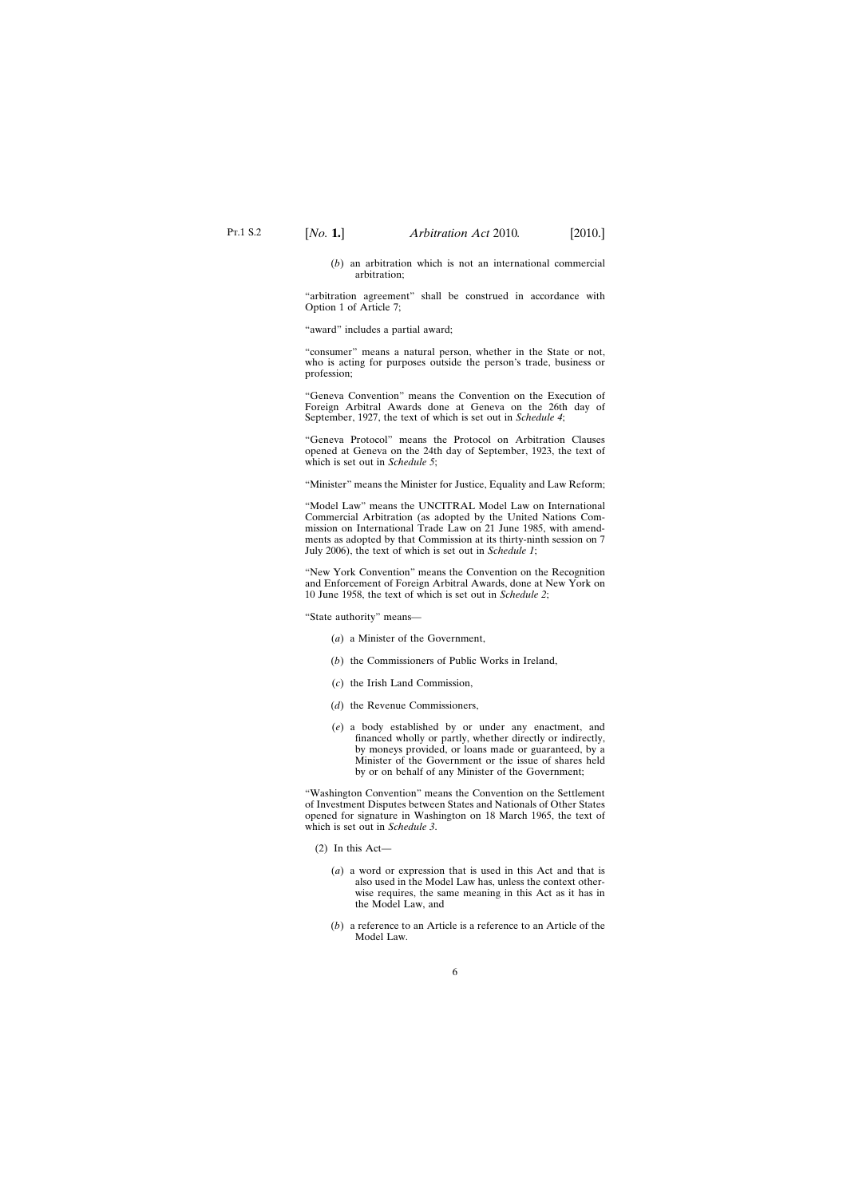(*b*) an arbitration which is not an international commercial arbitration;

"arbitration agreement" shall be construed in accordance with Option 1 of Article 7;

"award" includes a partial award;

"consumer" means a natural person, whether in the State or not, who is acting for purposes outside the person's trade, business or profession;

"Geneva Convention" means the Convention on the Execution of Foreign Arbitral Awards done at Geneva on the 26th day of September, 1927, the text of which is set out in *Schedule 4*;

"Geneva Protocol" means the Protocol on Arbitration Clauses opened at Geneva on the 24th day of September, 1923, the text of which is set out in *Schedule 5*;

"Minister" means the Minister for Justice, Equality and Law Reform;

"Model Law" means the UNCITRAL Model Law on International Commercial Arbitration (as adopted by the United Nations Commission on International Trade Law on 21 June 1985, with amendments as adopted by that Commission at its thirty-ninth session on 7 July 2006), the text of which is set out in *Schedule 1*;

"New York Convention" means the Convention on the Recognition and Enforcement of Foreign Arbitral Awards, done at New York on 10 June 1958, the text of which is set out in *Schedule 2*;

"State authority" means—

- (*a*) a Minister of the Government,
- (*b*) the Commissioners of Public Works in Ireland,
- (*c*) the Irish Land Commission,
- (*d*) the Revenue Commissioners,
- (*e*) a body established by or under any enactment, and financed wholly or partly, whether directly or indirectly, by moneys provided, or loans made or guaranteed, by a Minister of the Government or the issue of shares held by or on behalf of any Minister of the Government;

"Washington Convention" means the Convention on the Settlement of Investment Disputes between States and Nationals of Other States opened for signature in Washington on 18 March 1965, the text of which is set out in *Schedule 3*.

- (2) In this Act—
	- (*a*) a word or expression that is used in this Act and that is also used in the Model Law has, unless the context otherwise requires, the same meaning in this Act as it has in the Model Law, and
	- (*b*) a reference to an Article is a reference to an Article of the Model Law.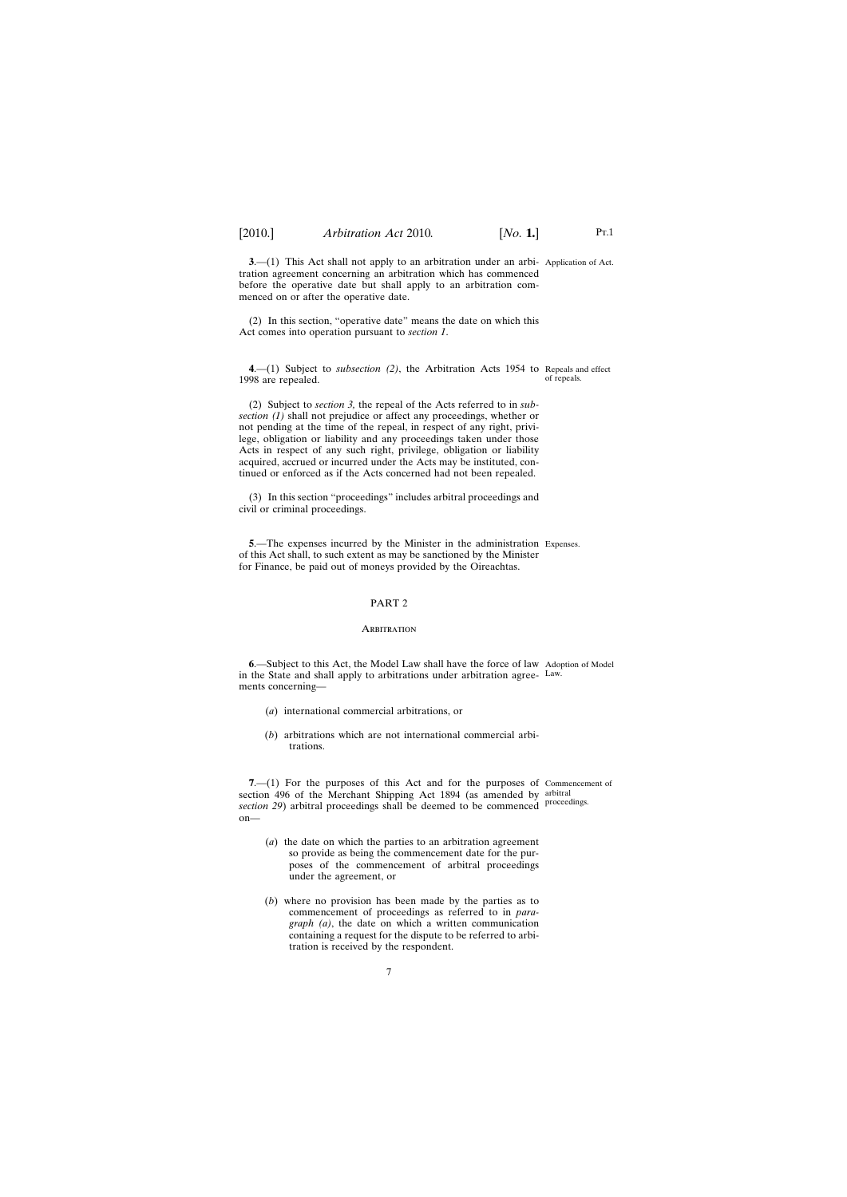<span id="page-6-0"></span>(2) In this section, "operative date" means the date on which this Act comes into operation pursuant to *section 1*.

**4**.—(1) Subject to *subsection (2)*, the Arbitration Acts 1954 to Repeals and effect 1998 are repealed. of repeals.

(2) Subject to *section 3,* the repeal of the Acts referred to in *subsection (1)* shall not prejudice or affect any proceedings, whether or not pending at the time of the repeal, in respect of any right, privilege, obligation or liability and any proceedings taken under those Acts in respect of any such right, privilege, obligation or liability acquired, accrued or incurred under the Acts may be instituted, continued or enforced as if the Acts concerned had not been repealed.

(3) In this section "proceedings" includes arbitral proceedings and civil or criminal proceedings.

**5**.—The expenses incurred by the Minister in the administration Expenses. of this Act shall, to such extent as may be sanctioned by the Minister for Finance, be paid out of moneys provided by the Oireachtas.

## PART 2

## **ARBITRATION**

**6**.—Subject to this Act, the Model Law shall have the force of law Adoption of Model in the State and shall apply to arbitrations under arbitration agree-Law. ments concerning—

- (*a*) international commercial arbitrations, or
- (*b*) arbitrations which are not international commercial arbitrations.

**7.**—(1) For the purposes of this Act and for the purposes of Commencement of section 496 of the Merchant Shipping Act 1894 (as amended by arbitral section 29) arbitral proceedings shall be deemed to be commenced <sup>proceedings.</sup> on—

- (*a*) the date on which the parties to an arbitration agreement so provide as being the commencement date for the purposes of the commencement of arbitral proceedings under the agreement, or
- (*b*) where no provision has been made by the parties as to commencement of proceedings as referred to in *paragraph (a)*, the date on which a written communication containing a request for the dispute to be referred to arbitration is received by the respondent.

P<sub>T.1</sub>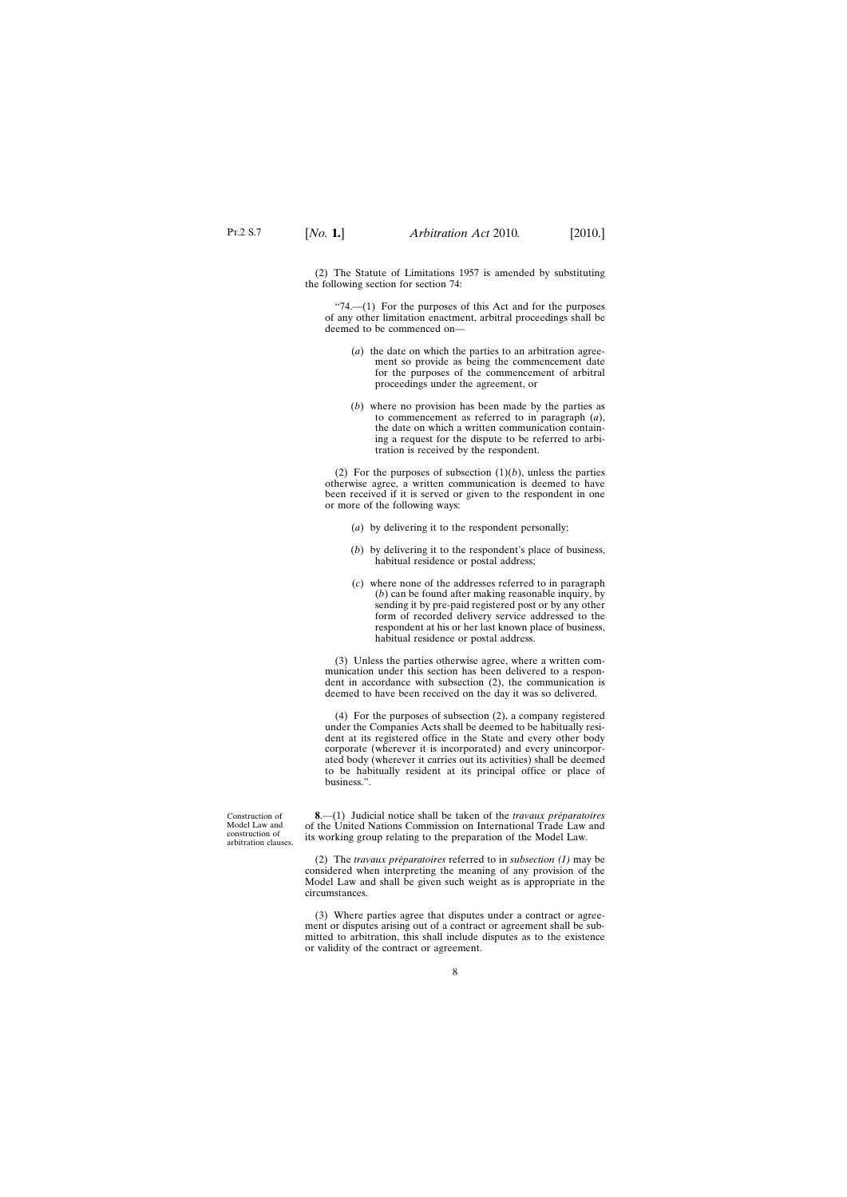<span id="page-7-0"></span>(2) The Statute of Limitations 1957 is amended by substituting the following section for section 74:

"74.— $(1)$  For the purposes of this Act and for the purposes of any other limitation enactment, arbitral proceedings shall be deemed to be commenced on—

- (*a*) the date on which the parties to an arbitration agreement so provide as being the commencement date for the purposes of the commencement of arbitral proceedings under the agreement, or
- (*b*) where no provision has been made by the parties as to commencement as referred to in paragraph (*a*), the date on which a written communication containing a request for the dispute to be referred to arbitration is received by the respondent.

(2) For the purposes of subsection  $(1)(b)$ , unless the parties otherwise agree, a written communication is deemed to have been received if it is served or given to the respondent in one or more of the following ways:

- (*a*) by delivering it to the respondent personally;
- (*b*) by delivering it to the respondent's place of business, habitual residence or postal address;
- (*c*) where none of the addresses referred to in paragraph (*b*) can be found after making reasonable inquiry, by sending it by pre-paid registered post or by any other form of recorded delivery service addressed to the respondent at his or her last known place of business, habitual residence or postal address.

(3) Unless the parties otherwise agree, where a written communication under this section has been delivered to a respondent in accordance with subsection (2), the communication is deemed to have been received on the day it was so delivered.

(4) For the purposes of subsection (2), a company registered under the Companies Acts shall be deemed to be habitually resident at its registered office in the State and every other body corporate (wherever it is incorporated) and every unincorporated body (wherever it carries out its activities) shall be deemed to be habitually resident at its principal office or place of business.".

**8**.—(1) Judicial notice shall be taken of the *travaux préparatoires* of the United Nations Commission on International Trade Law and its working group relating to the preparation of the Model Law.

(2) The *travaux préparatoires* referred to in *subsection (1)* may be considered when interpreting the meaning of any provision of the Model Law and shall be given such weight as is appropriate in the circumstances.

(3) Where parties agree that disputes under a contract or agreement or disputes arising out of a contract or agreement shall be submitted to arbitration, this shall include disputes as to the existence or validity of the contract or agreement.

Construction of Model Law and construction of arbitration clauses.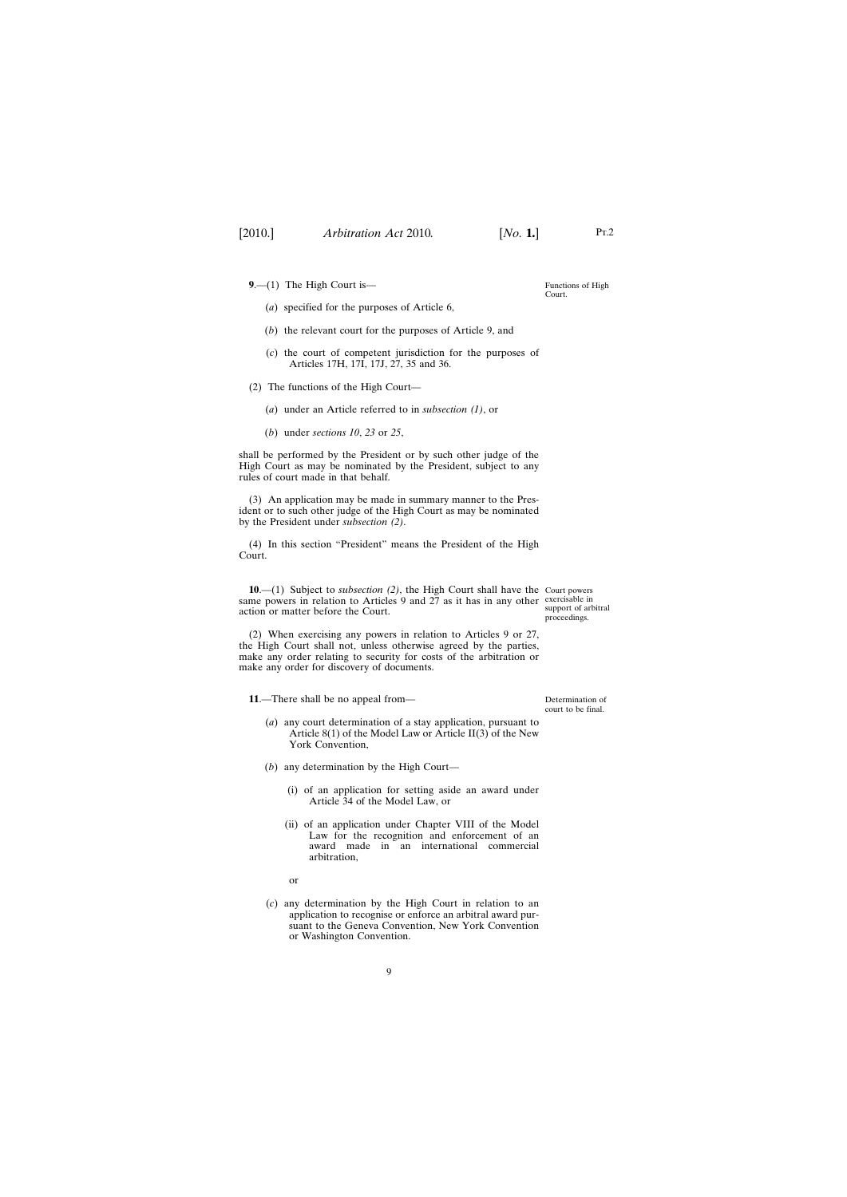- <span id="page-8-0"></span>**9**.—(1) The High Court is—
	- (*a*) specified for the purposes of Article 6,
	- (*b*) the relevant court for the purposes of Article 9, and
	- (*c*) the court of competent jurisdiction for the purposes of Articles 17H, 17I, 17J, 27, 35 and 36.
- (2) The functions of the High Court—
	- (*a*) under an Article referred to in *subsection (1)*, or
	- (*b*) under *sections 10*, *23* or *25*,

shall be performed by the President or by such other judge of the High Court as may be nominated by the President, subject to any rules of court made in that behalf.

(3) An application may be made in summary manner to the President or to such other judge of the High Court as may be nominated by the President under *subsection (2)*.

(4) In this section "President" means the President of the High Court.

**10**.—(1) Subject to *subsection (2)*, the High Court shall have the Court powers same powers in relation to Articles 9 and 27 as it has in any other exercisable in action or matter before the Court.

(2) When exercising any powers in relation to Articles 9 or 27, the High Court shall not, unless otherwise agreed by the parties, make any order relating to security for costs of the arbitration or make any order for discovery of documents.

**11**.—There shall be no appeal from—

- (*a*) any court determination of a stay application, pursuant to Article 8(1) of the Model Law or Article II(3) of the New York Convention,
- (*b*) any determination by the High Court—
	- (i) of an application for setting aside an award under Article 34 of the Model Law, or
	- (ii) of an application under Chapter VIII of the Model Law for the recognition and enforcement of an award made in an international commercial arbitration,

or

(*c*) any determination by the High Court in relation to an application to recognise or enforce an arbitral award pursuant to the Geneva Convention, New York Convention or Washington Convention.

Functions of High Court.

Pt.2

support of arbitral proceedings.

Determination of court to be final.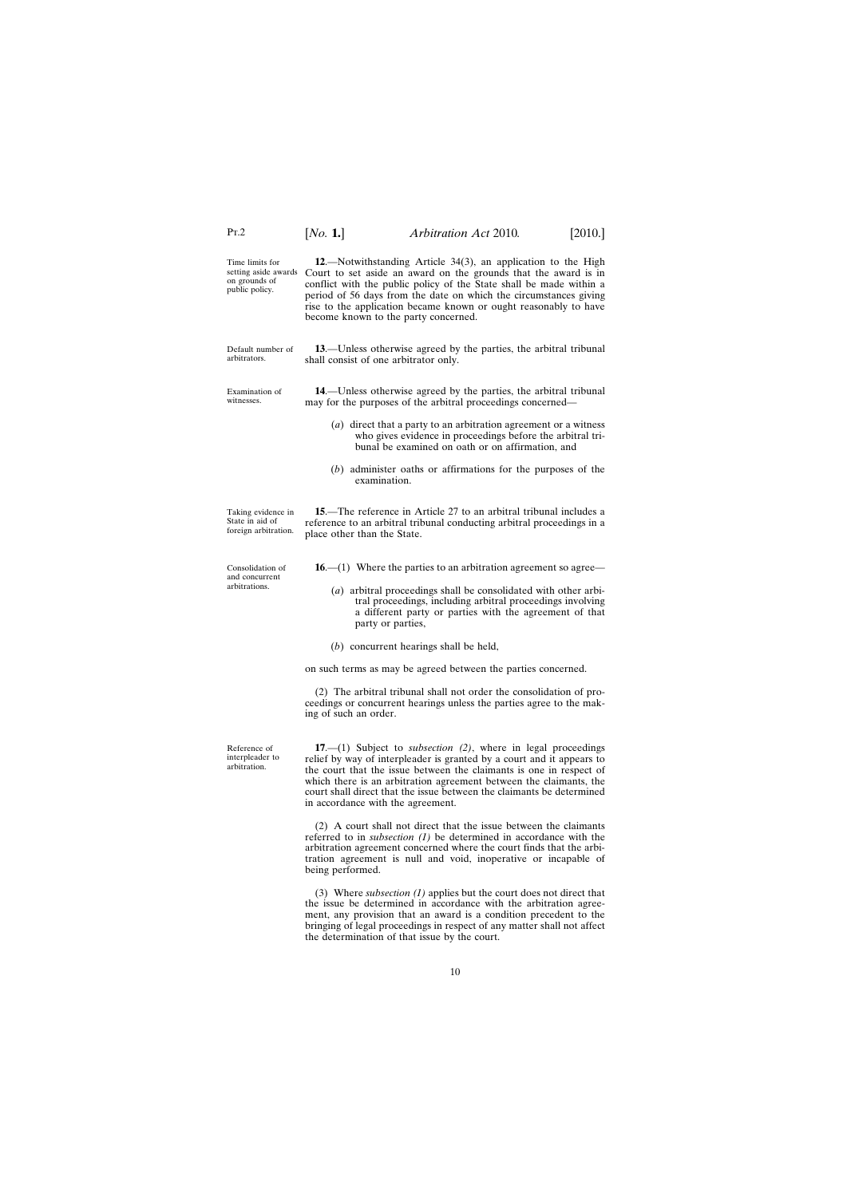Time limits for on grounds of public policy.

<span id="page-9-0"></span>setting aside awards Court to set aside an award on the grounds that the award is in **12**.—Notwithstanding Article 34(3), an application to the High conflict with the public policy of the State shall be made within a period of 56 days from the date on which the circumstances giving rise to the application became known or ought reasonably to have become known to the party concerned.

Default number of arbitrators.

Examination of witnesses.

**13**.—Unless otherwise agreed by the parties, the arbitral tribunal shall consist of one arbitrator only.

**14**.—Unless otherwise agreed by the parties, the arbitral tribunal may for the purposes of the arbitral proceedings concerned—

- (*a*) direct that a party to an arbitration agreement or a witness who gives evidence in proceedings before the arbitral tribunal be examined on oath or on affirmation, and
- (*b*) administer oaths or affirmations for the purposes of the examination.

Taking evidence in foreign arbitration. **15**.—The reference in Article 27 to an arbitral tribunal includes a reference to an arbitral tribunal conducting arbitral proceedings in a place other than the State.

Consolidation of and concurrent arbitrations.

State in aid of

- **16.**—(1) Where the parties to an arbitration agreement so agree—
	- (*a*) arbitral proceedings shall be consolidated with other arbitral proceedings, including arbitral proceedings involving a different party or parties with the agreement of that party or parties,
	- (*b*) concurrent hearings shall be held,

on such terms as may be agreed between the parties concerned.

(2) The arbitral tribunal shall not order the consolidation of proceedings or concurrent hearings unless the parties agree to the making of such an order.

**17**.—(1) Subject to *subsection (2)*, where in legal proceedings relief by way of interpleader is granted by a court and it appears to the court that the issue between the claimants is one in respect of which there is an arbitration agreement between the claimants, the court shall direct that the issue between the claimants be determined in accordance with the agreement.

(2) A court shall not direct that the issue between the claimants referred to in *subsection (1)* be determined in accordance with the arbitration agreement concerned where the court finds that the arbitration agreement is null and void, inoperative or incapable of being performed.

(3) Where *subsection (1)* applies but the court does not direct that the issue be determined in accordance with the arbitration agreement, any provision that an award is a condition precedent to the bringing of legal proceedings in respect of any matter shall not affect the determination of that issue by the court.

Reference of interpleader to arbitration.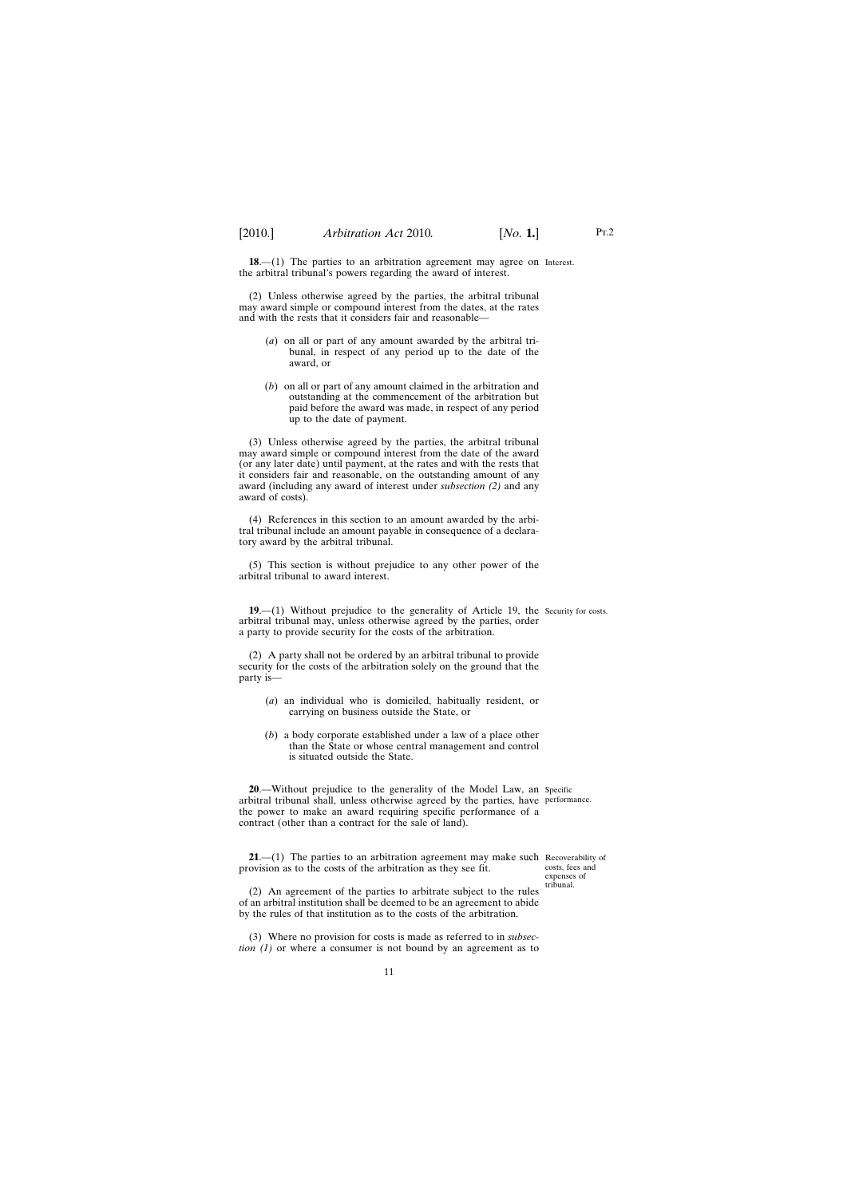<span id="page-10-0"></span>**18.**—(1) The parties to an arbitration agreement may agree on Interest. the arbitral tribunal's powers regarding the award of interest.

(2) Unless otherwise agreed by the parties, the arbitral tribunal may award simple or compound interest from the dates, at the rates and with the rests that it considers fair and reasonable—

- (*a*) on all or part of any amount awarded by the arbitral tribunal, in respect of any period up to the date of the award, or
- (*b*) on all or part of any amount claimed in the arbitration and outstanding at the commencement of the arbitration but paid before the award was made, in respect of any period up to the date of payment.

(3) Unless otherwise agreed by the parties, the arbitral tribunal may award simple or compound interest from the date of the award (or any later date) until payment, at the rates and with the rests that it considers fair and reasonable, on the outstanding amount of any award (including any award of interest under *subsection (2)* and any award of costs).

(4) References in this section to an amount awarded by the arbitral tribunal include an amount payable in consequence of a declaratory award by the arbitral tribunal.

(5) This section is without prejudice to any other power of the arbitral tribunal to award interest.

**19.**—(1) Without prejudice to the generality of Article 19, the Security for costs. arbitral tribunal may, unless otherwise agreed by the parties, order a party to provide security for the costs of the arbitration.

(2) A party shall not be ordered by an arbitral tribunal to provide security for the costs of the arbitration solely on the ground that the party is—

- (*a*) an individual who is domiciled, habitually resident, or carrying on business outside the State, or
- (*b*) a body corporate established under a law of a place other than the State or whose central management and control is situated outside the State.

**20**.—Without prejudice to the generality of the Model Law, an Specific arbitral tribunal shall, unless otherwise agreed by the parties, have performance. the power to make an award requiring specific performance of a contract (other than a contract for the sale of land).

**21**.—(1) The parties to an arbitration agreement may make such Recoverability of provision as to the costs of the arbitration as they see fit.

(2) An agreement of the parties to arbitrate subject to the rules of an arbitral institution shall be deemed to be an agreement to abide by the rules of that institution as to the costs of the arbitration.

(3) Where no provision for costs is made as referred to in *subsection (1)* or where a consumer is not bound by an agreement as to

costs, fees and expenses of tribunal.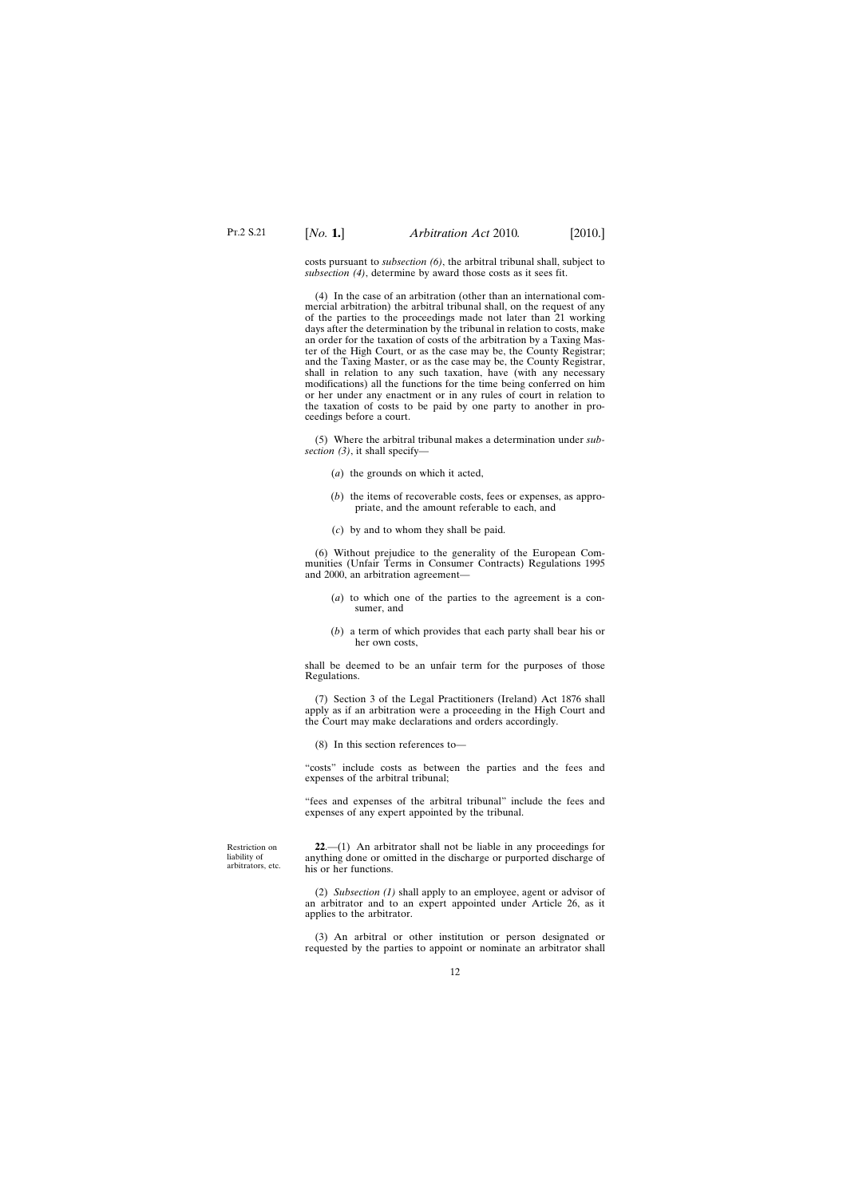<span id="page-11-0"></span>costs pursuant to *subsection (6)*, the arbitral tribunal shall, subject to *subsection (4)*, determine by award those costs as it sees fit.

(4) In the case of an arbitration (other than an international commercial arbitration) the arbitral tribunal shall, on the request of any of the parties to the proceedings made not later than 21 working days after the determination by the tribunal in relation to costs, make an order for the taxation of costs of the arbitration by a Taxing Master of the High Court, or as the case may be, the County Registrar; and the Taxing Master, or as the case may be, the County Registrar, shall in relation to any such taxation, have (with any necessary modifications) all the functions for the time being conferred on him or her under any enactment or in any rules of court in relation to the taxation of costs to be paid by one party to another in proceedings before a court.

(5) Where the arbitral tribunal makes a determination under *subsection (3)*, it shall specify—

- (*a*) the grounds on which it acted,
- (*b*) the items of recoverable costs, fees or expenses, as appropriate, and the amount referable to each, and
- (*c*) by and to whom they shall be paid.

(6) Without prejudice to the generality of the European Communities (Unfair Terms in Consumer Contracts) Regulations 1995 and 2000, an arbitration agreement—

- (*a*) to which one of the parties to the agreement is a consumer, and
- (*b*) a term of which provides that each party shall bear his or her own costs,

shall be deemed to be an unfair term for the purposes of those Regulations.

(7) Section 3 of the Legal Practitioners (Ireland) Act 1876 shall apply as if an arbitration were a proceeding in the High Court and the Court may make declarations and orders accordingly.

(8) In this section references to—

"costs" include costs as between the parties and the fees and expenses of the arbitral tribunal;

"fees and expenses of the arbitral tribunal" include the fees and expenses of any expert appointed by the tribunal.

Restriction on liability of arbitrators, etc.

**22**.—(1) An arbitrator shall not be liable in any proceedings for anything done or omitted in the discharge or purported discharge of his or her functions.

(2) *Subsection (1)* shall apply to an employee, agent or advisor of an arbitrator and to an expert appointed under Article 26, as it applies to the arbitrator.

(3) An arbitral or other institution or person designated or requested by the parties to appoint or nominate an arbitrator shall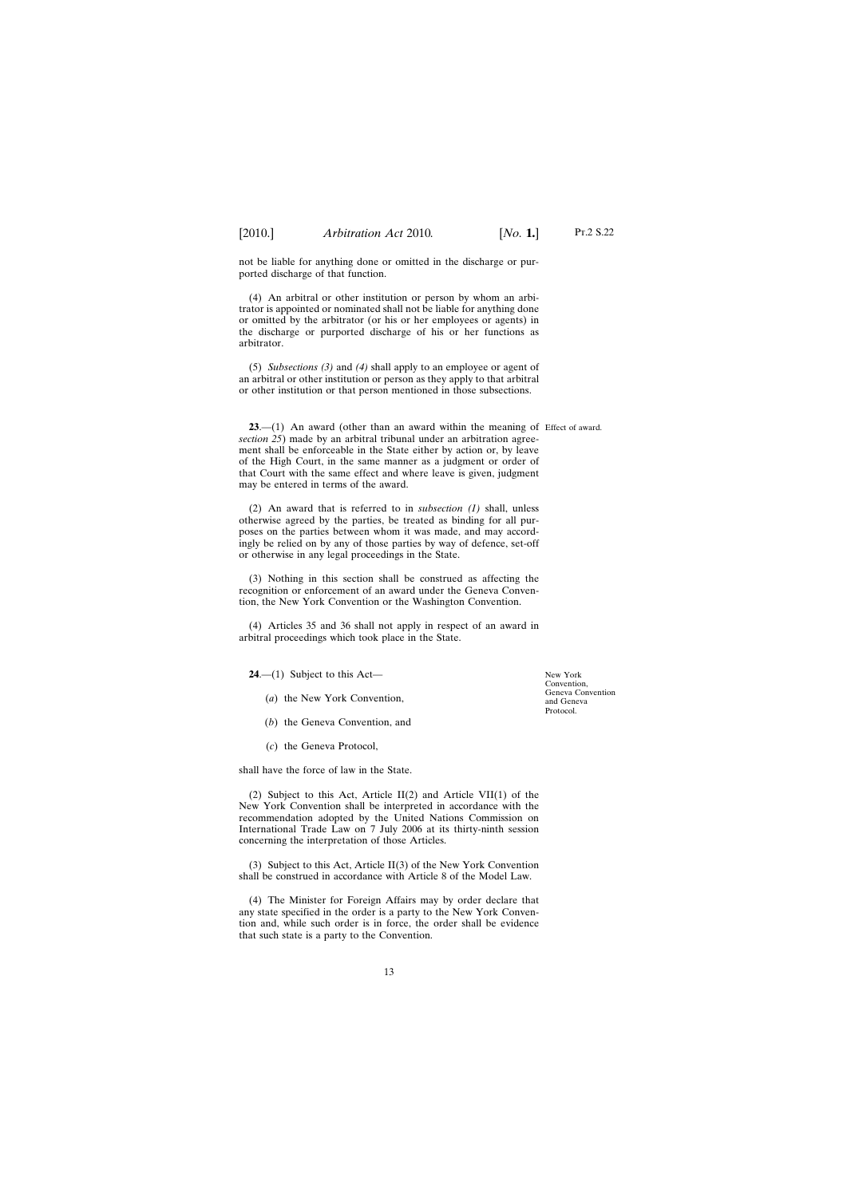<span id="page-12-0"></span>not be liable for anything done or omitted in the discharge or purported discharge of that function.

(4) An arbitral or other institution or person by whom an arbitrator is appointed or nominated shall not be liable for anything done or omitted by the arbitrator (or his or her employees or agents) in the discharge or purported discharge of his or her functions as arbitrator.

(5) *Subsections (3)* and *(4)* shall apply to an employee or agent of an arbitral or other institution or person as they apply to that arbitral or other institution or that person mentioned in those subsections.

**23**.—(1) An award (other than an award within the meaning of Effect of award. *section 25*) made by an arbitral tribunal under an arbitration agreement shall be enforceable in the State either by action or, by leave of the High Court, in the same manner as a judgment or order of that Court with the same effect and where leave is given, judgment may be entered in terms of the award.

(2) An award that is referred to in *subsection (1)* shall, unless otherwise agreed by the parties, be treated as binding for all purposes on the parties between whom it was made, and may accordingly be relied on by any of those parties by way of defence, set-off or otherwise in any legal proceedings in the State.

(3) Nothing in this section shall be construed as affecting the recognition or enforcement of an award under the Geneva Convention, the New York Convention or the Washington Convention.

(4) Articles 35 and 36 shall not apply in respect of an award in arbitral proceedings which took place in the State.

**24**.—(1) Subject to this Act—

(*a*) the New York Convention,

(*b*) the Geneva Convention, and

(*c*) the Geneva Protocol,

shall have the force of law in the State.

(2) Subject to this Act, Article II(2) and Article VII(1) of the New York Convention shall be interpreted in accordance with the recommendation adopted by the United Nations Commission on International Trade Law on 7 July 2006 at its thirty-ninth session concerning the interpretation of those Articles.

(3) Subject to this Act, Article II(3) of the New York Convention shall be construed in accordance with Article 8 of the Model Law.

(4) The Minister for Foreign Affairs may by order declare that any state specified in the order is a party to the New York Convention and, while such order is in force, the order shall be evidence that such state is a party to the Convention.

New York Convention, Geneva Convention and Geneva Protocol.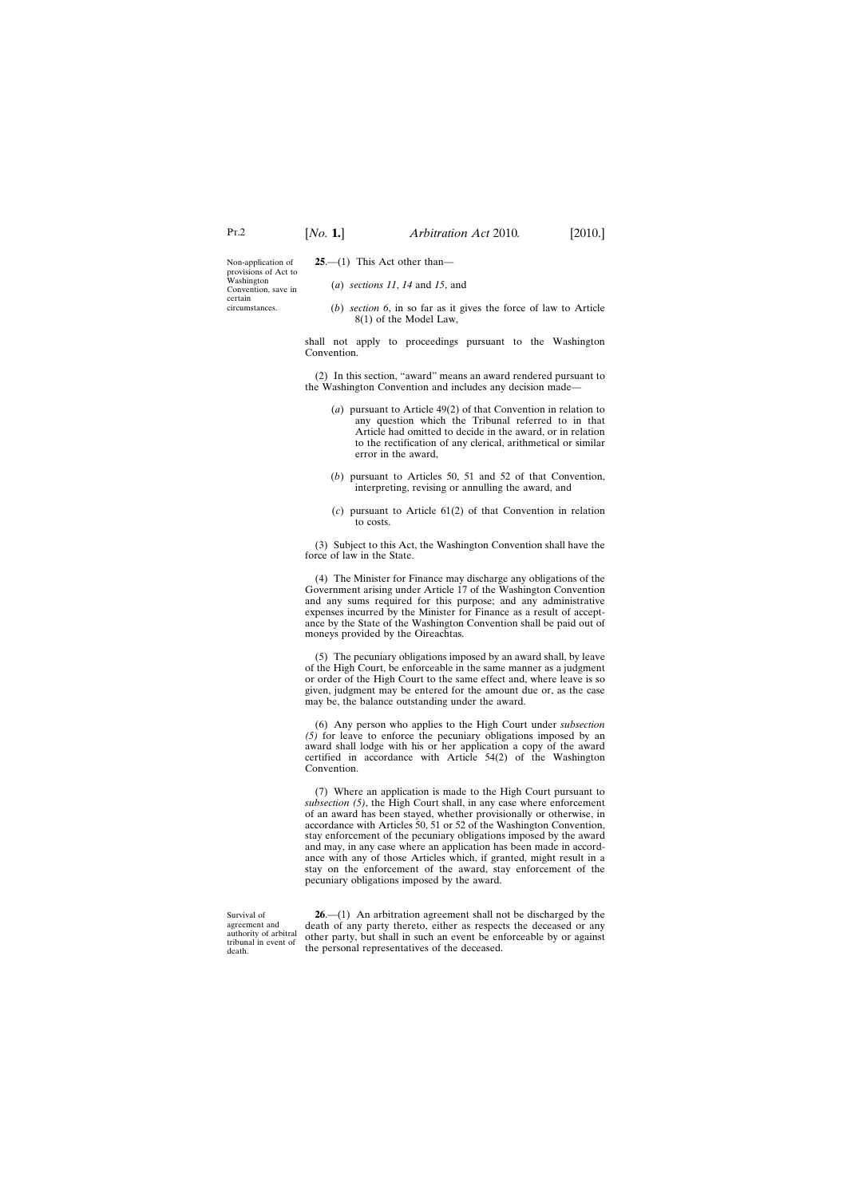<span id="page-13-0"></span>Non-application of provisions of Act to .<br>Washington Convention, save in certain circumstances.

**25**.—(1) This Act other than—

- (*a*) *sections 11*, *14* and *15*, and
- (*b*) *section 6*, in so far as it gives the force of law to Article 8(1) of the Model Law,

shall not apply to proceedings pursuant to the Washington Convention.

(2) In this section, "award" means an award rendered pursuant to the Washington Convention and includes any decision made—

- (*a*) pursuant to Article 49(2) of that Convention in relation to any question which the Tribunal referred to in that Article had omitted to decide in the award, or in relation to the rectification of any clerical, arithmetical or similar error in the award,
- (*b*) pursuant to Articles 50, 51 and 52 of that Convention, interpreting, revising or annulling the award, and
- (*c*) pursuant to Article 61(2) of that Convention in relation to costs.

(3) Subject to this Act, the Washington Convention shall have the force of law in the State.

(4) The Minister for Finance may discharge any obligations of the Government arising under Article 17 of the Washington Convention and any sums required for this purpose; and any administrative expenses incurred by the Minister for Finance as a result of acceptance by the State of the Washington Convention shall be paid out of moneys provided by the Oireachtas.

(5) The pecuniary obligations imposed by an award shall, by leave of the High Court, be enforceable in the same manner as a judgment or order of the High Court to the same effect and, where leave is so given, judgment may be entered for the amount due or, as the case may be, the balance outstanding under the award.

(6) Any person who applies to the High Court under *subsection (5)* for leave to enforce the pecuniary obligations imposed by an award shall lodge with his or her application a copy of the award certified in accordance with Article 54(2) of the Washington Convention.

(7) Where an application is made to the High Court pursuant to *subsection (5)*, the High Court shall, in any case where enforcement of an award has been stayed, whether provisionally or otherwise, in accordance with Articles 50, 51 or 52 of the Washington Convention, stay enforcement of the pecuniary obligations imposed by the award and may, in any case where an application has been made in accordance with any of those Articles which, if granted, might result in a stay on the enforcement of the award, stay enforcement of the pecuniary obligations imposed by the award.

Survival of agreement and authority of arbitral tribunal in event of death.

**26**.—(1) An arbitration agreement shall not be discharged by the death of any party thereto, either as respects the deceased or any other party, but shall in such an event be enforceable by or against the personal representatives of the deceased.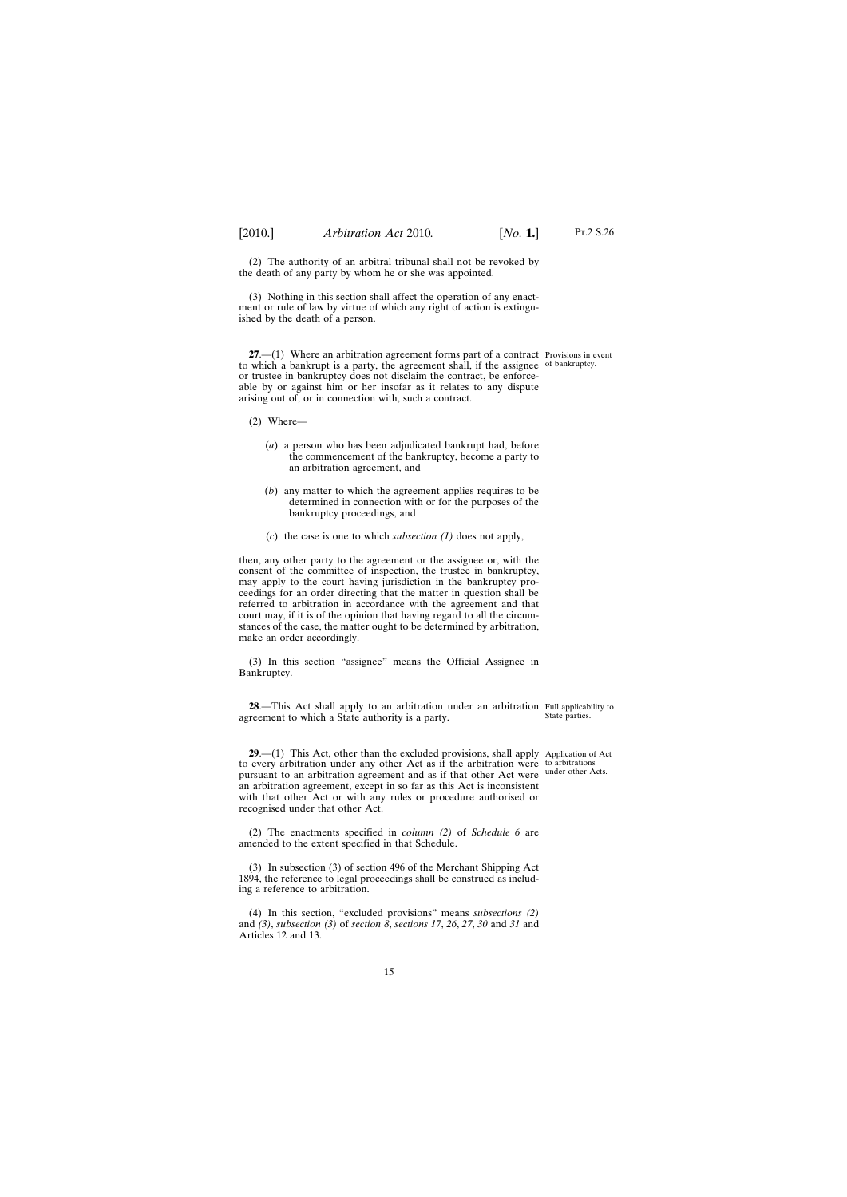<span id="page-14-0"></span>(3) Nothing in this section shall affect the operation of any enactment or rule of law by virtue of which any right of action is extinguished by the death of a person.

**27.**—(1) Where an arbitration agreement forms part of a contract Provisions in event to which a bankrupt is a party, the agreement shall, if the assignee of bankruptcy. or trustee in bankruptcy does not disclaim the contract, be enforceable by or against him or her insofar as it relates to any dispute arising out of, or in connection with, such a contract.

- (2) Where—
	- (*a*) a person who has been adjudicated bankrupt had, before the commencement of the bankruptcy, become a party to an arbitration agreement, and
	- (*b*) any matter to which the agreement applies requires to be determined in connection with or for the purposes of the bankruptcy proceedings, and
	- (*c*) the case is one to which *subsection (1)* does not apply,

then, any other party to the agreement or the assignee or, with the consent of the committee of inspection, the trustee in bankruptcy, may apply to the court having jurisdiction in the bankruptcy proceedings for an order directing that the matter in question shall be referred to arbitration in accordance with the agreement and that court may, if it is of the opinion that having regard to all the circumstances of the case, the matter ought to be determined by arbitration, make an order accordingly.

(3) In this section "assignee" means the Official Assignee in Bankruptcy.

**28**.—This Act shall apply to an arbitration under an arbitration Full applicability to agreement to which a State authority is a party.

State parties.

**29.**—(1) This Act, other than the excluded provisions, shall apply Application of Act to every arbitration under any other Act as if the arbitration were to arbitrations pursuant to an arbitration agreement and as if that other Act were under other Acts. an arbitration agreement, except in so far as this Act is inconsistent with that other Act or with any rules or procedure authorised or recognised under that other Act.

(2) The enactments specified in *column (2)* of *Schedule 6* are amended to the extent specified in that Schedule.

(3) In subsection (3) of section 496 of the Merchant Shipping Act 1894, the reference to legal proceedings shall be construed as including a reference to arbitration.

(4) In this section, "excluded provisions" means *subsections (2)* and *(3)*, *subsection (3)* of *section 8*, *sections 17*, *26*, *27*, *30* and *31* and Articles 12 and 13.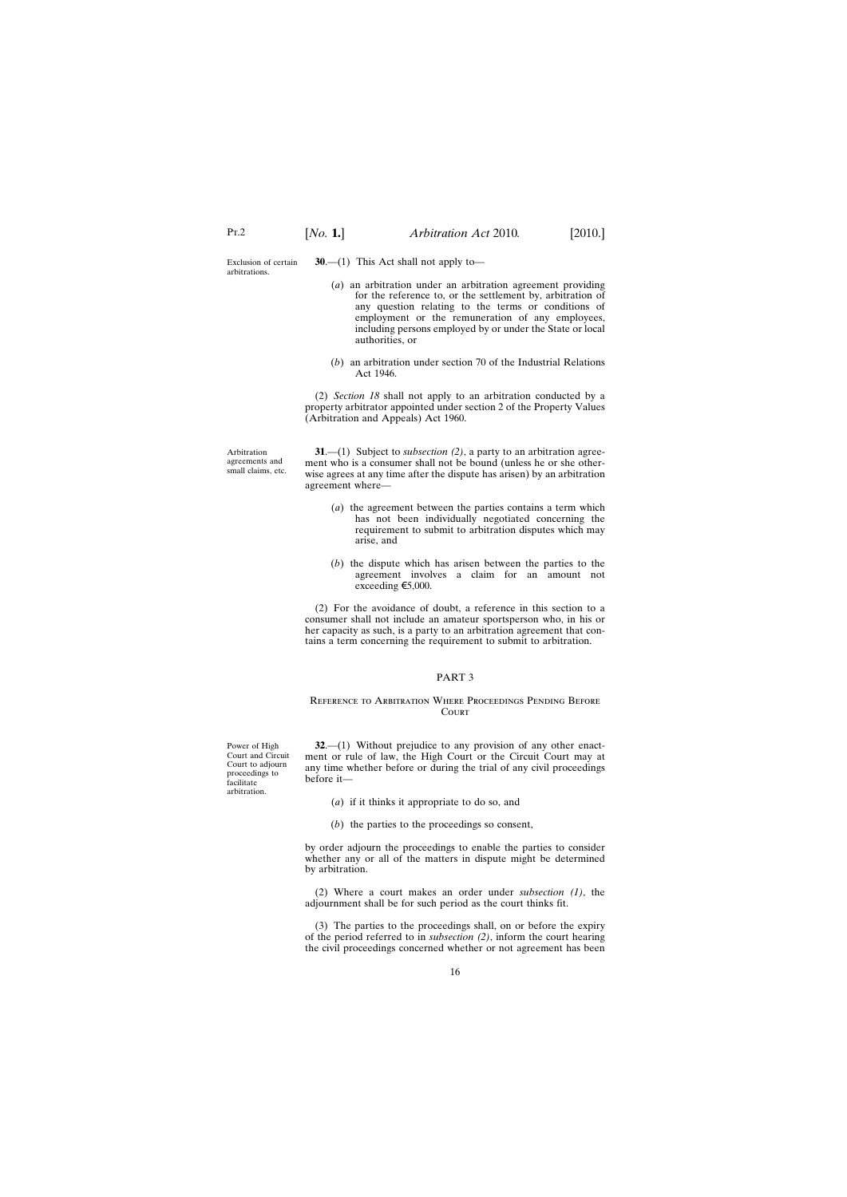<span id="page-15-0"></span>Exclusion of certain arbitrations.

- **30**.—(1) This Act shall not apply to—
	- (*a*) an arbitration under an arbitration agreement providing for the reference to, or the settlement by, arbitration of any question relating to the terms or conditions of employment or the remuneration of any employees, including persons employed by or under the State or local authorities, or
	- (*b*) an arbitration under section 70 of the Industrial Relations Act 1946.

(2) *Section 18* shall not apply to an arbitration conducted by a property arbitrator appointed under section 2 of the Property Values (Arbitration and Appeals) Act 1960.

Arbitration agreements and small claims, etc.

**31**.—(1) Subject to *subsection (2)*, a party to an arbitration agreement who is a consumer shall not be bound (unless he or she otherwise agrees at any time after the dispute has arisen) by an arbitration agreement where—

- (*a*) the agreement between the parties contains a term which has not been individually negotiated concerning the requirement to submit to arbitration disputes which may arise, and
- (*b*) the dispute which has arisen between the parties to the agreement involves a claim for an amount not exceeding €5,000.

(2) For the avoidance of doubt, a reference in this section to a consumer shall not include an amateur sportsperson who, in his or her capacity as such, is a party to an arbitration agreement that contains a term concerning the requirement to submit to arbitration.

## PART 3

## Reference to Arbitration Where Proceedings Pending Before **COURT**

Power of High Court and Circuit Court to adjourn proceedings to facilitate arbitration.

**32**.—(1) Without prejudice to any provision of any other enactment or rule of law, the High Court or the Circuit Court may at any time whether before or during the trial of any civil proceedings before it—

- (*a*) if it thinks it appropriate to do so, and
- (*b*) the parties to the proceedings so consent,

by order adjourn the proceedings to enable the parties to consider whether any or all of the matters in dispute might be determined by arbitration.

(2) Where a court makes an order under *subsection (1)*, the adjournment shall be for such period as the court thinks fit.

(3) The parties to the proceedings shall, on or before the expiry of the period referred to in *subsection (2)*, inform the court hearing the civil proceedings concerned whether or not agreement has been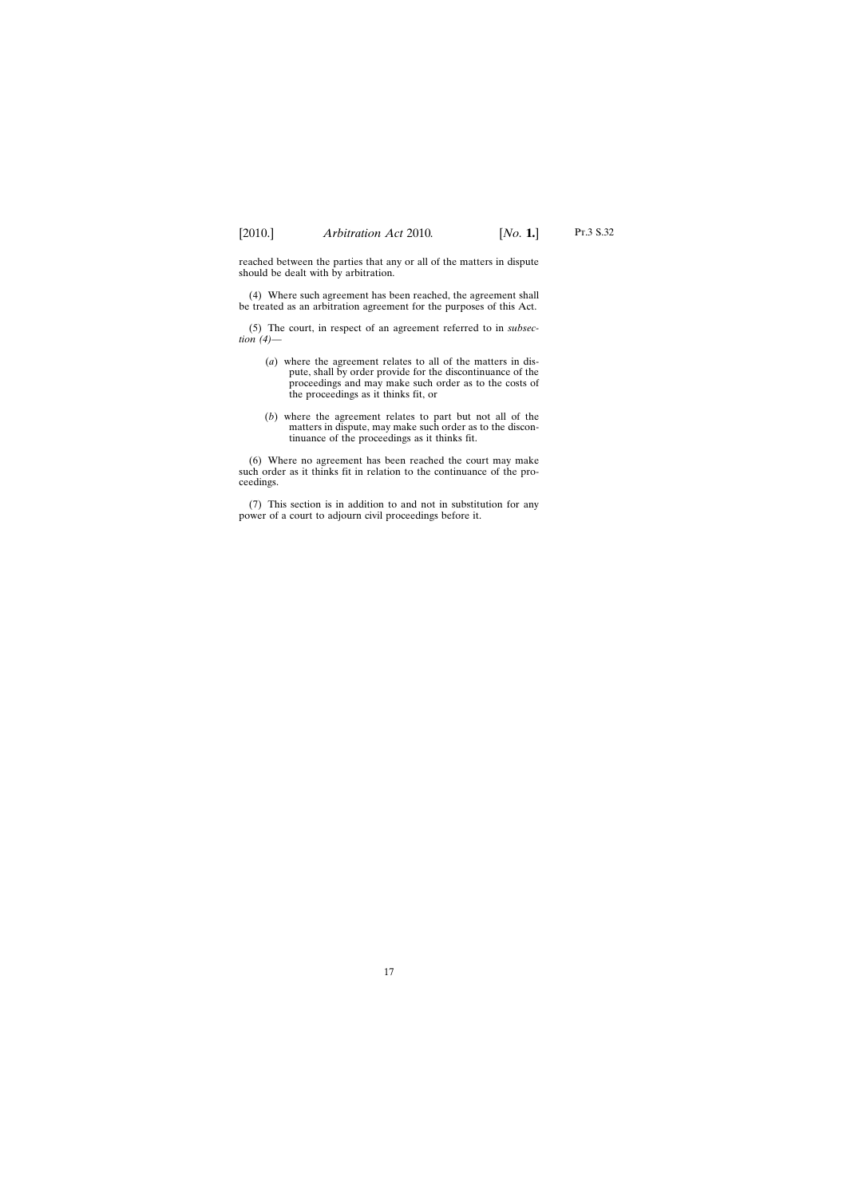reached between the parties that any or all of the matters in dispute should be dealt with by arbitration.

(4) Where such agreement has been reached, the agreement shall be treated as an arbitration agreement for the purposes of this Act.

(5) The court, in respect of an agreement referred to in *subsection (4)*—

- (*a*) where the agreement relates to all of the matters in dispute, shall by order provide for the discontinuance of the proceedings and may make such order as to the costs of the proceedings as it thinks fit, or
- (*b*) where the agreement relates to part but not all of the matters in dispute, may make such order as to the discontinuance of the proceedings as it thinks fit.

(6) Where no agreement has been reached the court may make such order as it thinks fit in relation to the continuance of the proceedings.

(7) This section is in addition to and not in substitution for any power of a court to adjourn civil proceedings before it.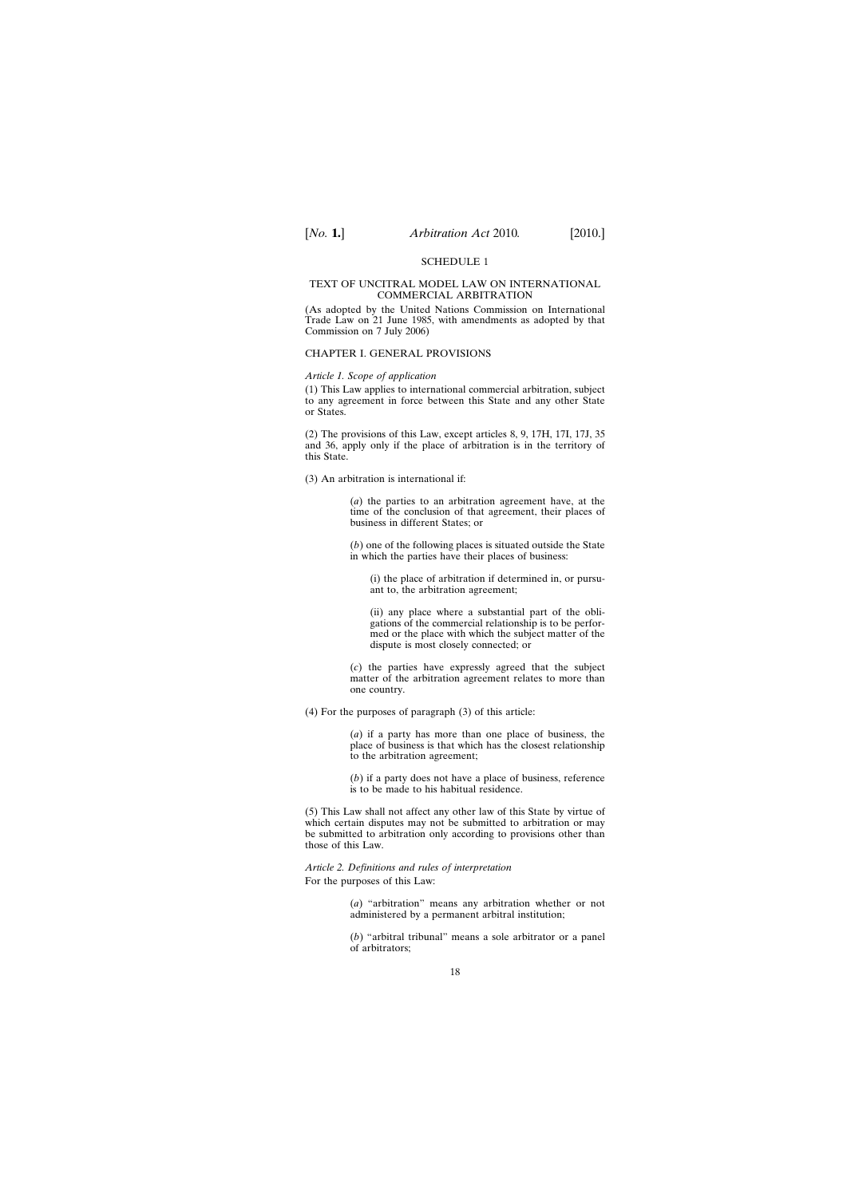## SCHEDULE 1

#### <span id="page-17-0"></span>TEXT OF UNCITRAL MODEL LAW ON INTERNATIONAL COMMERCIAL ARBITRATION

(As adopted by the United Nations Commission on International Trade Law on 21 June 1985, with amendments as adopted by that Commission on 7 July 2006)

## CHAPTER I. GENERAL PROVISIONS

## *Article 1. Scope of application*

(1) This Law applies to international commercial arbitration, subject to any agreement in force between this State and any other State or States.

(2) The provisions of this Law, except articles 8, 9, 17H, 17I, 17J, 35 and 36, apply only if the place of arbitration is in the territory of this State.

(3) An arbitration is international if:

(*a*) the parties to an arbitration agreement have, at the time of the conclusion of that agreement, their places of business in different States; or

(*b*) one of the following places is situated outside the State in which the parties have their places of business:

(i) the place of arbitration if determined in, or pursuant to, the arbitration agreement;

(ii) any place where a substantial part of the obligations of the commercial relationship is to be performed or the place with which the subject matter of the dispute is most closely connected; or

(*c*) the parties have expressly agreed that the subject matter of the arbitration agreement relates to more than one country.

(4) For the purposes of paragraph (3) of this article:

(*a*) if a party has more than one place of business, the place of business is that which has the closest relationship to the arbitration agreement;

(*b*) if a party does not have a place of business, reference is to be made to his habitual residence.

(5) This Law shall not affect any other law of this State by virtue of which certain disputes may not be submitted to arbitration or may be submitted to arbitration only according to provisions other than those of this Law.

## *Article 2. Definitions and rules of interpretation*

For the purposes of this Law:

(*a*) "arbitration" means any arbitration whether or not administered by a permanent arbitral institution;

(*b*) "arbitral tribunal" means a sole arbitrator or a panel of arbitrators;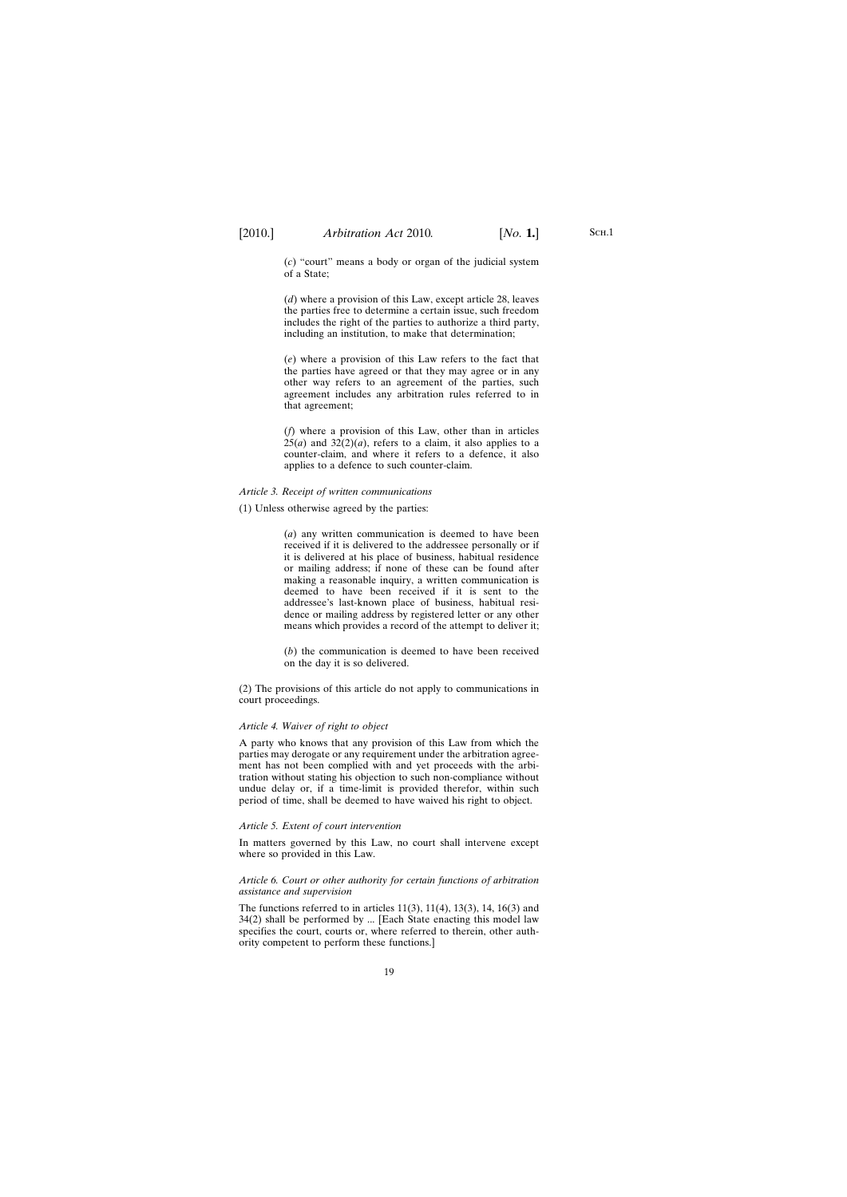(*c*) "court" means a body or organ of the judicial system of a State;

(*d*) where a provision of this Law, except article 28, leaves the parties free to determine a certain issue, such freedom includes the right of the parties to authorize a third party, including an institution, to make that determination;

(*e*) where a provision of this Law refers to the fact that the parties have agreed or that they may agree or in any other way refers to an agreement of the parties, such agreement includes any arbitration rules referred to in that agreement;

(*f*) where a provision of this Law, other than in articles  $25(a)$  and  $32(2)(a)$ , refers to a claim, it also applies to a counter-claim, and where it refers to a defence, it also applies to a defence to such counter-claim.

#### *Article 3. Receipt of written communications*

(1) Unless otherwise agreed by the parties:

(*a*) any written communication is deemed to have been received if it is delivered to the addressee personally or if it is delivered at his place of business, habitual residence or mailing address; if none of these can be found after making a reasonable inquiry, a written communication is deemed to have been received if it is sent to the addressee's last-known place of business, habitual residence or mailing address by registered letter or any other means which provides a record of the attempt to deliver it;

(*b*) the communication is deemed to have been received on the day it is so delivered.

(2) The provisions of this article do not apply to communications in court proceedings.

## *Article 4. Waiver of right to object*

A party who knows that any provision of this Law from which the parties may derogate or any requirement under the arbitration agreement has not been complied with and yet proceeds with the arbitration without stating his objection to such non-compliance without undue delay or, if a time-limit is provided therefor, within such period of time, shall be deemed to have waived his right to object.

#### *Article 5. Extent of court intervention*

In matters governed by this Law, no court shall intervene except where so provided in this Law.

## *Article 6. Court or other authority for certain functions of arbitration assistance and supervision*

The functions referred to in articles  $11(3)$ ,  $11(4)$ ,  $13(3)$ ,  $14$ ,  $16(3)$  and 34(2) shall be performed by ... [Each State enacting this model law specifies the court, courts or, where referred to therein, other authority competent to perform these functions.]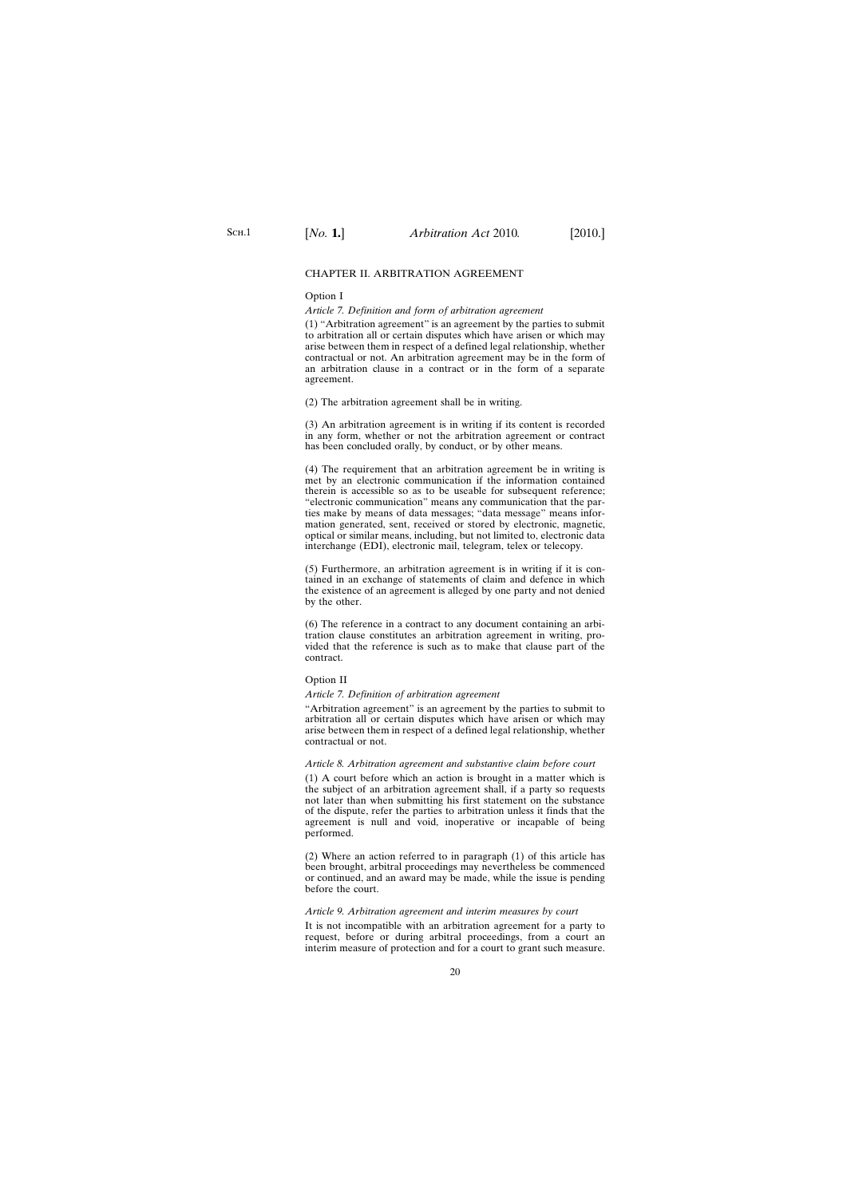# CHAPTER II. ARBITRATION AGREEMENT

### Option I

# *Article 7. Definition and form of arbitration agreement*

(1) "Arbitration agreement" is an agreement by the parties to submit to arbitration all or certain disputes which have arisen or which may arise between them in respect of a defined legal relationship, whether contractual or not. An arbitration agreement may be in the form of an arbitration clause in a contract or in the form of a separate agreement.

(2) The arbitration agreement shall be in writing.

(3) An arbitration agreement is in writing if its content is recorded in any form, whether or not the arbitration agreement or contract has been concluded orally, by conduct, or by other means.

(4) The requirement that an arbitration agreement be in writing is met by an electronic communication if the information contained therein is accessible so as to be useable for subsequent reference; "electronic communication" means any communication that the parties make by means of data messages; "data message" means information generated, sent, received or stored by electronic, magnetic, optical or similar means, including, but not limited to, electronic data interchange (EDI), electronic mail, telegram, telex or telecopy.

(5) Furthermore, an arbitration agreement is in writing if it is contained in an exchange of statements of claim and defence in which the existence of an agreement is alleged by one party and not denied by the other.

(6) The reference in a contract to any document containing an arbitration clause constitutes an arbitration agreement in writing, provided that the reference is such as to make that clause part of the contract.

## Option II

#### *Article 7. Definition of arbitration agreement*

"Arbitration agreement" is an agreement by the parties to submit to arbitration all or certain disputes which have arisen or which may arise between them in respect of a defined legal relationship, whether contractual or not.

#### *Article 8. Arbitration agreement and substantive claim before court*

(1) A court before which an action is brought in a matter which is the subject of an arbitration agreement shall, if a party so requests not later than when submitting his first statement on the substance of the dispute, refer the parties to arbitration unless it finds that the agreement is null and void, inoperative or incapable of being performed.

(2) Where an action referred to in paragraph (1) of this article has been brought, arbitral proceedings may nevertheless be commenced or continued, and an award may be made, while the issue is pending before the court.

## *Article 9. Arbitration agreement and interim measures by court*

It is not incompatible with an arbitration agreement for a party to request, before or during arbitral proceedings, from a court an interim measure of protection and for a court to grant such measure.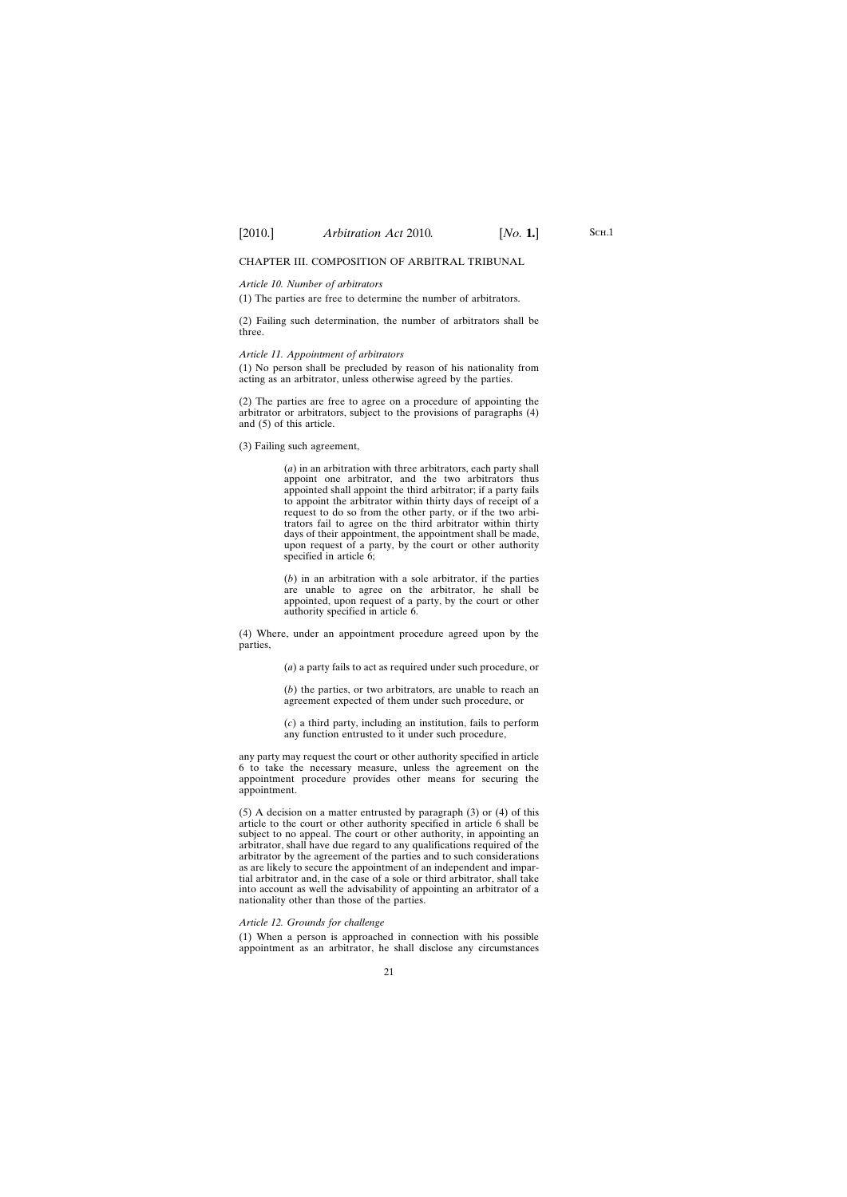Sch.1

## CHAPTER III. COMPOSITION OF ARBITRAL TRIBUNAL

*Article 10. Number of arbitrators*

(1) The parties are free to determine the number of arbitrators.

(2) Failing such determination, the number of arbitrators shall be three.

*Article 11. Appointment of arbitrators*

(1) No person shall be precluded by reason of his nationality from acting as an arbitrator, unless otherwise agreed by the parties.

(2) The parties are free to agree on a procedure of appointing the arbitrator or arbitrators, subject to the provisions of paragraphs (4) and (5) of this article.

(3) Failing such agreement,

(*a*) in an arbitration with three arbitrators, each party shall appoint one arbitrator, and the two arbitrators thus appointed shall appoint the third arbitrator; if a party fails to appoint the arbitrator within thirty days of receipt of a request to do so from the other party, or if the two arbitrators fail to agree on the third arbitrator within thirty days of their appointment, the appointment shall be made, upon request of a party, by the court or other authority specified in article 6;

(*b*) in an arbitration with a sole arbitrator, if the parties are unable to agree on the arbitrator, he shall be appointed, upon request of a party, by the court or other authority specified in article 6.

(4) Where, under an appointment procedure agreed upon by the parties,

(*a*) a party fails to act as required under such procedure, or

(*b*) the parties, or two arbitrators, are unable to reach an agreement expected of them under such procedure, or

(*c*) a third party, including an institution, fails to perform any function entrusted to it under such procedure,

any party may request the court or other authority specified in article 6 to take the necessary measure, unless the agreement on the appointment procedure provides other means for securing the appointment.

(5) A decision on a matter entrusted by paragraph (3) or (4) of this article to the court or other authority specified in article 6 shall be subject to no appeal. The court or other authority, in appointing an arbitrator, shall have due regard to any qualifications required of the arbitrator by the agreement of the parties and to such considerations as are likely to secure the appointment of an independent and impartial arbitrator and, in the case of a sole or third arbitrator, shall take into account as well the advisability of appointing an arbitrator of a nationality other than those of the parties.

## *Article 12. Grounds for challenge*

(1) When a person is approached in connection with his possible appointment as an arbitrator, he shall disclose any circumstances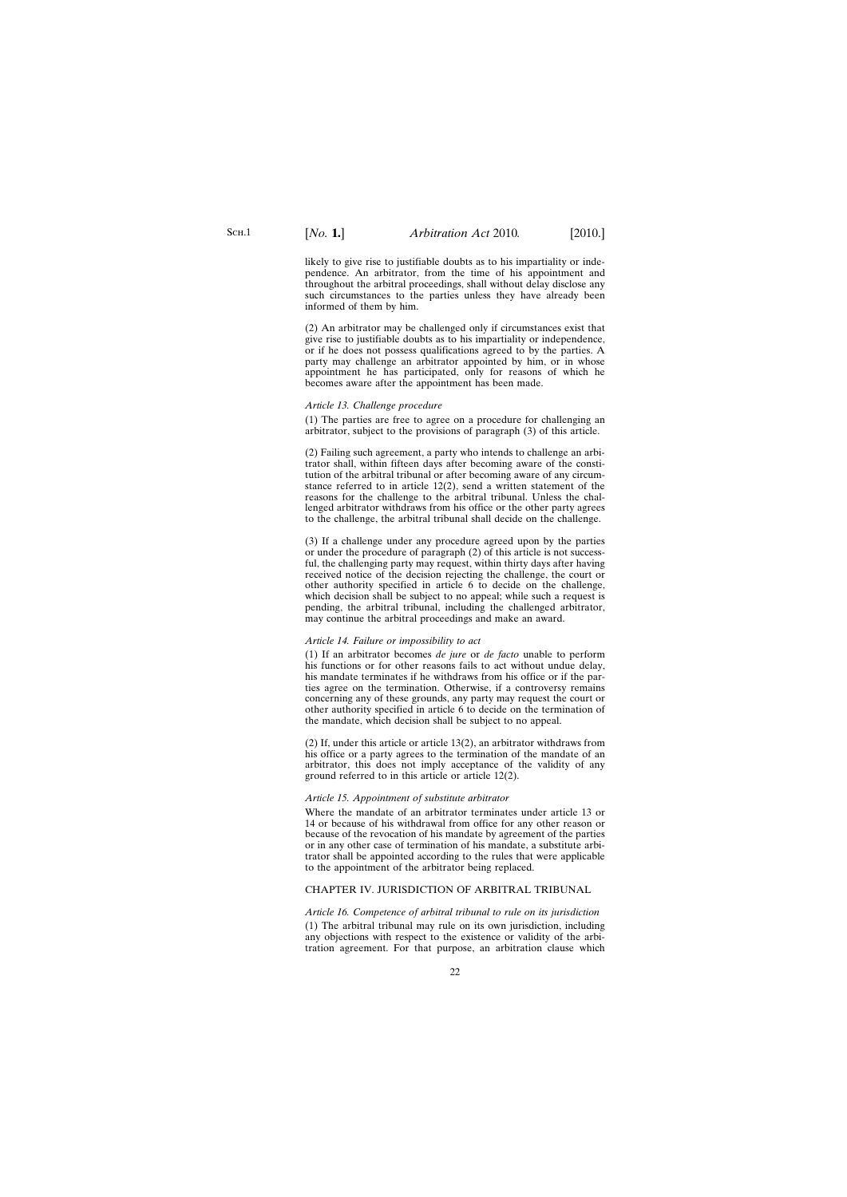likely to give rise to justifiable doubts as to his impartiality or independence. An arbitrator, from the time of his appointment and throughout the arbitral proceedings, shall without delay disclose any such circumstances to the parties unless they have already been informed of them by him.

(2) An arbitrator may be challenged only if circumstances exist that give rise to justifiable doubts as to his impartiality or independence, or if he does not possess qualifications agreed to by the parties. A party may challenge an arbitrator appointed by him, or in whose appointment he has participated, only for reasons of which he becomes aware after the appointment has been made.

#### *Article 13. Challenge procedure*

(1) The parties are free to agree on a procedure for challenging an arbitrator, subject to the provisions of paragraph (3) of this article.

(2) Failing such agreement, a party who intends to challenge an arbitrator shall, within fifteen days after becoming aware of the constitution of the arbitral tribunal or after becoming aware of any circumstance referred to in article 12(2), send a written statement of the reasons for the challenge to the arbitral tribunal. Unless the challenged arbitrator withdraws from his office or the other party agrees to the challenge, the arbitral tribunal shall decide on the challenge.

(3) If a challenge under any procedure agreed upon by the parties or under the procedure of paragraph (2) of this article is not successful, the challenging party may request, within thirty days after having received notice of the decision rejecting the challenge, the court or other authority specified in article 6 to decide on the challenge, which decision shall be subject to no appeal; while such a request is pending, the arbitral tribunal, including the challenged arbitrator, may continue the arbitral proceedings and make an award.

#### *Article 14. Failure or impossibility to act*

(1) If an arbitrator becomes *de jure* or *de facto* unable to perform his functions or for other reasons fails to act without undue delay, his mandate terminates if he withdraws from his office or if the parties agree on the termination. Otherwise, if a controversy remains concerning any of these grounds, any party may request the court or other authority specified in article 6 to decide on the termination of the mandate, which decision shall be subject to no appeal.

(2) If, under this article or article 13(2), an arbitrator withdraws from his office or a party agrees to the termination of the mandate of an arbitrator, this does not imply acceptance of the validity of any ground referred to in this article or article 12(2).

## *Article 15. Appointment of substitute arbitrator*

Where the mandate of an arbitrator terminates under article 13 or 14 or because of his withdrawal from office for any other reason or because of the revocation of his mandate by agreement of the parties or in any other case of termination of his mandate, a substitute arbitrator shall be appointed according to the rules that were applicable to the appointment of the arbitrator being replaced.

## CHAPTER IV. JURISDICTION OF ARBITRAL TRIBUNAL

#### *Article 16. Competence of arbitral tribunal to rule on its jurisdiction*

(1) The arbitral tribunal may rule on its own jurisdiction, including any objections with respect to the existence or validity of the arbitration agreement. For that purpose, an arbitration clause which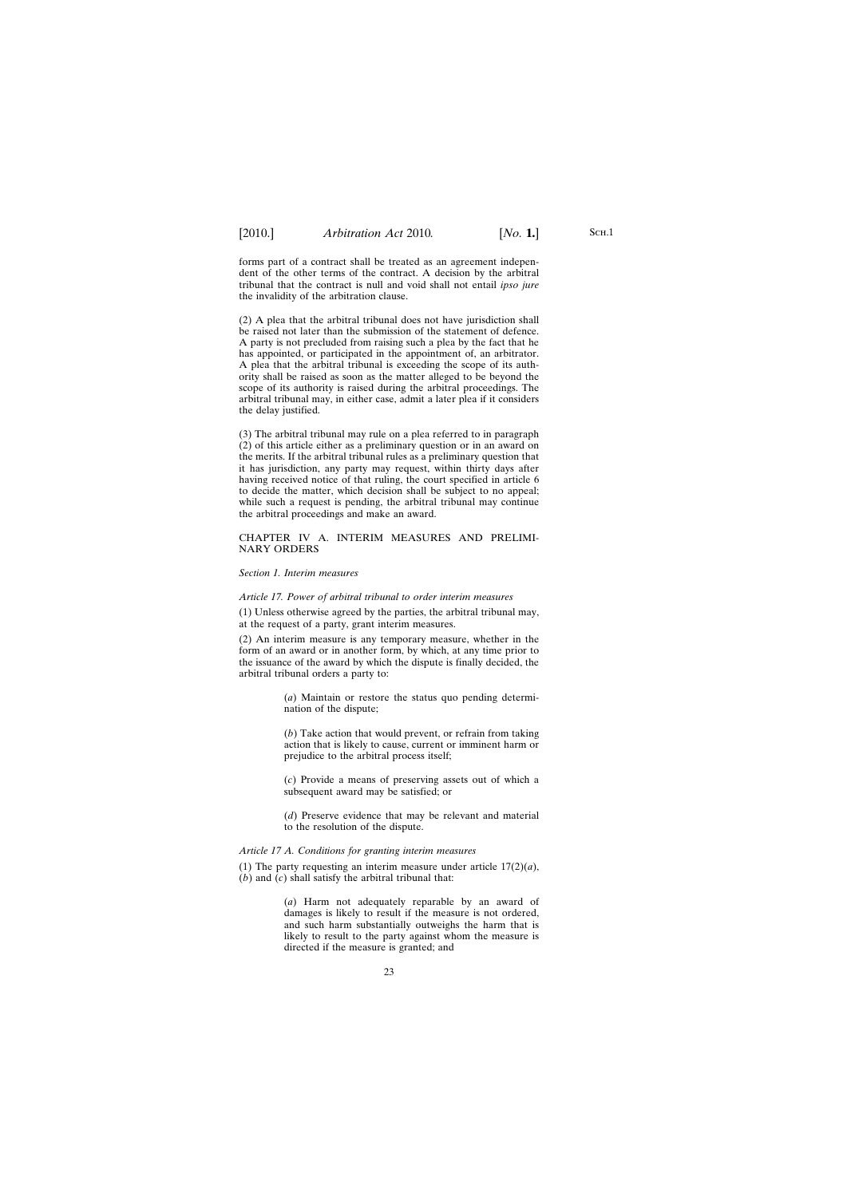forms part of a contract shall be treated as an agreement independent of the other terms of the contract. A decision by the arbitral tribunal that the contract is null and void shall not entail *ipso jure* the invalidity of the arbitration clause.

(2) A plea that the arbitral tribunal does not have jurisdiction shall be raised not later than the submission of the statement of defence. A party is not precluded from raising such a plea by the fact that he has appointed, or participated in the appointment of, an arbitrator. A plea that the arbitral tribunal is exceeding the scope of its authority shall be raised as soon as the matter alleged to be beyond the scope of its authority is raised during the arbitral proceedings. The arbitral tribunal may, in either case, admit a later plea if it considers the delay justified.

(3) The arbitral tribunal may rule on a plea referred to in paragraph (2) of this article either as a preliminary question or in an award on the merits. If the arbitral tribunal rules as a preliminary question that it has jurisdiction, any party may request, within thirty days after having received notice of that ruling, the court specified in article 6 to decide the matter, which decision shall be subject to no appeal; while such a request is pending, the arbitral tribunal may continue the arbitral proceedings and make an award.

## CHAPTER IV A. INTERIM MEASURES AND PRELIMI-NARY ORDERS

#### *Section 1. Interim measures*

#### *Article 17. Power of arbitral tribunal to order interim measures*

(1) Unless otherwise agreed by the parties, the arbitral tribunal may, at the request of a party, grant interim measures.

(2) An interim measure is any temporary measure, whether in the form of an award or in another form, by which, at any time prior to the issuance of the award by which the dispute is finally decided, the arbitral tribunal orders a party to:

> (*a*) Maintain or restore the status quo pending determination of the dispute;

> (*b*) Take action that would prevent, or refrain from taking action that is likely to cause, current or imminent harm or prejudice to the arbitral process itself;

> (*c*) Provide a means of preserving assets out of which a subsequent award may be satisfied; or

> (*d*) Preserve evidence that may be relevant and material to the resolution of the dispute.

#### *Article 17 A. Conditions for granting interim measures*

(1) The party requesting an interim measure under article  $17(2)(a)$ , (*b*) and (*c*) shall satisfy the arbitral tribunal that:

> (*a*) Harm not adequately reparable by an award of damages is likely to result if the measure is not ordered, and such harm substantially outweighs the harm that is likely to result to the party against whom the measure is directed if the measure is granted; and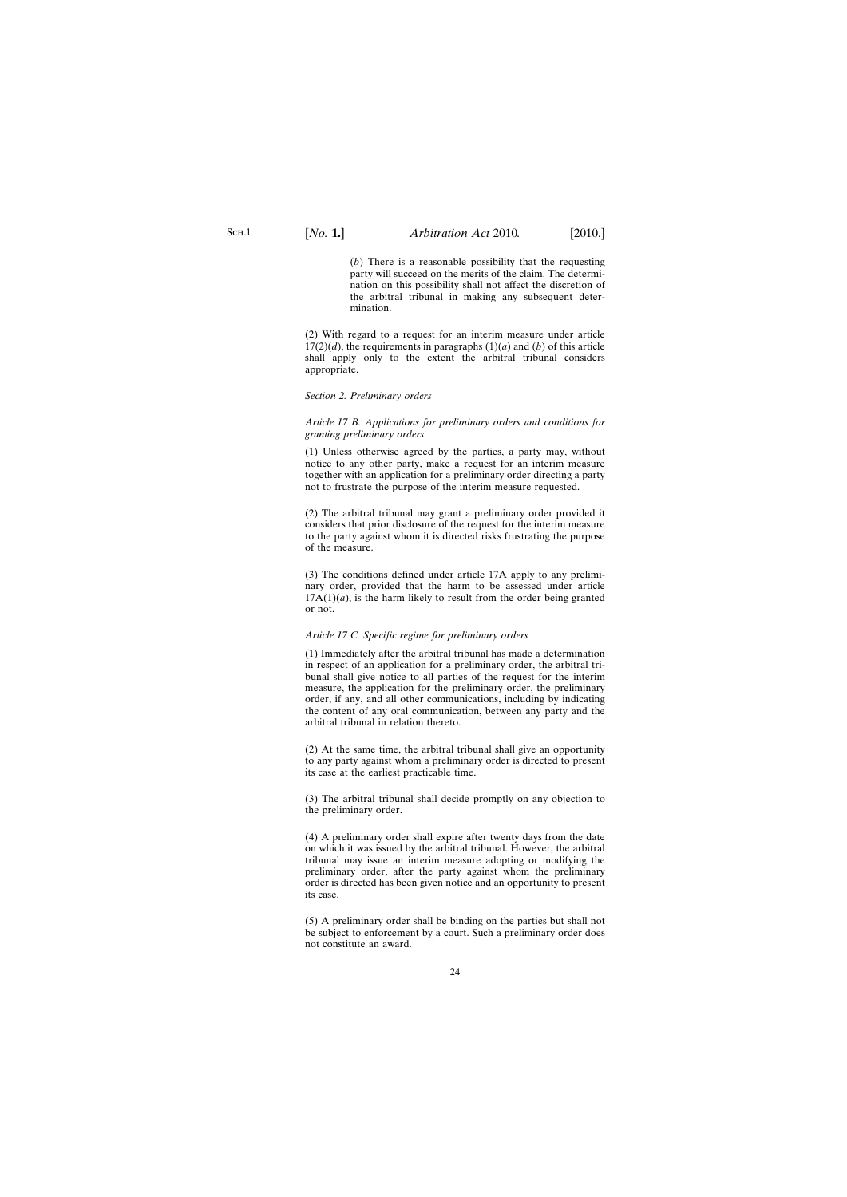(*b*) There is a reasonable possibility that the requesting party will succeed on the merits of the claim. The determination on this possibility shall not affect the discretion of the arbitral tribunal in making any subsequent determination.

(2) With regard to a request for an interim measure under article  $17(2)(d)$ , the requirements in paragraphs  $(1)(a)$  and  $(b)$  of this article shall apply only to the extent the arbitral tribunal considers appropriate.

## *Section 2. Preliminary orders*

## *Article 17 B. Applications for preliminary orders and conditions for granting preliminary orders*

(1) Unless otherwise agreed by the parties, a party may, without notice to any other party, make a request for an interim measure together with an application for a preliminary order directing a party not to frustrate the purpose of the interim measure requested.

(2) The arbitral tribunal may grant a preliminary order provided it considers that prior disclosure of the request for the interim measure to the party against whom it is directed risks frustrating the purpose of the measure.

(3) The conditions defined under article 17A apply to any preliminary order, provided that the harm to be assessed under article  $17A(1)(a)$ , is the harm likely to result from the order being granted or not.

## *Article 17 C. Specific regime for preliminary orders*

(1) Immediately after the arbitral tribunal has made a determination in respect of an application for a preliminary order, the arbitral tribunal shall give notice to all parties of the request for the interim measure, the application for the preliminary order, the preliminary order, if any, and all other communications, including by indicating the content of any oral communication, between any party and the arbitral tribunal in relation thereto.

(2) At the same time, the arbitral tribunal shall give an opportunity to any party against whom a preliminary order is directed to present its case at the earliest practicable time.

(3) The arbitral tribunal shall decide promptly on any objection to the preliminary order.

(4) A preliminary order shall expire after twenty days from the date on which it was issued by the arbitral tribunal. However, the arbitral tribunal may issue an interim measure adopting or modifying the preliminary order, after the party against whom the preliminary order is directed has been given notice and an opportunity to present its case.

(5) A preliminary order shall be binding on the parties but shall not be subject to enforcement by a court. Such a preliminary order does not constitute an award.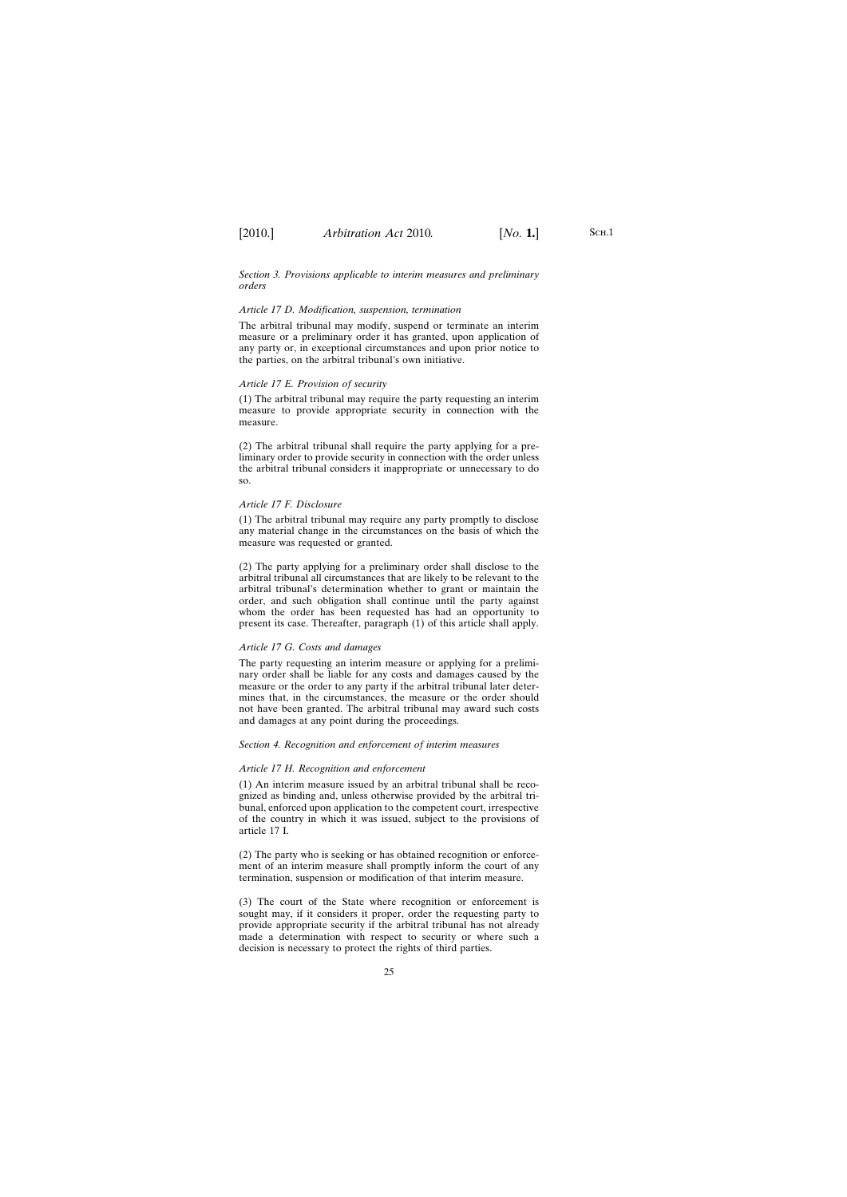*Section 3. Provisions applicable to interim measures and preliminary orders*

#### *Article 17 D. Modification, suspension, termination*

The arbitral tribunal may modify, suspend or terminate an interim measure or a preliminary order it has granted, upon application of any party or, in exceptional circumstances and upon prior notice to the parties, on the arbitral tribunal's own initiative.

#### *Article 17 E. Provision of security*

(1) The arbitral tribunal may require the party requesting an interim measure to provide appropriate security in connection with the measure.

(2) The arbitral tribunal shall require the party applying for a preliminary order to provide security in connection with the order unless the arbitral tribunal considers it inappropriate or unnecessary to do so.

## *Article 17 F. Disclosure*

(1) The arbitral tribunal may require any party promptly to disclose any material change in the circumstances on the basis of which the measure was requested or granted.

(2) The party applying for a preliminary order shall disclose to the arbitral tribunal all circumstances that are likely to be relevant to the arbitral tribunal's determination whether to grant or maintain the order, and such obligation shall continue until the party against whom the order has been requested has had an opportunity to present its case. Thereafter, paragraph (1) of this article shall apply.

#### *Article 17 G. Costs and damages*

The party requesting an interim measure or applying for a preliminary order shall be liable for any costs and damages caused by the measure or the order to any party if the arbitral tribunal later determines that, in the circumstances, the measure or the order should not have been granted. The arbitral tribunal may award such costs and damages at any point during the proceedings.

#### *Section 4. Recognition and enforcement of interim measures*

#### *Article 17 H. Recognition and enforcement*

(1) An interim measure issued by an arbitral tribunal shall be recognized as binding and, unless otherwise provided by the arbitral tribunal, enforced upon application to the competent court, irrespective of the country in which it was issued, subject to the provisions of article 17 I.

(2) The party who is seeking or has obtained recognition or enforcement of an interim measure shall promptly inform the court of any termination, suspension or modification of that interim measure.

(3) The court of the State where recognition or enforcement is sought may, if it considers it proper, order the requesting party to provide appropriate security if the arbitral tribunal has not already made a determination with respect to security or where such a decision is necessary to protect the rights of third parties.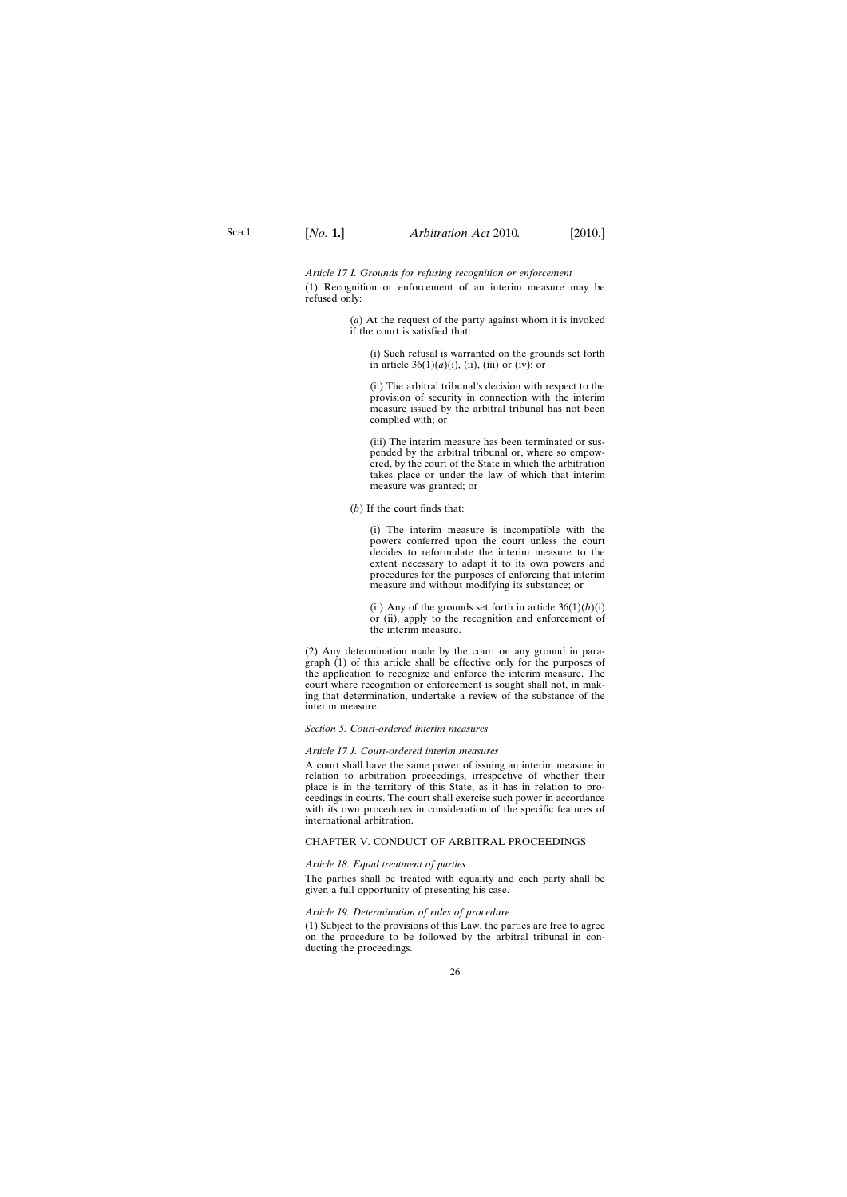*Article 17 I. Grounds for refusing recognition or enforcement*

(1) Recognition or enforcement of an interim measure may be refused only:

> (*a*) At the request of the party against whom it is invoked if the court is satisfied that:

(i) Such refusal is warranted on the grounds set forth in article  $36(1)(a)(i)$ , (ii), (iii) or (iv); or

(ii) The arbitral tribunal's decision with respect to the provision of security in connection with the interim measure issued by the arbitral tribunal has not been complied with; or

(iii) The interim measure has been terminated or suspended by the arbitral tribunal or, where so empowered, by the court of the State in which the arbitration takes place or under the law of which that interim measure was granted; or

(*b*) If the court finds that:

(i) The interim measure is incompatible with the powers conferred upon the court unless the court decides to reformulate the interim measure to the extent necessary to adapt it to its own powers and procedures for the purposes of enforcing that interim measure and without modifying its substance; or

(ii) Any of the grounds set forth in article  $36(1)(b)(i)$ or (ii), apply to the recognition and enforcement of the interim measure.

(2) Any determination made by the court on any ground in paragraph (1) of this article shall be effective only for the purposes of the application to recognize and enforce the interim measure. The court where recognition or enforcement is sought shall not, in making that determination, undertake a review of the substance of the interim measure.

## *Section 5. Court-ordered interim measures*

#### *Article 17 J. Court-ordered interim measures*

A court shall have the same power of issuing an interim measure in relation to arbitration proceedings, irrespective of whether their place is in the territory of this State, as it has in relation to proceedings in courts. The court shall exercise such power in accordance with its own procedures in consideration of the specific features of international arbitration.

# CHAPTER V. CONDUCT OF ARBITRAL PROCEEDINGS

#### *Article 18. Equal treatment of parties*

The parties shall be treated with equality and each party shall be given a full opportunity of presenting his case.

## *Article 19. Determination of rules of procedure*

(1) Subject to the provisions of this Law, the parties are free to agree on the procedure to be followed by the arbitral tribunal in conducting the proceedings.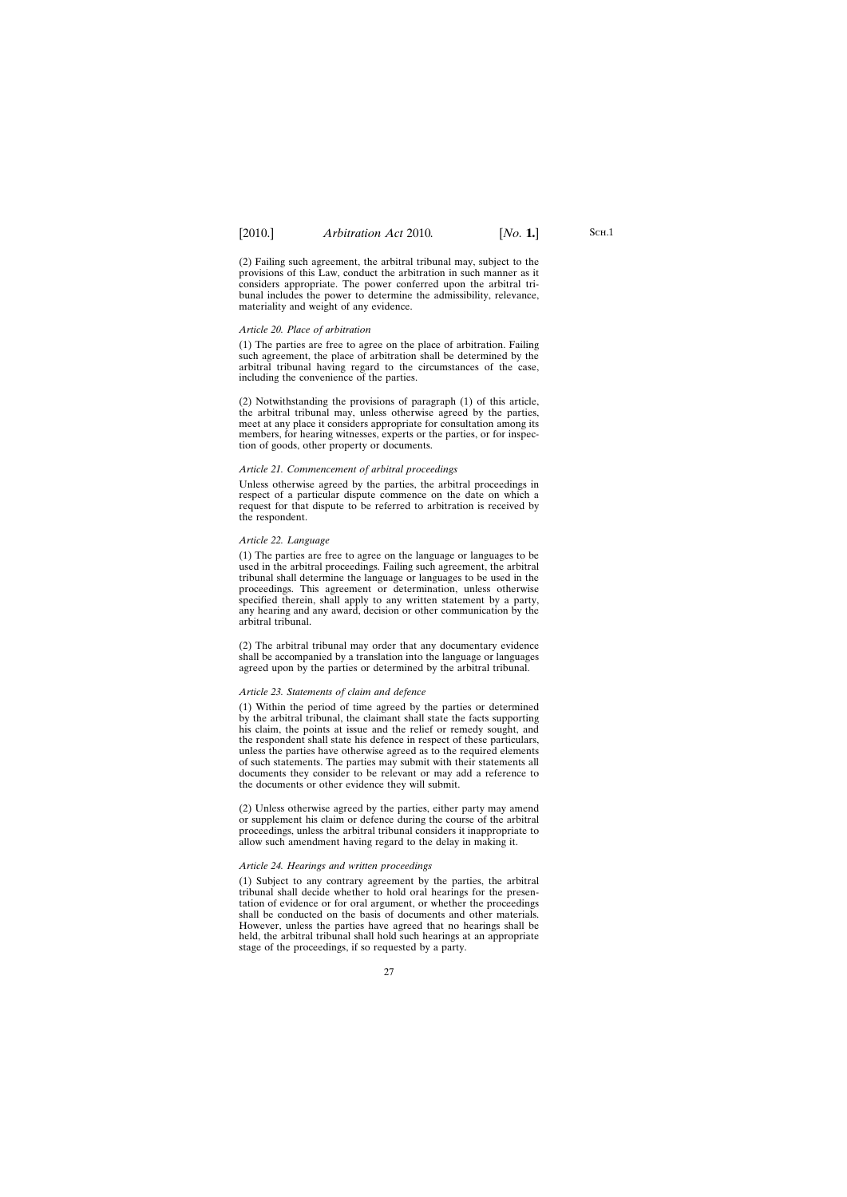(2) Failing such agreement, the arbitral tribunal may, subject to the provisions of this Law, conduct the arbitration in such manner as it considers appropriate. The power conferred upon the arbitral tribunal includes the power to determine the admissibility, relevance, materiality and weight of any evidence.

#### *Article 20. Place of arbitration*

(1) The parties are free to agree on the place of arbitration. Failing such agreement, the place of arbitration shall be determined by the arbitral tribunal having regard to the circumstances of the case, including the convenience of the parties.

(2) Notwithstanding the provisions of paragraph (1) of this article, the arbitral tribunal may, unless otherwise agreed by the parties, meet at any place it considers appropriate for consultation among its members, for hearing witnesses, experts or the parties, or for inspection of goods, other property or documents.

#### *Article 21. Commencement of arbitral proceedings*

Unless otherwise agreed by the parties, the arbitral proceedings in respect of a particular dispute commence on the date on which a request for that dispute to be referred to arbitration is received by the respondent.

#### *Article 22. Language*

(1) The parties are free to agree on the language or languages to be used in the arbitral proceedings. Failing such agreement, the arbitral tribunal shall determine the language or languages to be used in the proceedings. This agreement or determination, unless otherwise specified therein, shall apply to any written statement by a party, any hearing and any award, decision or other communication by the arbitral tribunal.

(2) The arbitral tribunal may order that any documentary evidence shall be accompanied by a translation into the language or languages agreed upon by the parties or determined by the arbitral tribunal.

#### *Article 23. Statements of claim and defence*

(1) Within the period of time agreed by the parties or determined by the arbitral tribunal, the claimant shall state the facts supporting his claim, the points at issue and the relief or remedy sought, and the respondent shall state his defence in respect of these particulars, unless the parties have otherwise agreed as to the required elements of such statements. The parties may submit with their statements all documents they consider to be relevant or may add a reference to the documents or other evidence they will submit.

(2) Unless otherwise agreed by the parties, either party may amend or supplement his claim or defence during the course of the arbitral proceedings, unless the arbitral tribunal considers it inappropriate to allow such amendment having regard to the delay in making it.

#### *Article 24. Hearings and written proceedings*

(1) Subject to any contrary agreement by the parties, the arbitral tribunal shall decide whether to hold oral hearings for the presentation of evidence or for oral argument, or whether the proceedings shall be conducted on the basis of documents and other materials. However, unless the parties have agreed that no hearings shall be held, the arbitral tribunal shall hold such hearings at an appropriate stage of the proceedings, if so requested by a party.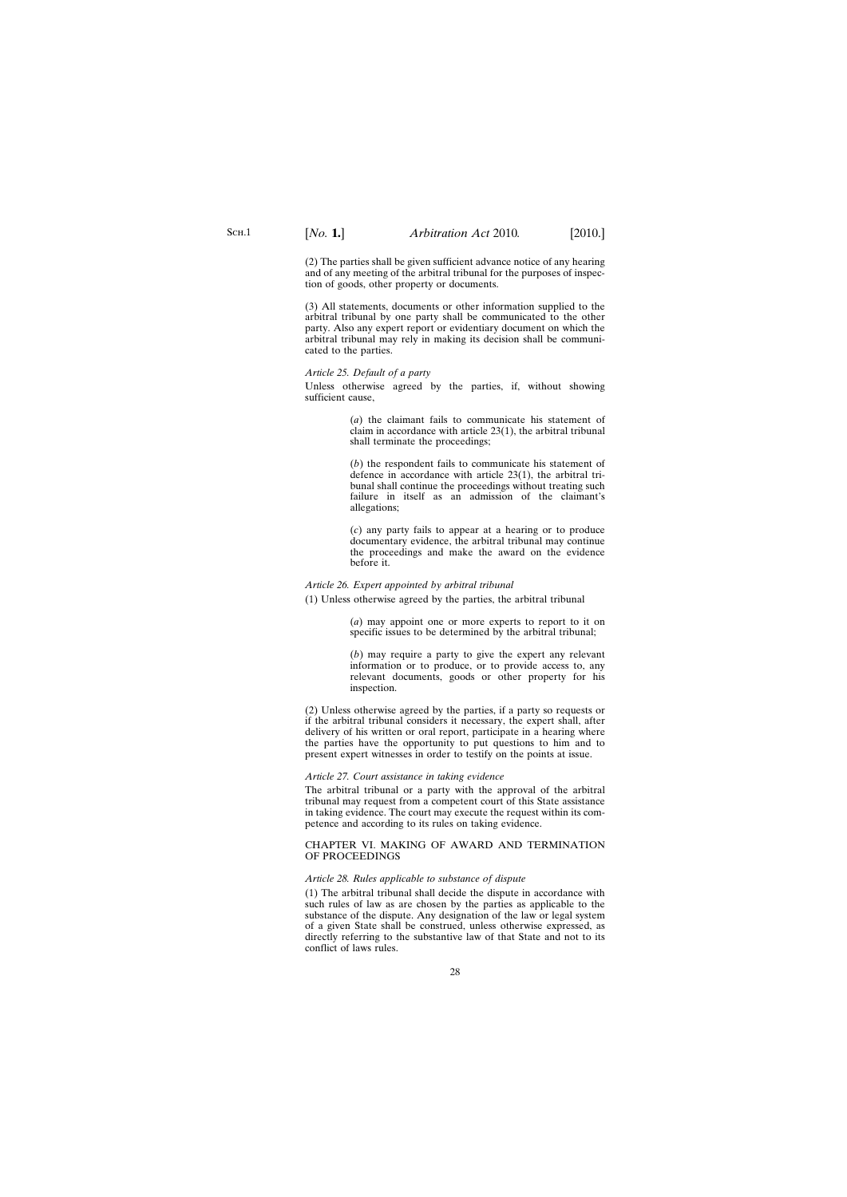(2) The parties shall be given sufficient advance notice of any hearing and of any meeting of the arbitral tribunal for the purposes of inspection of goods, other property or documents.

(3) All statements, documents or other information supplied to the arbitral tribunal by one party shall be communicated to the other party. Also any expert report or evidentiary document on which the arbitral tribunal may rely in making its decision shall be communicated to the parties.

## *Article 25. Default of a party*

Unless otherwise agreed by the parties, if, without showing sufficient cause,

> (*a*) the claimant fails to communicate his statement of claim in accordance with article 23(1), the arbitral tribunal shall terminate the proceedings;

> (*b*) the respondent fails to communicate his statement of defence in accordance with article 23(1), the arbitral tribunal shall continue the proceedings without treating such failure in itself as an admission of the claimant's allegations;

> (*c*) any party fails to appear at a hearing or to produce documentary evidence, the arbitral tribunal may continue the proceedings and make the award on the evidence before it.

## *Article 26. Expert appointed by arbitral tribunal*

(1) Unless otherwise agreed by the parties, the arbitral tribunal

(*a*) may appoint one or more experts to report to it on specific issues to be determined by the arbitral tribunal;

(*b*) may require a party to give the expert any relevant information or to produce, or to provide access to, any relevant documents, goods or other property for his inspection.

(2) Unless otherwise agreed by the parties, if a party so requests or if the arbitral tribunal considers it necessary, the expert shall, after delivery of his written or oral report, participate in a hearing where the parties have the opportunity to put questions to him and to present expert witnesses in order to testify on the points at issue.

## *Article 27. Court assistance in taking evidence*

The arbitral tribunal or a party with the approval of the arbitral tribunal may request from a competent court of this State assistance in taking evidence. The court may execute the request within its competence and according to its rules on taking evidence.

## CHAPTER VI. MAKING OF AWARD AND TERMINATION OF PROCEEDINGS

#### *Article 28. Rules applicable to substance of dispute*

(1) The arbitral tribunal shall decide the dispute in accordance with such rules of law as are chosen by the parties as applicable to the substance of the dispute. Any designation of the law or legal system of a given State shall be construed, unless otherwise expressed, as directly referring to the substantive law of that State and not to its conflict of laws rules.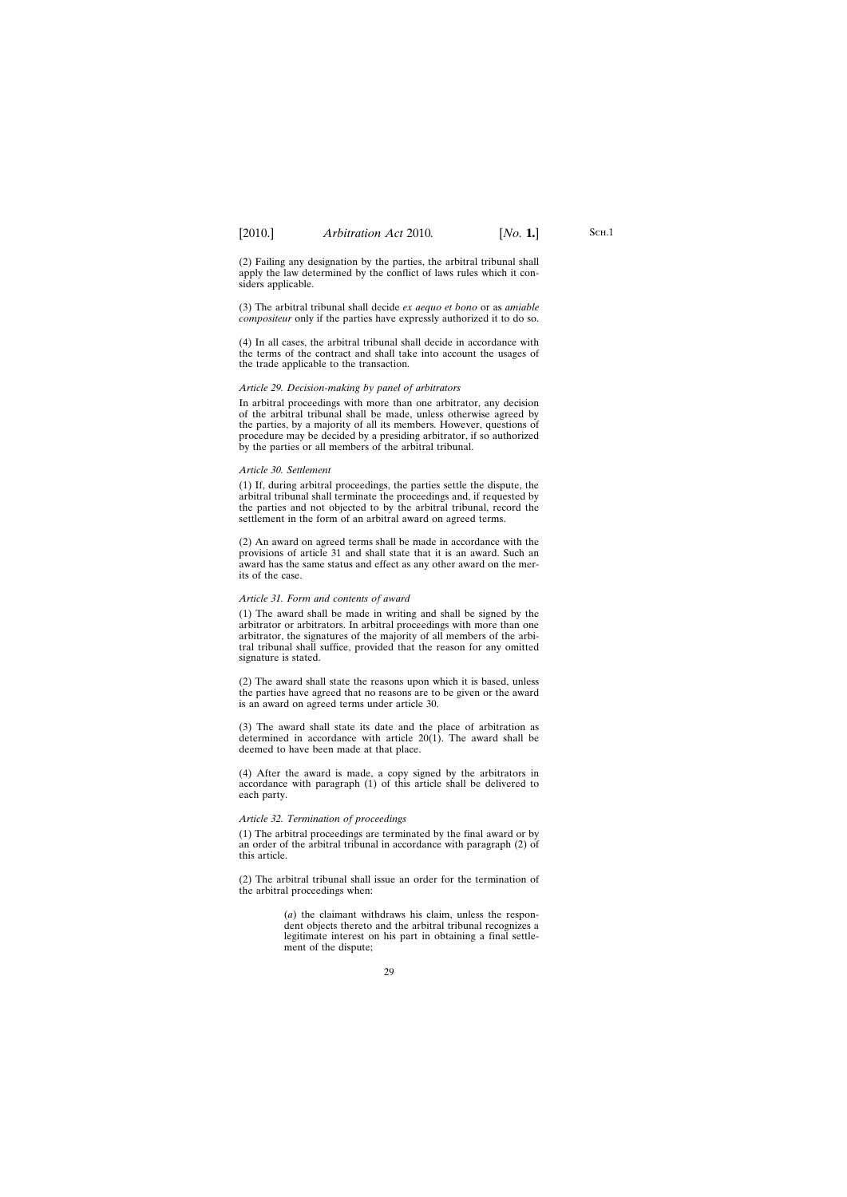(2) Failing any designation by the parties, the arbitral tribunal shall apply the law determined by the conflict of laws rules which it considers applicable.

(3) The arbitral tribunal shall decide *ex aequo et bono* or as *amiable compositeur* only if the parties have expressly authorized it to do so.

(4) In all cases, the arbitral tribunal shall decide in accordance with the terms of the contract and shall take into account the usages of the trade applicable to the transaction.

#### *Article 29. Decision-making by panel of arbitrators*

In arbitral proceedings with more than one arbitrator, any decision of the arbitral tribunal shall be made, unless otherwise agreed by the parties, by a majority of all its members. However, questions of procedure may be decided by a presiding arbitrator, if so authorized by the parties or all members of the arbitral tribunal.

#### *Article 30. Settlement*

(1) If, during arbitral proceedings, the parties settle the dispute, the arbitral tribunal shall terminate the proceedings and, if requested by the parties and not objected to by the arbitral tribunal, record the settlement in the form of an arbitral award on agreed terms.

(2) An award on agreed terms shall be made in accordance with the provisions of article 31 and shall state that it is an award. Such an award has the same status and effect as any other award on the merits of the case.

## *Article 31. Form and contents of award*

(1) The award shall be made in writing and shall be signed by the arbitrator or arbitrators. In arbitral proceedings with more than one arbitrator, the signatures of the majority of all members of the arbitral tribunal shall suffice, provided that the reason for any omitted signature is stated.

(2) The award shall state the reasons upon which it is based, unless the parties have agreed that no reasons are to be given or the award is an award on agreed terms under article 30.

(3) The award shall state its date and the place of arbitration as determined in accordance with article 20(1). The award shall be deemed to have been made at that place.

(4) After the award is made, a copy signed by the arbitrators in accordance with paragraph (1) of this article shall be delivered to each party.

#### *Article 32. Termination of proceedings*

(1) The arbitral proceedings are terminated by the final award or by an order of the arbitral tribunal in accordance with paragraph (2) of this article.

(2) The arbitral tribunal shall issue an order for the termination of the arbitral proceedings when:

> (*a*) the claimant withdraws his claim, unless the respondent objects thereto and the arbitral tribunal recognizes a legitimate interest on his part in obtaining a final settlement of the dispute;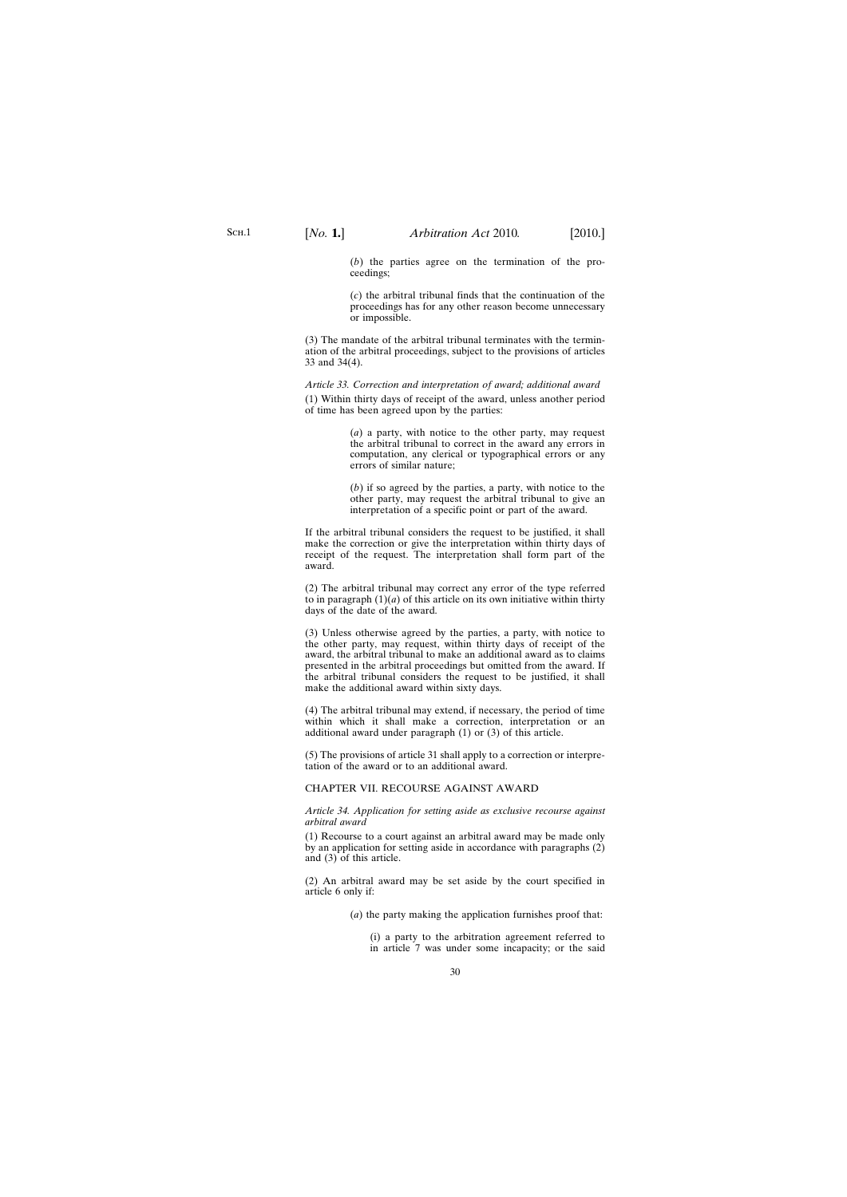(*b*) the parties agree on the termination of the proceedings;

(*c*) the arbitral tribunal finds that the continuation of the proceedings has for any other reason become unnecessary or impossible.

(3) The mandate of the arbitral tribunal terminates with the termination of the arbitral proceedings, subject to the provisions of articles 33 and 34(4).

*Article 33. Correction and interpretation of award; additional award* (1) Within thirty days of receipt of the award, unless another period of time has been agreed upon by the parties:

> (*a*) a party, with notice to the other party, may request the arbitral tribunal to correct in the award any errors in computation, any clerical or typographical errors or any errors of similar nature;

> (*b*) if so agreed by the parties, a party, with notice to the other party, may request the arbitral tribunal to give an interpretation of a specific point or part of the award.

If the arbitral tribunal considers the request to be justified, it shall make the correction or give the interpretation within thirty days of receipt of the request. The interpretation shall form part of the award.

(2) The arbitral tribunal may correct any error of the type referred to in paragraph  $(1)(a)$  of this article on its own initiative within thirty days of the date of the award.

(3) Unless otherwise agreed by the parties, a party, with notice to the other party, may request, within thirty days of receipt of the award, the arbitral tribunal to make an additional award as to claims presented in the arbitral proceedings but omitted from the award. If the arbitral tribunal considers the request to be justified, it shall make the additional award within sixty days.

(4) The arbitral tribunal may extend, if necessary, the period of time within which it shall make a correction, interpretation or an additional award under paragraph (1) or (3) of this article.

(5) The provisions of article 31 shall apply to a correction or interpretation of the award or to an additional award.

## CHAPTER VII. RECOURSE AGAINST AWARD

*Article 34. Application for setting aside as exclusive recourse against arbitral award*

(1) Recourse to a court against an arbitral award may be made only by an application for setting aside in accordance with paragraphs (2) and (3) of this article.

(2) An arbitral award may be set aside by the court specified in article 6 only if:

(*a*) the party making the application furnishes proof that:

(i) a party to the arbitration agreement referred to in article 7 was under some incapacity; or the said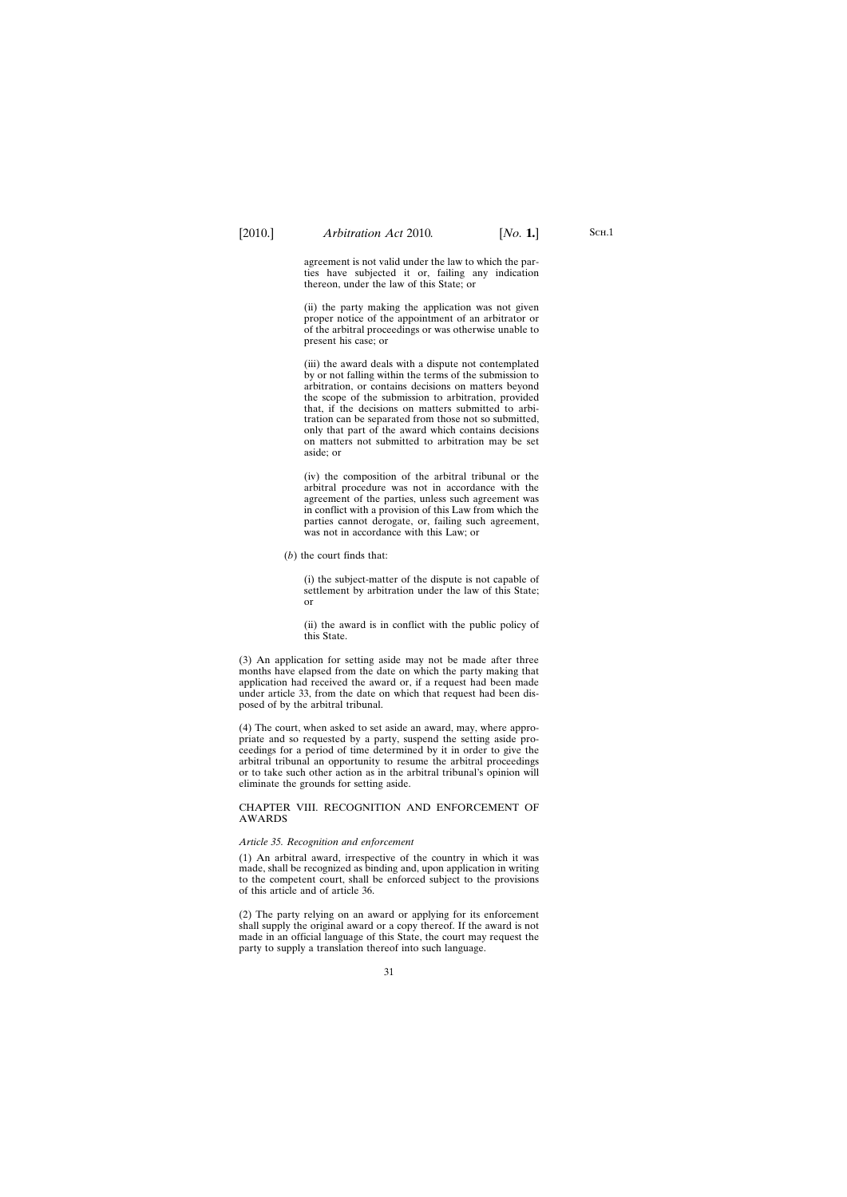agreement is not valid under the law to which the parties have subjected it or, failing any indication thereon, under the law of this State; or

(ii) the party making the application was not given proper notice of the appointment of an arbitrator or of the arbitral proceedings or was otherwise unable to present his case; or

(iii) the award deals with a dispute not contemplated by or not falling within the terms of the submission to arbitration, or contains decisions on matters beyond the scope of the submission to arbitration, provided that, if the decisions on matters submitted to arbitration can be separated from those not so submitted, only that part of the award which contains decisions on matters not submitted to arbitration may be set aside; or

(iv) the composition of the arbitral tribunal or the arbitral procedure was not in accordance with the agreement of the parties, unless such agreement was in conflict with a provision of this Law from which the parties cannot derogate, or, failing such agreement, was not in accordance with this Law; or

(*b*) the court finds that:

(i) the subject-matter of the dispute is not capable of settlement by arbitration under the law of this State; or

(ii) the award is in conflict with the public policy of this State.

(3) An application for setting aside may not be made after three months have elapsed from the date on which the party making that application had received the award or, if a request had been made under article 33, from the date on which that request had been disposed of by the arbitral tribunal.

(4) The court, when asked to set aside an award, may, where appropriate and so requested by a party, suspend the setting aside proceedings for a period of time determined by it in order to give the arbitral tribunal an opportunity to resume the arbitral proceedings or to take such other action as in the arbitral tribunal's opinion will eliminate the grounds for setting aside.

## CHAPTER VIII. RECOGNITION AND ENFORCEMENT OF AWARDS

#### *Article 35. Recognition and enforcement*

(1) An arbitral award, irrespective of the country in which it was made, shall be recognized as binding and, upon application in writing to the competent court, shall be enforced subject to the provisions of this article and of article 36.

(2) The party relying on an award or applying for its enforcement shall supply the original award or a copy thereof. If the award is not made in an official language of this State, the court may request the party to supply a translation thereof into such language.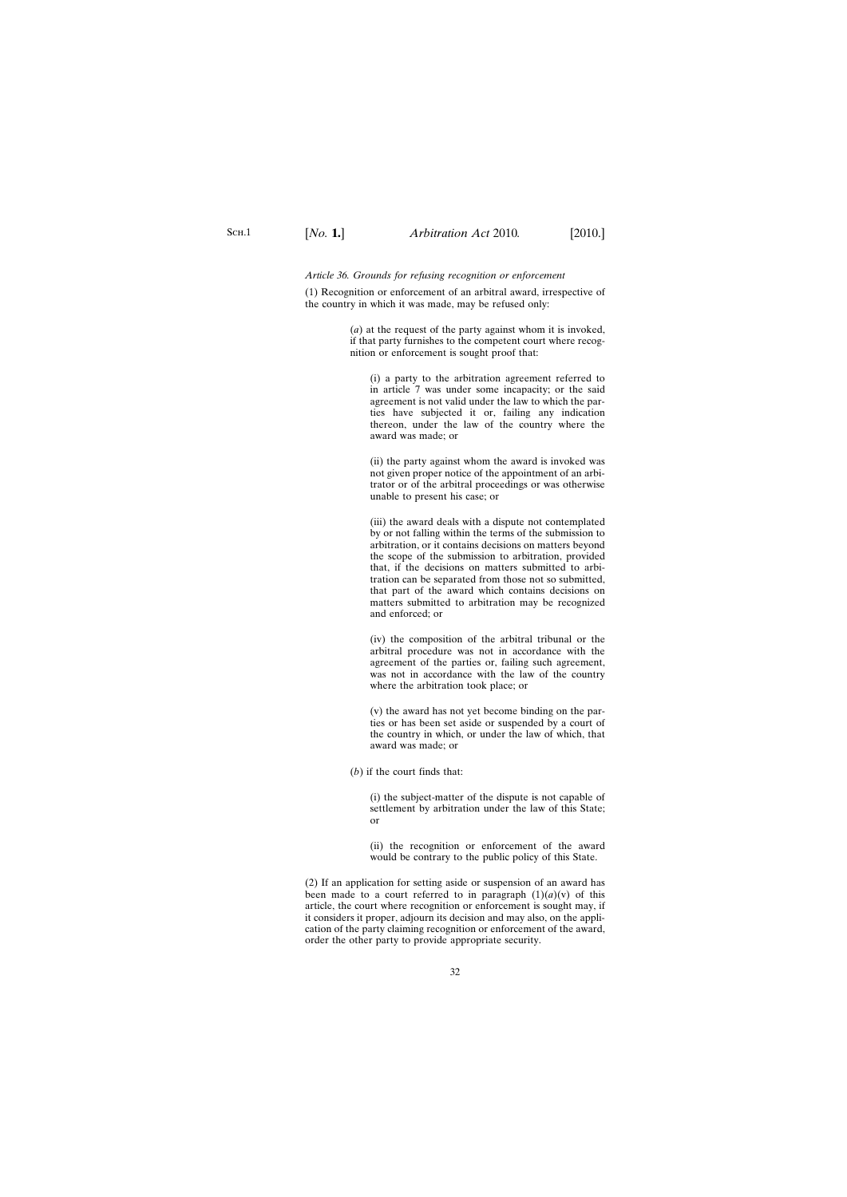### *Article 36. Grounds for refusing recognition or enforcement*

(1) Recognition or enforcement of an arbitral award, irrespective of the country in which it was made, may be refused only:

> (*a*) at the request of the party against whom it is invoked, if that party furnishes to the competent court where recognition or enforcement is sought proof that:

(i) a party to the arbitration agreement referred to in article 7 was under some incapacity; or the said agreement is not valid under the law to which the parties have subjected it or, failing any indication thereon, under the law of the country where the award was made; or

(ii) the party against whom the award is invoked was not given proper notice of the appointment of an arbitrator or of the arbitral proceedings or was otherwise unable to present his case; or

(iii) the award deals with a dispute not contemplated by or not falling within the terms of the submission to arbitration, or it contains decisions on matters beyond the scope of the submission to arbitration, provided that, if the decisions on matters submitted to arbitration can be separated from those not so submitted, that part of the award which contains decisions on matters submitted to arbitration may be recognized and enforced; or

(iv) the composition of the arbitral tribunal or the arbitral procedure was not in accordance with the agreement of the parties or, failing such agreement, was not in accordance with the law of the country where the arbitration took place; or

(v) the award has not yet become binding on the parties or has been set aside or suspended by a court of the country in which, or under the law of which, that award was made; or

(*b*) if the court finds that:

(i) the subject-matter of the dispute is not capable of settlement by arbitration under the law of this State; or

(ii) the recognition or enforcement of the award would be contrary to the public policy of this State.

(2) If an application for setting aside or suspension of an award has been made to a court referred to in paragraph  $(1)(a)(v)$  of this article, the court where recognition or enforcement is sought may, if it considers it proper, adjourn its decision and may also, on the application of the party claiming recognition or enforcement of the award, order the other party to provide appropriate security.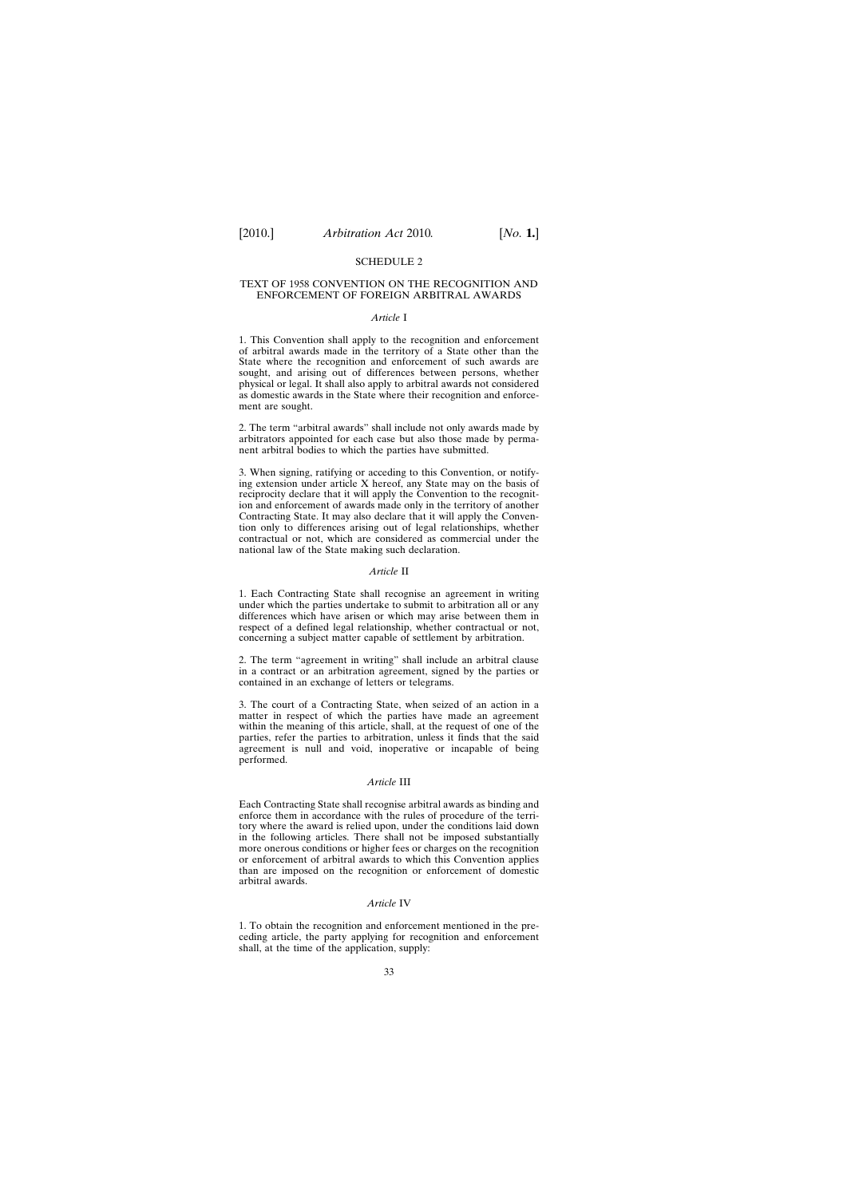## SCHEDULE 2

## <span id="page-32-0"></span>TEXT OF 1958 CONVENTION ON THE RECOGNITION AND ENFORCEMENT OF FOREIGN ARBITRAL AWARDS

## *Article* I

1. This Convention shall apply to the recognition and enforcement of arbitral awards made in the territory of a State other than the State where the recognition and enforcement of such awards are sought, and arising out of differences between persons, whether physical or legal. It shall also apply to arbitral awards not considered as domestic awards in the State where their recognition and enforcement are sought.

2. The term "arbitral awards" shall include not only awards made by arbitrators appointed for each case but also those made by permanent arbitral bodies to which the parties have submitted.

3. When signing, ratifying or acceding to this Convention, or notifying extension under article X hereof, any State may on the basis of reciprocity declare that it will apply the Convention to the recognition and enforcement of awards made only in the territory of another Contracting State. It may also declare that it will apply the Convention only to differences arising out of legal relationships, whether contractual or not, which are considered as commercial under the national law of the State making such declaration.

#### *Article* II

1. Each Contracting State shall recognise an agreement in writing under which the parties undertake to submit to arbitration all or any differences which have arisen or which may arise between them in respect of a defined legal relationship, whether contractual or not, concerning a subject matter capable of settlement by arbitration.

2. The term "agreement in writing" shall include an arbitral clause in a contract or an arbitration agreement, signed by the parties or contained in an exchange of letters or telegrams.

3. The court of a Contracting State, when seized of an action in a matter in respect of which the parties have made an agreement within the meaning of this article, shall, at the request of one of the parties, refer the parties to arbitration, unless it finds that the said agreement is null and void, inoperative or incapable of being performed.

#### *Article* III

Each Contracting State shall recognise arbitral awards as binding and enforce them in accordance with the rules of procedure of the territory where the award is relied upon, under the conditions laid down in the following articles. There shall not be imposed substantially more onerous conditions or higher fees or charges on the recognition or enforcement of arbitral awards to which this Convention applies than are imposed on the recognition or enforcement of domestic arbitral awards.

## *Article* IV

1. To obtain the recognition and enforcement mentioned in the preceding article, the party applying for recognition and enforcement shall, at the time of the application, supply: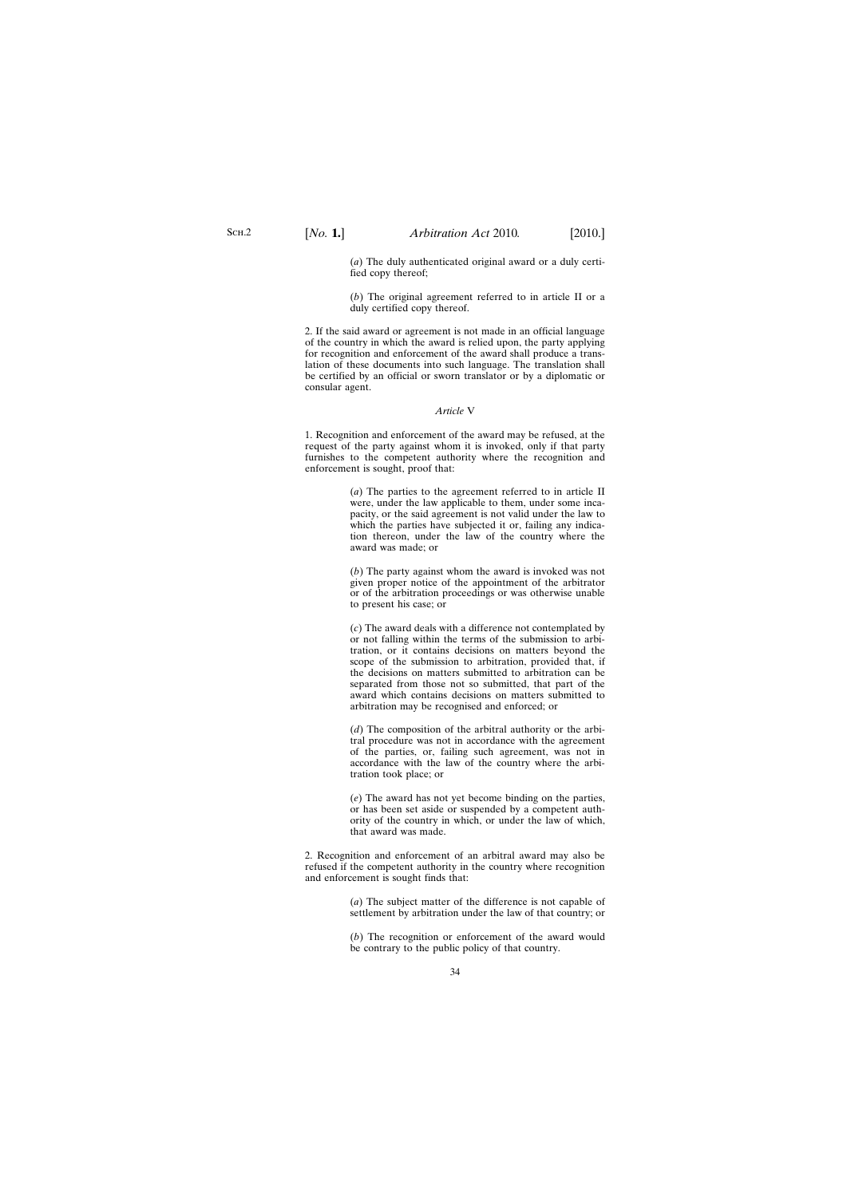(*a*) The duly authenticated original award or a duly certified copy thereof;

(*b*) The original agreement referred to in article II or a duly certified copy thereof.

2. If the said award or agreement is not made in an official language of the country in which the award is relied upon, the party applying for recognition and enforcement of the award shall produce a translation of these documents into such language. The translation shall be certified by an official or sworn translator or by a diplomatic or consular agent.

## *Article* V

1. Recognition and enforcement of the award may be refused, at the request of the party against whom it is invoked, only if that party furnishes to the competent authority where the recognition and enforcement is sought, proof that:

> (*a*) The parties to the agreement referred to in article II were, under the law applicable to them, under some incapacity, or the said agreement is not valid under the law to which the parties have subjected it or, failing any indication thereon, under the law of the country where the award was made; or

> (*b*) The party against whom the award is invoked was not given proper notice of the appointment of the arbitrator or of the arbitration proceedings or was otherwise unable to present his case; or

> (*c*) The award deals with a difference not contemplated by or not falling within the terms of the submission to arbitration, or it contains decisions on matters beyond the scope of the submission to arbitration, provided that, if the decisions on matters submitted to arbitration can be separated from those not so submitted, that part of the award which contains decisions on matters submitted to arbitration may be recognised and enforced; or

> (*d*) The composition of the arbitral authority or the arbitral procedure was not in accordance with the agreement of the parties, or, failing such agreement, was not in accordance with the law of the country where the arbitration took place; or

> (*e*) The award has not yet become binding on the parties, or has been set aside or suspended by a competent authority of the country in which, or under the law of which, that award was made.

2. Recognition and enforcement of an arbitral award may also be refused if the competent authority in the country where recognition and enforcement is sought finds that:

> (*a*) The subject matter of the difference is not capable of settlement by arbitration under the law of that country; or

> (*b*) The recognition or enforcement of the award would be contrary to the public policy of that country.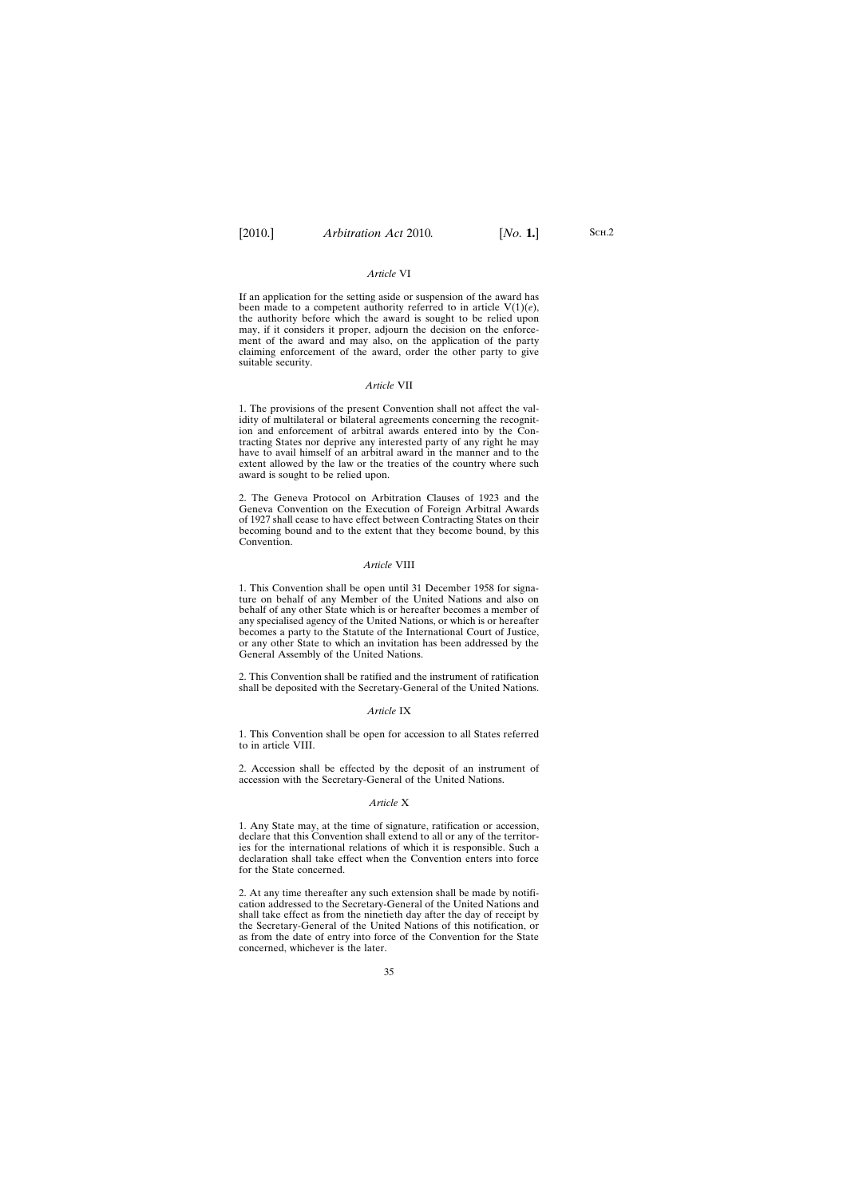If an application for the setting aside or suspension of the award has been made to a competent authority referred to in article  $V(1)(e)$ , the authority before which the award is sought to be relied upon may, if it considers it proper, adjourn the decision on the enforcement of the award and may also, on the application of the party claiming enforcement of the award, order the other party to give suitable security.

## *Article* VII

1. The provisions of the present Convention shall not affect the validity of multilateral or bilateral agreements concerning the recognition and enforcement of arbitral awards entered into by the Contracting States nor deprive any interested party of any right he may have to avail himself of an arbitral award in the manner and to the extent allowed by the law or the treaties of the country where such award is sought to be relied upon.

2. The Geneva Protocol on Arbitration Clauses of 1923 and the Geneva Convention on the Execution of Foreign Arbitral Awards of 1927 shall cease to have effect between Contracting States on their becoming bound and to the extent that they become bound, by this Convention.

## *Article* VIII

1. This Convention shall be open until 31 December 1958 for signature on behalf of any Member of the United Nations and also on behalf of any other State which is or hereafter becomes a member of any specialised agency of the United Nations, or which is or hereafter becomes a party to the Statute of the International Court of Justice, or any other State to which an invitation has been addressed by the General Assembly of the United Nations.

2. This Convention shall be ratified and the instrument of ratification shall be deposited with the Secretary-General of the United Nations.

## *Article* IX

1. This Convention shall be open for accession to all States referred to in article VIII.

2. Accession shall be effected by the deposit of an instrument of accession with the Secretary-General of the United Nations.

## *Article* X

1. Any State may, at the time of signature, ratification or accession, declare that this Convention shall extend to all or any of the territories for the international relations of which it is responsible. Such a declaration shall take effect when the Convention enters into force for the State concerned.

2. At any time thereafter any such extension shall be made by notification addressed to the Secretary-General of the United Nations and shall take effect as from the ninetieth day after the day of receipt by the Secretary-General of the United Nations of this notification, or as from the date of entry into force of the Convention for the State concerned, whichever is the later.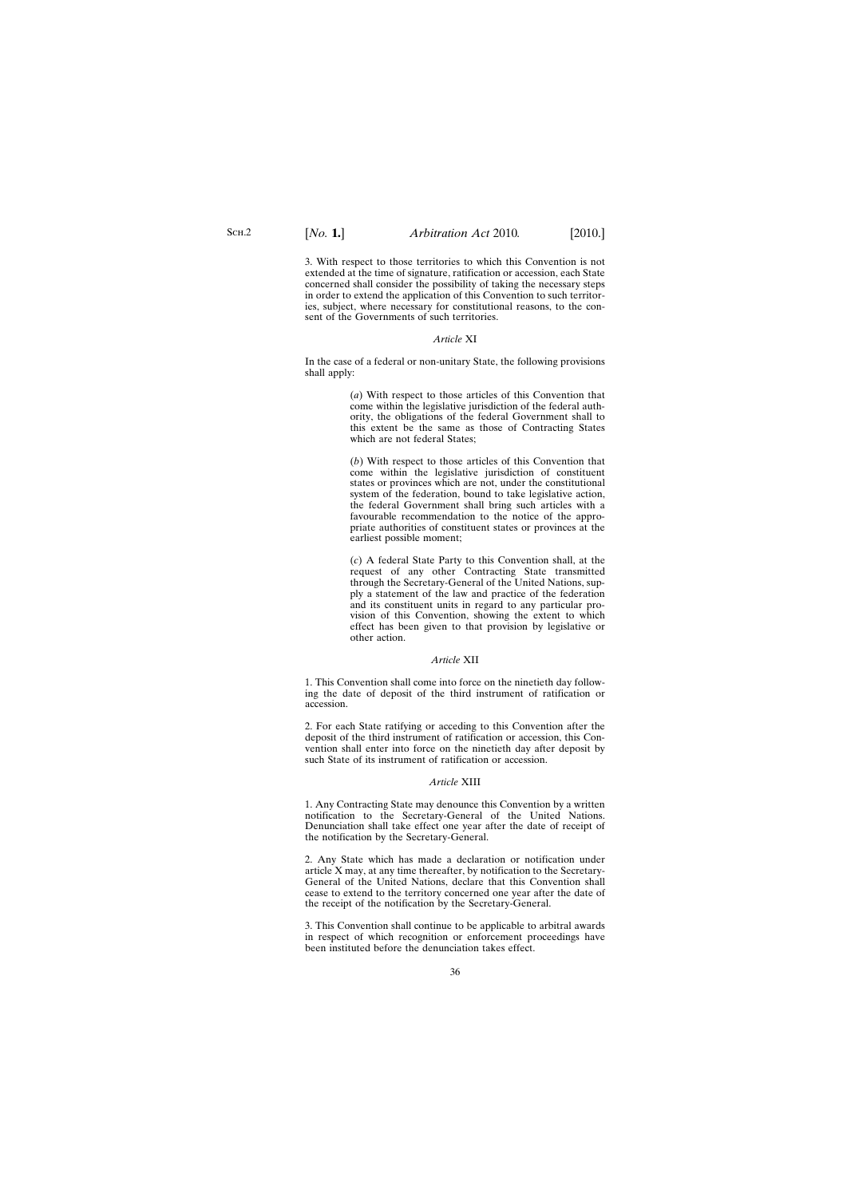3. With respect to those territories to which this Convention is not extended at the time of signature, ratification or accession, each State concerned shall consider the possibility of taking the necessary steps in order to extend the application of this Convention to such territories, subject, where necessary for constitutional reasons, to the consent of the Governments of such territories.

## *Article* XI

In the case of a federal or non-unitary State, the following provisions shall apply:

> (*a*) With respect to those articles of this Convention that come within the legislative jurisdiction of the federal authority, the obligations of the federal Government shall to this extent be the same as those of Contracting States which are not federal States;

> (*b*) With respect to those articles of this Convention that come within the legislative jurisdiction of constituent states or provinces which are not, under the constitutional system of the federation, bound to take legislative action, the federal Government shall bring such articles with a favourable recommendation to the notice of the appropriate authorities of constituent states or provinces at the earliest possible moment;

> (*c*) A federal State Party to this Convention shall, at the request of any other Contracting State transmitted through the Secretary-General of the United Nations, supply a statement of the law and practice of the federation and its constituent units in regard to any particular provision of this Convention, showing the extent to which effect has been given to that provision by legislative or other action.

## *Article* XII

1. This Convention shall come into force on the ninetieth day following the date of deposit of the third instrument of ratification or accession.

2. For each State ratifying or acceding to this Convention after the deposit of the third instrument of ratification or accession, this Convention shall enter into force on the ninetieth day after deposit by such State of its instrument of ratification or accession.

#### *Article* XIII

1. Any Contracting State may denounce this Convention by a written notification to the Secretary-General of the United Nations. Denunciation shall take effect one year after the date of receipt of the notification by the Secretary-General.

2. Any State which has made a declaration or notification under article X may, at any time thereafter, by notification to the Secretary-General of the United Nations, declare that this Convention shall cease to extend to the territory concerned one year after the date of the receipt of the notification by the Secretary-General.

3. This Convention shall continue to be applicable to arbitral awards in respect of which recognition or enforcement proceedings have been instituted before the denunciation takes effect.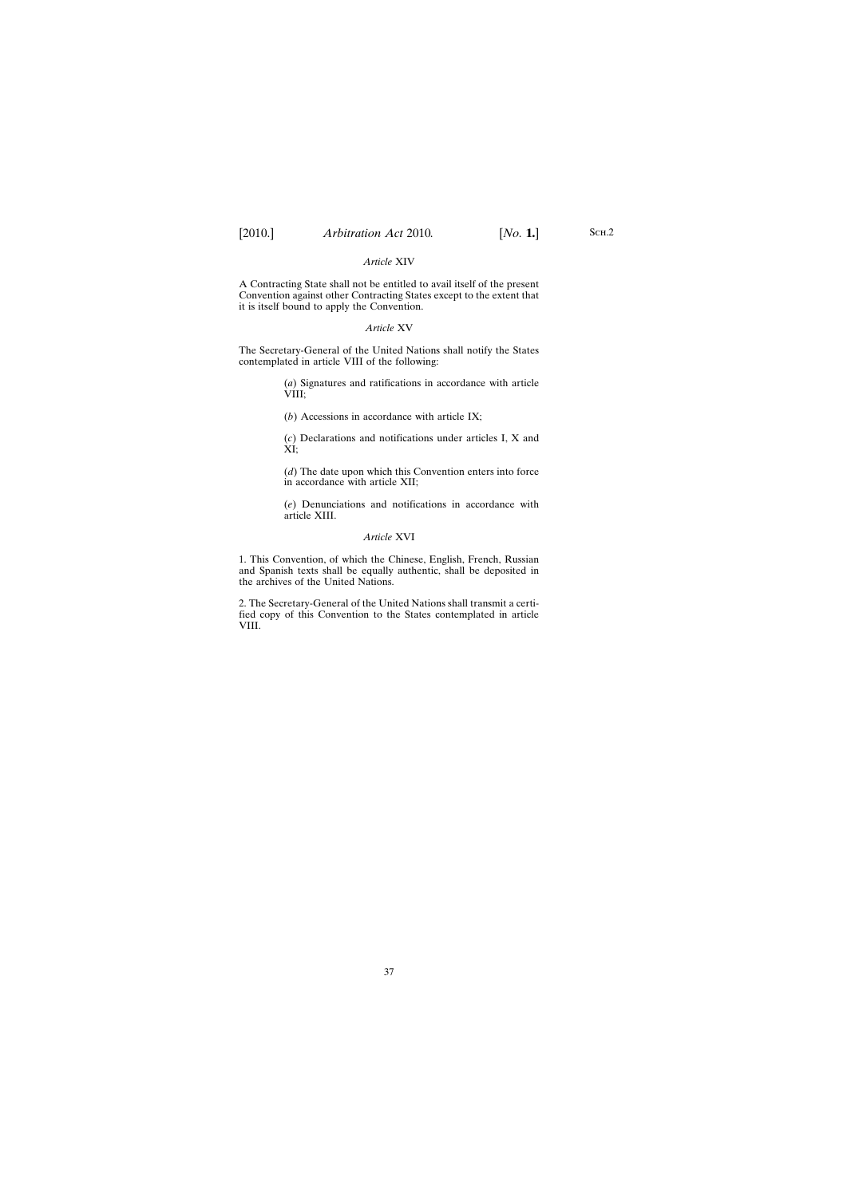## *Article* XIV

A Contracting State shall not be entitled to avail itself of the present Convention against other Contracting States except to the extent that it is itself bound to apply the Convention.

## *Article* XV

The Secretary-General of the United Nations shall notify the States contemplated in article VIII of the following:

> (*a*) Signatures and ratifications in accordance with article VIII;

(*b*) Accessions in accordance with article IX;

(*c*) Declarations and notifications under articles I, X and XI;

(*d*) The date upon which this Convention enters into force in accordance with article XII;

(*e*) Denunciations and notifications in accordance with article XIII.

## *Article* XVI

1. This Convention, of which the Chinese, English, French, Russian and Spanish texts shall be equally authentic, shall be deposited in the archives of the United Nations.

2. The Secretary-General of the United Nations shall transmit a certified copy of this Convention to the States contemplated in article VIII.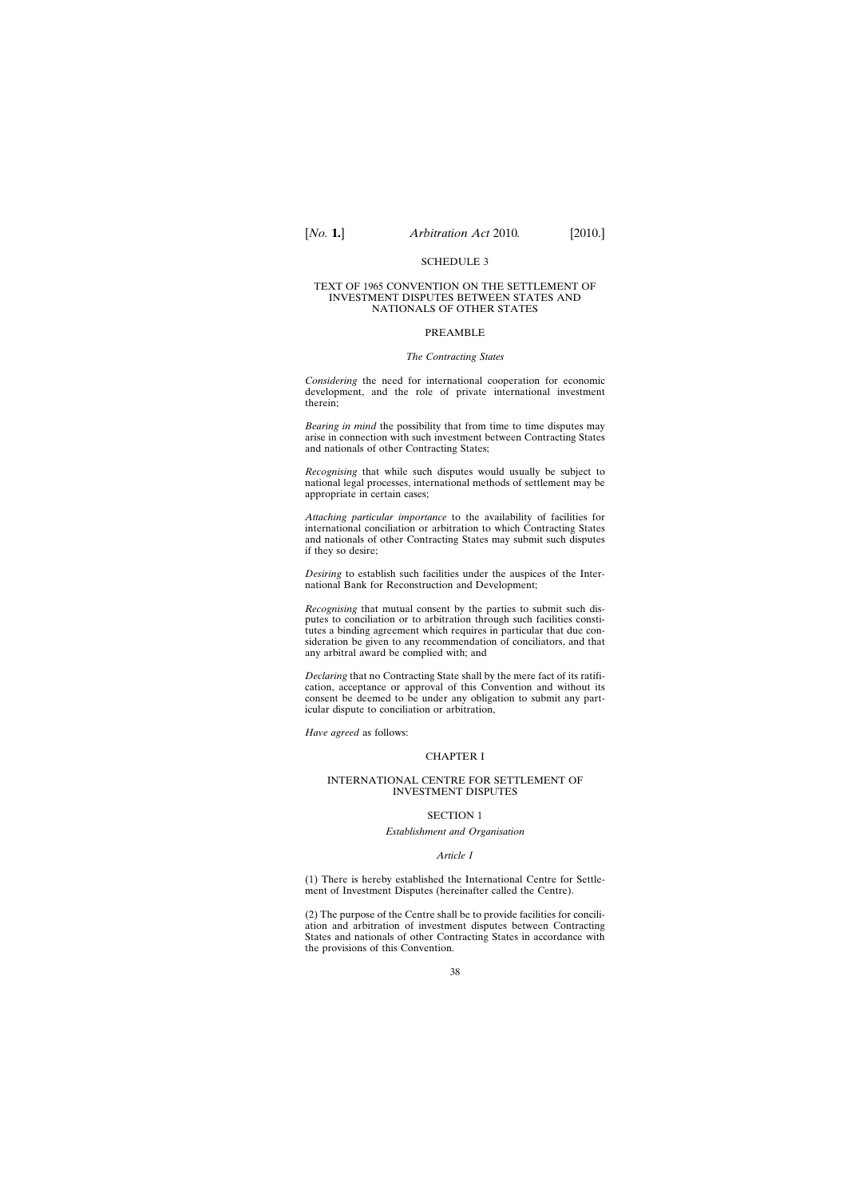## SCHEDULE 3

## <span id="page-37-0"></span>TEXT OF 1965 CONVENTION ON THE SETTLEMENT OF INVESTMENT DISPUTES BETWEEN STATES AND NATIONALS OF OTHER STATES

## PREAMBLE

#### *The Contracting States*

*Considering* the need for international cooperation for economic development, and the role of private international investment therein;

*Bearing in mind* the possibility that from time to time disputes may arise in connection with such investment between Contracting States and nationals of other Contracting States;

*Recognising* that while such disputes would usually be subject to national legal processes, international methods of settlement may be appropriate in certain cases;

*Attaching particular importance* to the availability of facilities for international conciliation or arbitration to which Contracting States and nationals of other Contracting States may submit such disputes if they so desire;

*Desiring* to establish such facilities under the auspices of the International Bank for Reconstruction and Development;

*Recognising* that mutual consent by the parties to submit such disputes to conciliation or to arbitration through such facilities constitutes a binding agreement which requires in particular that due consideration be given to any recommendation of conciliators, and that any arbitral award be complied with; and

*Declaring* that no Contracting State shall by the mere fact of its ratification, acceptance or approval of this Convention and without its consent be deemed to be under any obligation to submit any particular dispute to conciliation or arbitration,

*Have agreed* as follows:

#### CHAPTER I

## INTERNATIONAL CENTRE FOR SETTLEMENT OF INVESTMENT DISPUTES

## SECTION 1

#### *Establishment and Organisation*

## *Article 1*

(1) There is hereby established the International Centre for Settlement of Investment Disputes (hereinafter called the Centre).

(2) The purpose of the Centre shall be to provide facilities for conciliation and arbitration of investment disputes between Contracting States and nationals of other Contracting States in accordance with the provisions of this Convention.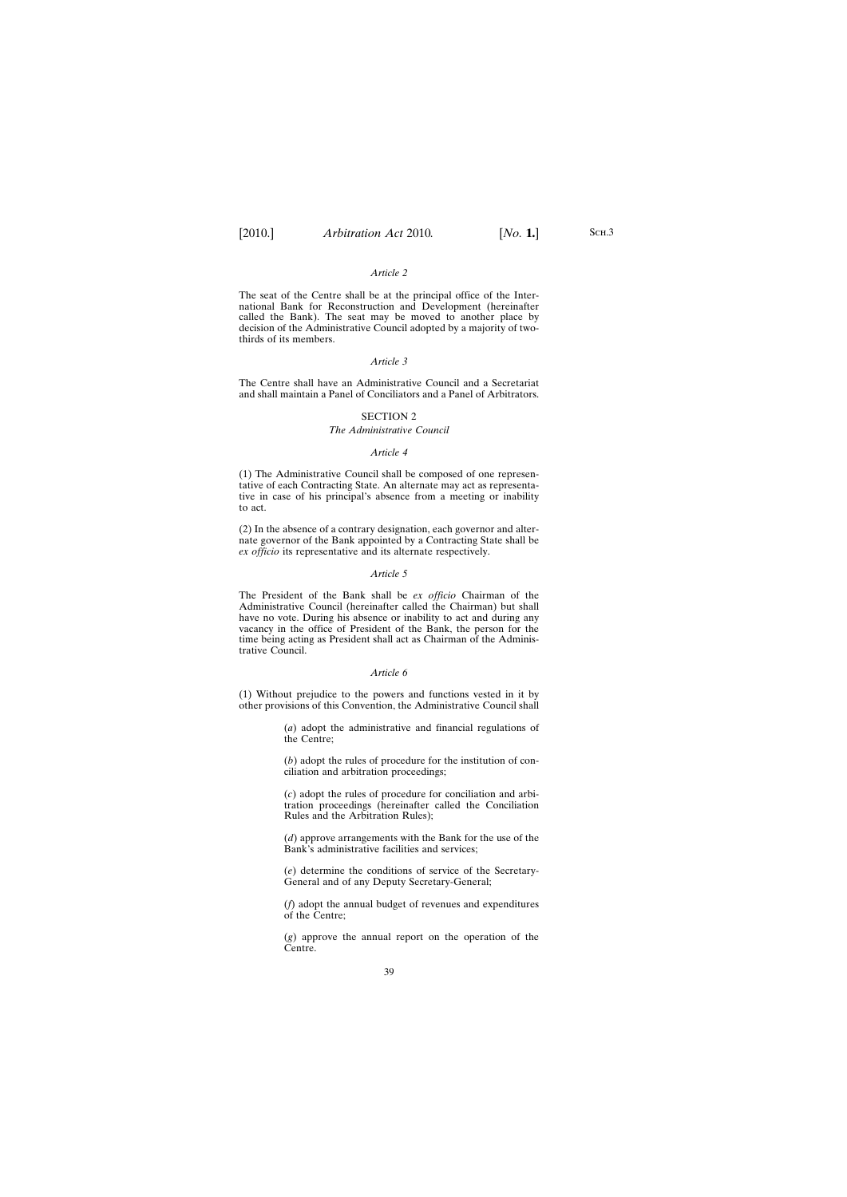The seat of the Centre shall be at the principal office of the International Bank for Reconstruction and Development (hereinafter called the Bank). The seat may be moved to another place by decision of the Administrative Council adopted by a majority of twothirds of its members.

#### *Article 3*

The Centre shall have an Administrative Council and a Secretariat and shall maintain a Panel of Conciliators and a Panel of Arbitrators.

# SECTION 2

## *The Administrative Council*

#### *Article 4*

(1) The Administrative Council shall be composed of one representative of each Contracting State. An alternate may act as representative in case of his principal's absence from a meeting or inability to act.

(2) In the absence of a contrary designation, each governor and alternate governor of the Bank appointed by a Contracting State shall be *ex officio* its representative and its alternate respectively.

#### *Article 5*

The President of the Bank shall be *ex officio* Chairman of the Administrative Council (hereinafter called the Chairman) but shall have no vote. During his absence or inability to act and during any vacancy in the office of President of the Bank, the person for the time being acting as President shall act as Chairman of the Administrative Council.

#### *Article 6*

(1) Without prejudice to the powers and functions vested in it by other provisions of this Convention, the Administrative Council shall

> (*a*) adopt the administrative and financial regulations of the Centre;

> (*b*) adopt the rules of procedure for the institution of conciliation and arbitration proceedings;

> (*c*) adopt the rules of procedure for conciliation and arbitration proceedings (hereinafter called the Conciliation Rules and the Arbitration Rules);

> (*d*) approve arrangements with the Bank for the use of the Bank's administrative facilities and services;

> (*e*) determine the conditions of service of the Secretary-General and of any Deputy Secretary-General;

> (*f*) adopt the annual budget of revenues and expenditures of the Centre;

> (*g*) approve the annual report on the operation of the Centre.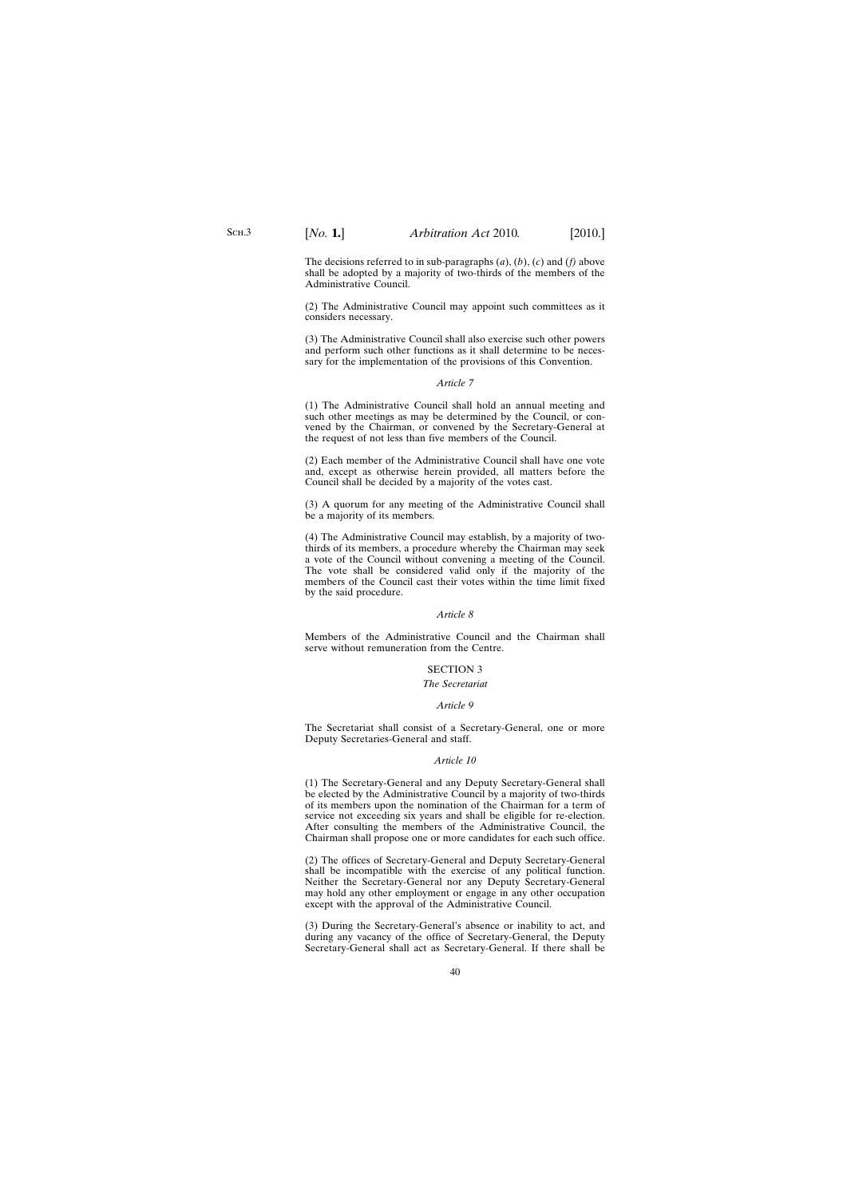The decisions referred to in sub-paragraphs (*a*), (*b*), (*c*) and (*f)* above shall be adopted by a majority of two-thirds of the members of the Administrative Council.

(2) The Administrative Council may appoint such committees as it considers necessary.

(3) The Administrative Council shall also exercise such other powers and perform such other functions as it shall determine to be necessary for the implementation of the provisions of this Convention.

#### *Article 7*

(1) The Administrative Council shall hold an annual meeting and such other meetings as may be determined by the Council, or convened by the Chairman, or convened by the Secretary-General at the request of not less than five members of the Council.

(2) Each member of the Administrative Council shall have one vote and, except as otherwise herein provided, all matters before the Council shall be decided by a majority of the votes cast.

(3) A quorum for any meeting of the Administrative Council shall be a majority of its members.

(4) The Administrative Council may establish, by a majority of twothirds of its members, a procedure whereby the Chairman may seek a vote of the Council without convening a meeting of the Council. The vote shall be considered valid only if the majority of the members of the Council cast their votes within the time limit fixed by the said procedure.

#### *Article 8*

Members of the Administrative Council and the Chairman shall serve without remuneration from the Centre.

# SECTION 3

## *The Secretariat*

## *Article 9*

The Secretariat shall consist of a Secretary-General, one or more Deputy Secretaries-General and staff.

## *Article 10*

(1) The Secretary-General and any Deputy Secretary-General shall be elected by the Administrative Council by a majority of two-thirds of its members upon the nomination of the Chairman for a term of service not exceeding six years and shall be eligible for re-election. After consulting the members of the Administrative Council, the Chairman shall propose one or more candidates for each such office.

(2) The offices of Secretary-General and Deputy Secretary-General shall be incompatible with the exercise of any political function. Neither the Secretary-General nor any Deputy Secretary-General may hold any other employment or engage in any other occupation except with the approval of the Administrative Council.

(3) During the Secretary-General's absence or inability to act, and during any vacancy of the office of Secretary-General, the Deputy Secretary-General shall act as Secretary-General. If there shall be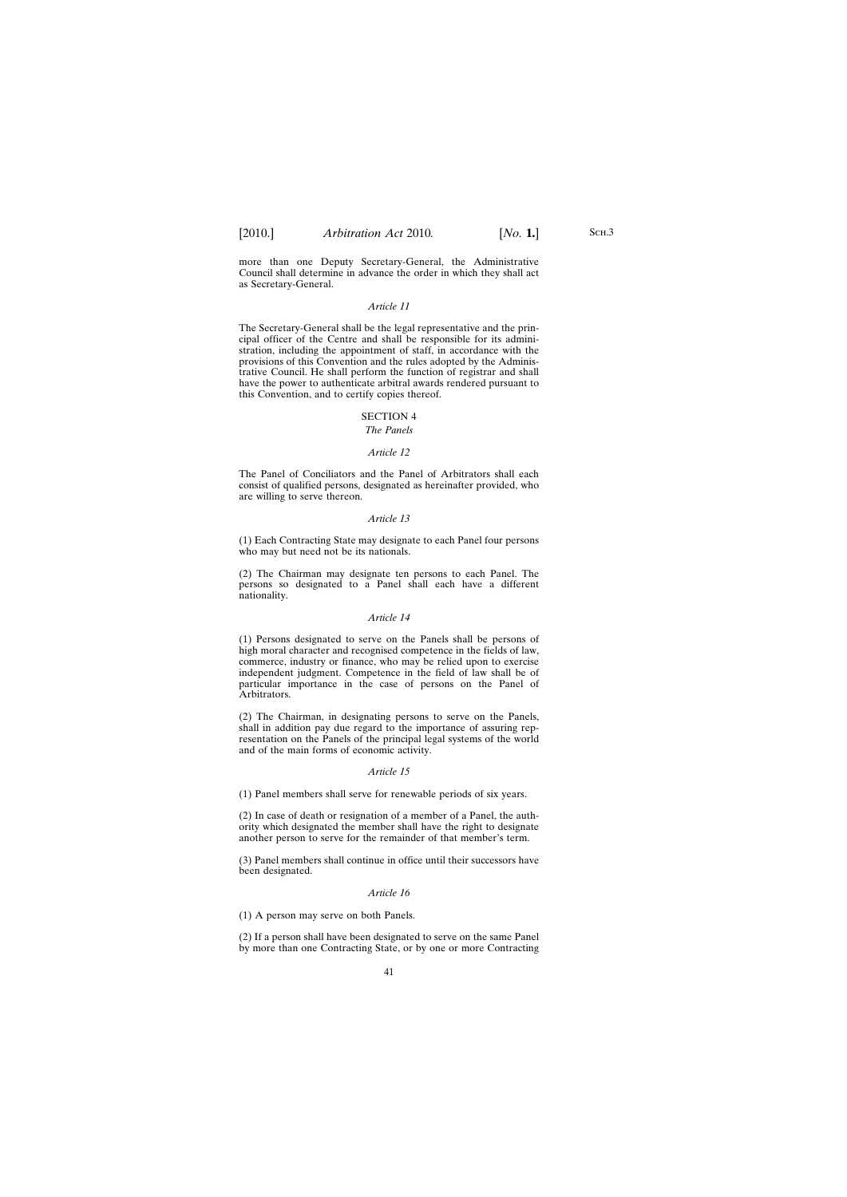more than one Deputy Secretary-General, the Administrative Council shall determine in advance the order in which they shall act as Secretary-General.

## *Article 11*

The Secretary-General shall be the legal representative and the principal officer of the Centre and shall be responsible for its administration, including the appointment of staff, in accordance with the provisions of this Convention and the rules adopted by the Administrative Council. He shall perform the function of registrar and shall have the power to authenticate arbitral awards rendered pursuant to this Convention, and to certify copies thereof.

## SECTION 4

# *The Panels*

# *Article 12*

The Panel of Conciliators and the Panel of Arbitrators shall each consist of qualified persons, designated as hereinafter provided, who are willing to serve thereon.

## *Article 13*

(1) Each Contracting State may designate to each Panel four persons who may but need not be its nationals.

(2) The Chairman may designate ten persons to each Panel. The persons so designated to a Panel shall each have a different nationality.

#### *Article 14*

(1) Persons designated to serve on the Panels shall be persons of high moral character and recognised competence in the fields of law, commerce, industry or finance, who may be relied upon to exercise independent judgment. Competence in the field of law shall be of particular importance in the case of persons on the Panel of Arbitrators.

(2) The Chairman, in designating persons to serve on the Panels, shall in addition pay due regard to the importance of assuring representation on the Panels of the principal legal systems of the world and of the main forms of economic activity.

#### *Article 15*

(1) Panel members shall serve for renewable periods of six years.

(2) In case of death or resignation of a member of a Panel, the authority which designated the member shall have the right to designate another person to serve for the remainder of that member's term.

(3) Panel members shall continue in office until their successors have been designated.

#### *Article 16*

(1) A person may serve on both Panels.

(2) If a person shall have been designated to serve on the same Panel by more than one Contracting State, or by one or more Contracting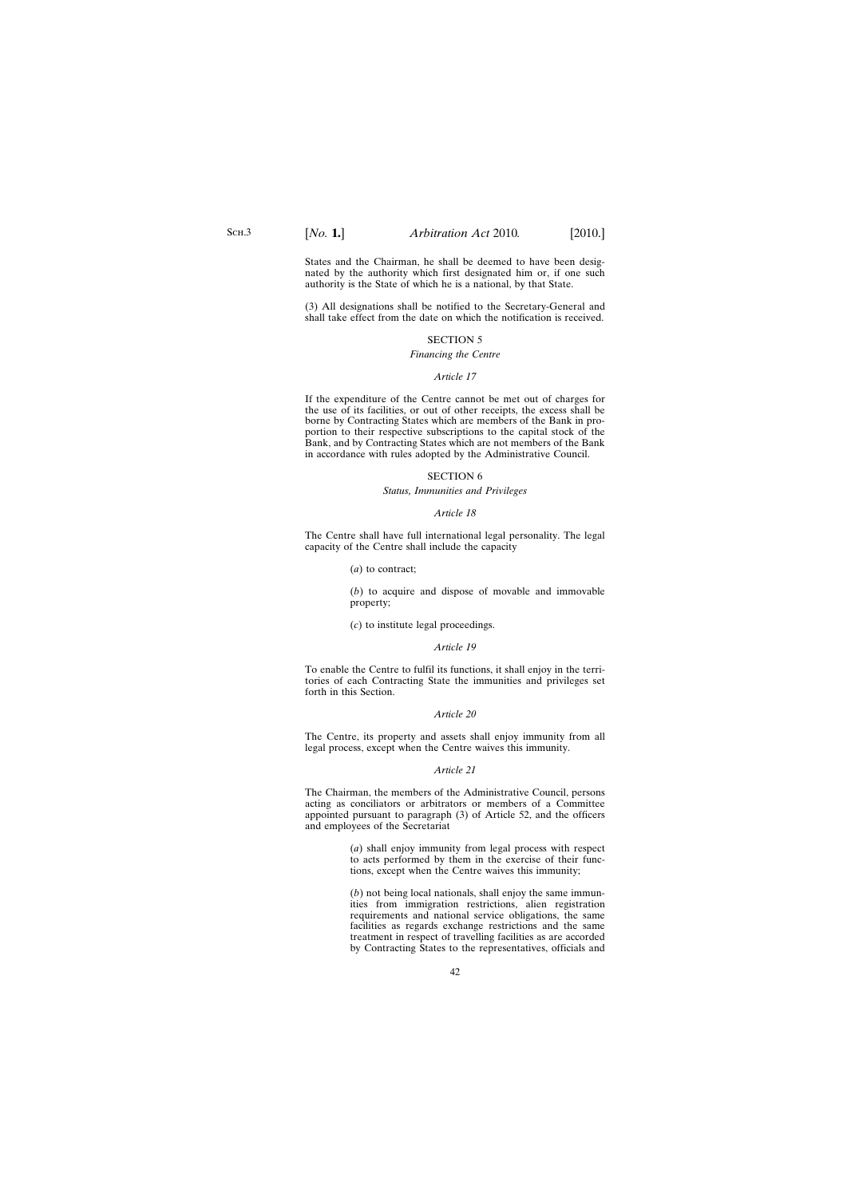States and the Chairman, he shall be deemed to have been designated by the authority which first designated him or, if one such authority is the State of which he is a national, by that State.

(3) All designations shall be notified to the Secretary-General and shall take effect from the date on which the notification is received.

# SECTION 5

#### *Financing the Centre*

## *Article 17*

If the expenditure of the Centre cannot be met out of charges for the use of its facilities, or out of other receipts, the excess shall be borne by Contracting States which are members of the Bank in proportion to their respective subscriptions to the capital stock of the Bank, and by Contracting States which are not members of the Bank in accordance with rules adopted by the Administrative Council.

#### SECTION 6

#### *Status, Immunities and Privileges*

## *Article 18*

The Centre shall have full international legal personality. The legal capacity of the Centre shall include the capacity

(*a*) to contract;

(*b*) to acquire and dispose of movable and immovable property;

(*c*) to institute legal proceedings.

## *Article 19*

To enable the Centre to fulfil its functions, it shall enjoy in the territories of each Contracting State the immunities and privileges set forth in this Section.

## *Article 20*

The Centre, its property and assets shall enjoy immunity from all legal process, except when the Centre waives this immunity.

#### *Article 21*

The Chairman, the members of the Administrative Council, persons acting as conciliators or arbitrators or members of a Committee appointed pursuant to paragraph (3) of Article 52, and the officers and employees of the Secretariat

> (*a*) shall enjoy immunity from legal process with respect to acts performed by them in the exercise of their functions, except when the Centre waives this immunity;

> (*b*) not being local nationals, shall enjoy the same immunities from immigration restrictions, alien registration requirements and national service obligations, the same facilities as regards exchange restrictions and the same treatment in respect of travelling facilities as are accorded by Contracting States to the representatives, officials and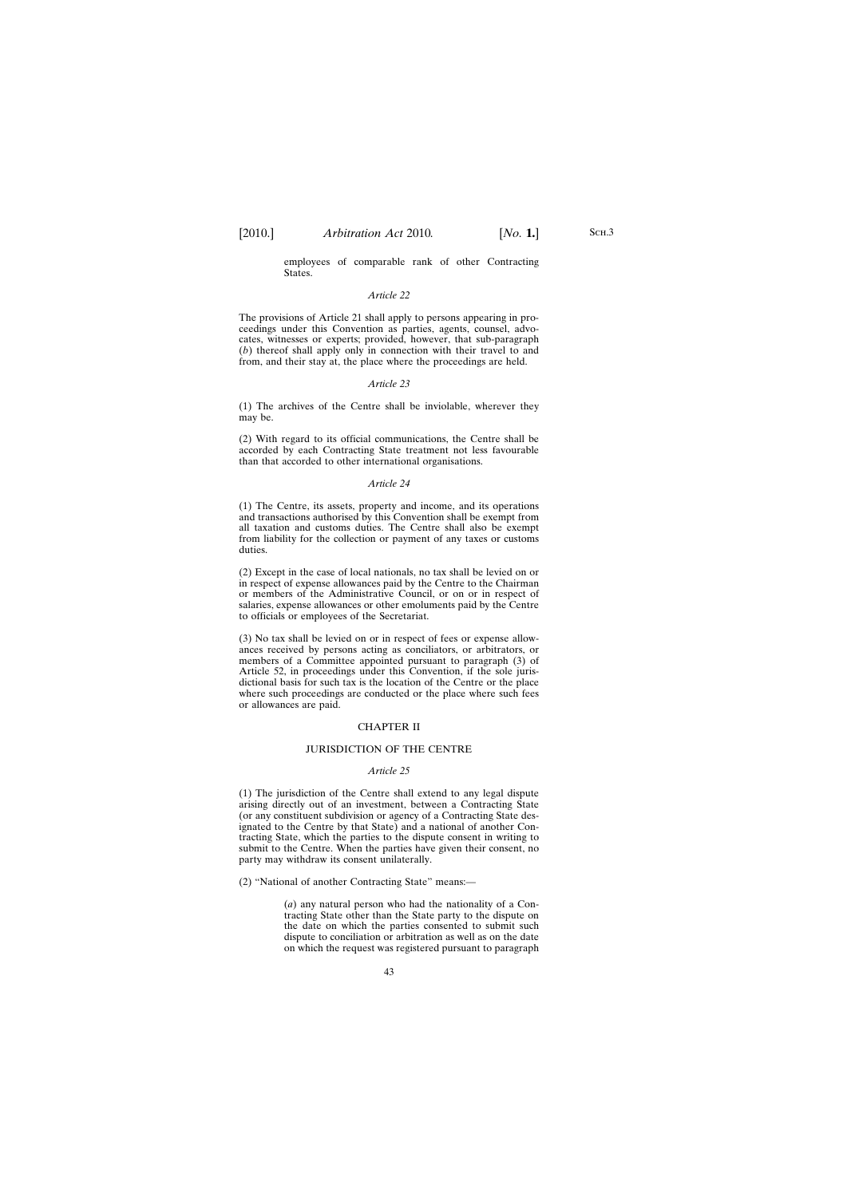employees of comparable rank of other Contracting States.

## *Article 22*

The provisions of Article 21 shall apply to persons appearing in proceedings under this Convention as parties, agents, counsel, advocates, witnesses or experts; provided, however, that sub-paragraph (*b*) thereof shall apply only in connection with their travel to and from, and their stay at, the place where the proceedings are held.

#### *Article 23*

(1) The archives of the Centre shall be inviolable, wherever they may be.

(2) With regard to its official communications, the Centre shall be accorded by each Contracting State treatment not less favourable than that accorded to other international organisations.

#### *Article 24*

(1) The Centre, its assets, property and income, and its operations and transactions authorised by this Convention shall be exempt from all taxation and customs duties. The Centre shall also be exempt from liability for the collection or payment of any taxes or customs duties.

(2) Except in the case of local nationals, no tax shall be levied on or in respect of expense allowances paid by the Centre to the Chairman or members of the Administrative Council, or on or in respect of salaries, expense allowances or other emoluments paid by the Centre to officials or employees of the Secretariat.

(3) No tax shall be levied on or in respect of fees or expense allowances received by persons acting as conciliators, or arbitrators, or members of a Committee appointed pursuant to paragraph (3) of Article 52, in proceedings under this Convention, if the sole jurisdictional basis for such tax is the location of the Centre or the place where such proceedings are conducted or the place where such fees or allowances are paid.

#### CHAPTER II

## JURISDICTION OF THE CENTRE

## *Article 25*

(1) The jurisdiction of the Centre shall extend to any legal dispute arising directly out of an investment, between a Contracting State (or any constituent subdivision or agency of a Contracting State designated to the Centre by that State) and a national of another Contracting State, which the parties to the dispute consent in writing to submit to the Centre. When the parties have given their consent, no party may withdraw its consent unilaterally.

(2) "National of another Contracting State" means:—

(*a*) any natural person who had the nationality of a Contracting State other than the State party to the dispute on the date on which the parties consented to submit such dispute to conciliation or arbitration as well as on the date on which the request was registered pursuant to paragraph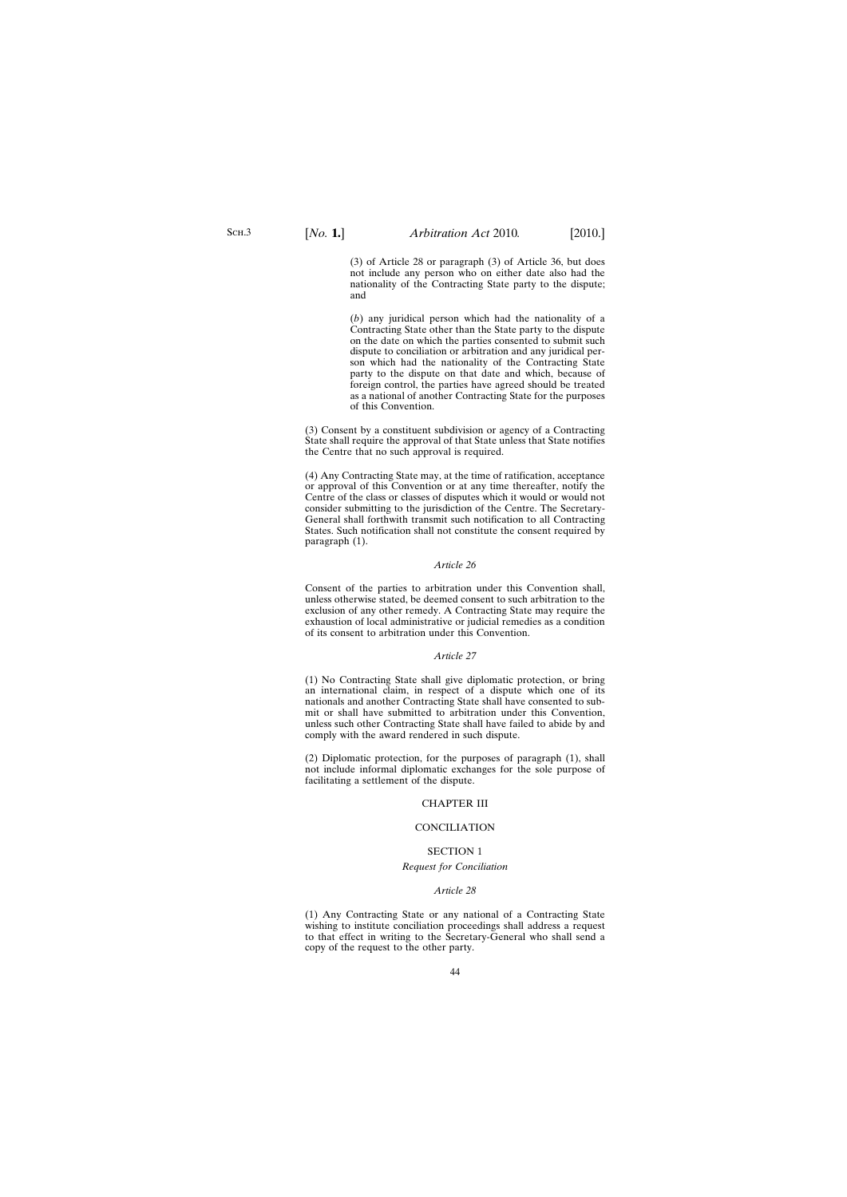(3) of Article 28 or paragraph (3) of Article 36, but does not include any person who on either date also had the nationality of the Contracting State party to the dispute; and

(*b*) any juridical person which had the nationality of a Contracting State other than the State party to the dispute on the date on which the parties consented to submit such dispute to conciliation or arbitration and any juridical person which had the nationality of the Contracting State party to the dispute on that date and which, because of foreign control, the parties have agreed should be treated as a national of another Contracting State for the purposes of this Convention.

(3) Consent by a constituent subdivision or agency of a Contracting State shall require the approval of that State unless that State notifies the Centre that no such approval is required.

(4) Any Contracting State may, at the time of ratification, acceptance or approval of this Convention or at any time thereafter, notify the Centre of the class or classes of disputes which it would or would not consider submitting to the jurisdiction of the Centre. The Secretary-General shall forthwith transmit such notification to all Contracting States. Such notification shall not constitute the consent required by paragraph (1).

## *Article 26*

Consent of the parties to arbitration under this Convention shall, unless otherwise stated, be deemed consent to such arbitration to the exclusion of any other remedy. A Contracting State may require the exhaustion of local administrative or judicial remedies as a condition of its consent to arbitration under this Convention.

#### *Article 27*

(1) No Contracting State shall give diplomatic protection, or bring an international claim, in respect of a dispute which one of its nationals and another Contracting State shall have consented to submit or shall have submitted to arbitration under this Convention, unless such other Contracting State shall have failed to abide by and comply with the award rendered in such dispute.

(2) Diplomatic protection, for the purposes of paragraph (1), shall not include informal diplomatic exchanges for the sole purpose of facilitating a settlement of the dispute.

## CHAPTER III

## CONCILIATION

#### SECTION 1

## *Request for Conciliation*

#### *Article 28*

(1) Any Contracting State or any national of a Contracting State wishing to institute conciliation proceedings shall address a request to that effect in writing to the Secretary-General who shall send a copy of the request to the other party.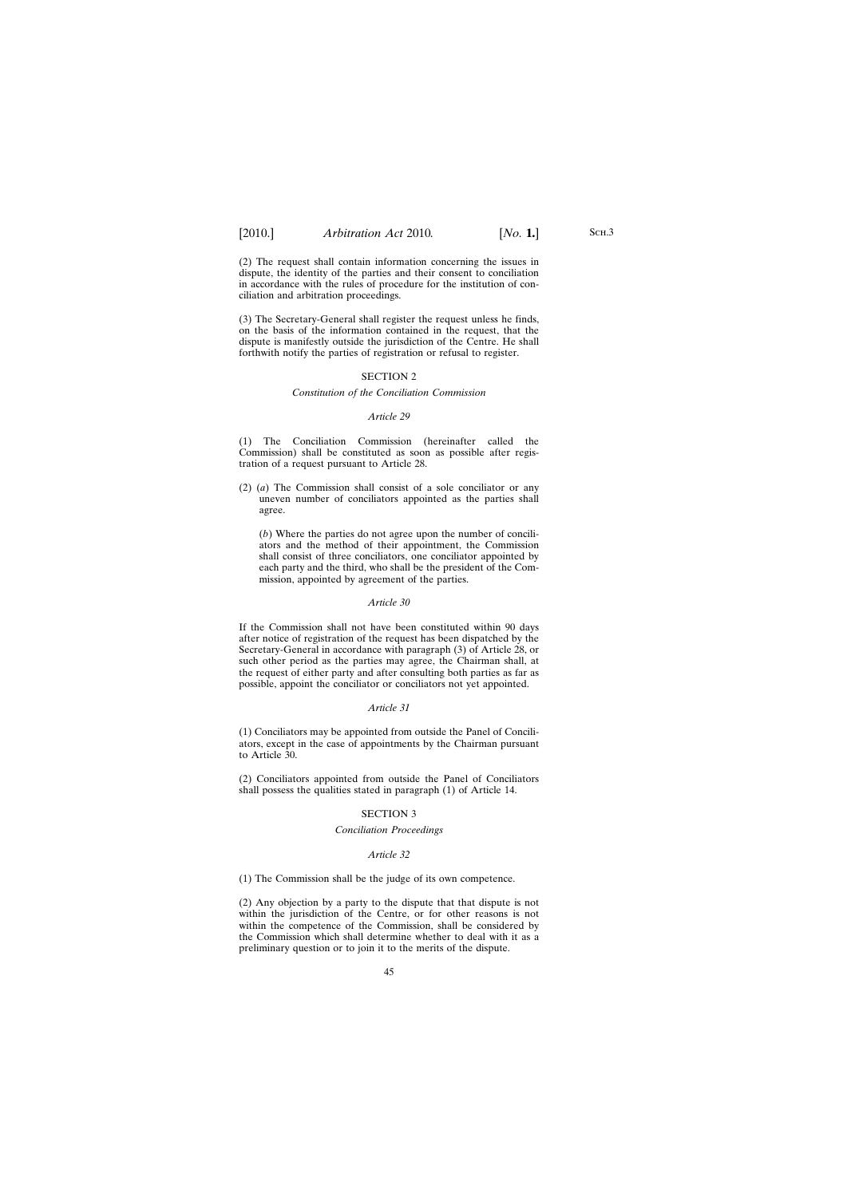(2) The request shall contain information concerning the issues in dispute, the identity of the parties and their consent to conciliation in accordance with the rules of procedure for the institution of conciliation and arbitration proceedings.

(3) The Secretary-General shall register the request unless he finds, on the basis of the information contained in the request, that the dispute is manifestly outside the jurisdiction of the Centre. He shall forthwith notify the parties of registration or refusal to register.

## SECTION 2

#### *Constitution of the Conciliation Commission*

#### *Article 29*

(1) The Conciliation Commission (hereinafter called the Commission) shall be constituted as soon as possible after registration of a request pursuant to Article 28.

(2) (*a*) The Commission shall consist of a sole conciliator or any uneven number of conciliators appointed as the parties shall agree.

(*b*) Where the parties do not agree upon the number of conciliators and the method of their appointment, the Commission shall consist of three conciliators, one conciliator appointed by each party and the third, who shall be the president of the Commission, appointed by agreement of the parties.

#### *Article 30*

If the Commission shall not have been constituted within 90 days after notice of registration of the request has been dispatched by the Secretary-General in accordance with paragraph (3) of Article 28, or such other period as the parties may agree, the Chairman shall, at the request of either party and after consulting both parties as far as possible, appoint the conciliator or conciliators not yet appointed.

## *Article 31*

(1) Conciliators may be appointed from outside the Panel of Conciliators, except in the case of appointments by the Chairman pursuant to Article 30.

(2) Conciliators appointed from outside the Panel of Conciliators shall possess the qualities stated in paragraph (1) of Article 14.

## SECTION 3

## *Conciliation Proceedings*

#### *Article 32*

(1) The Commission shall be the judge of its own competence.

(2) Any objection by a party to the dispute that that dispute is not within the jurisdiction of the Centre, or for other reasons is not within the competence of the Commission, shall be considered by the Commission which shall determine whether to deal with it as a preliminary question or to join it to the merits of the dispute.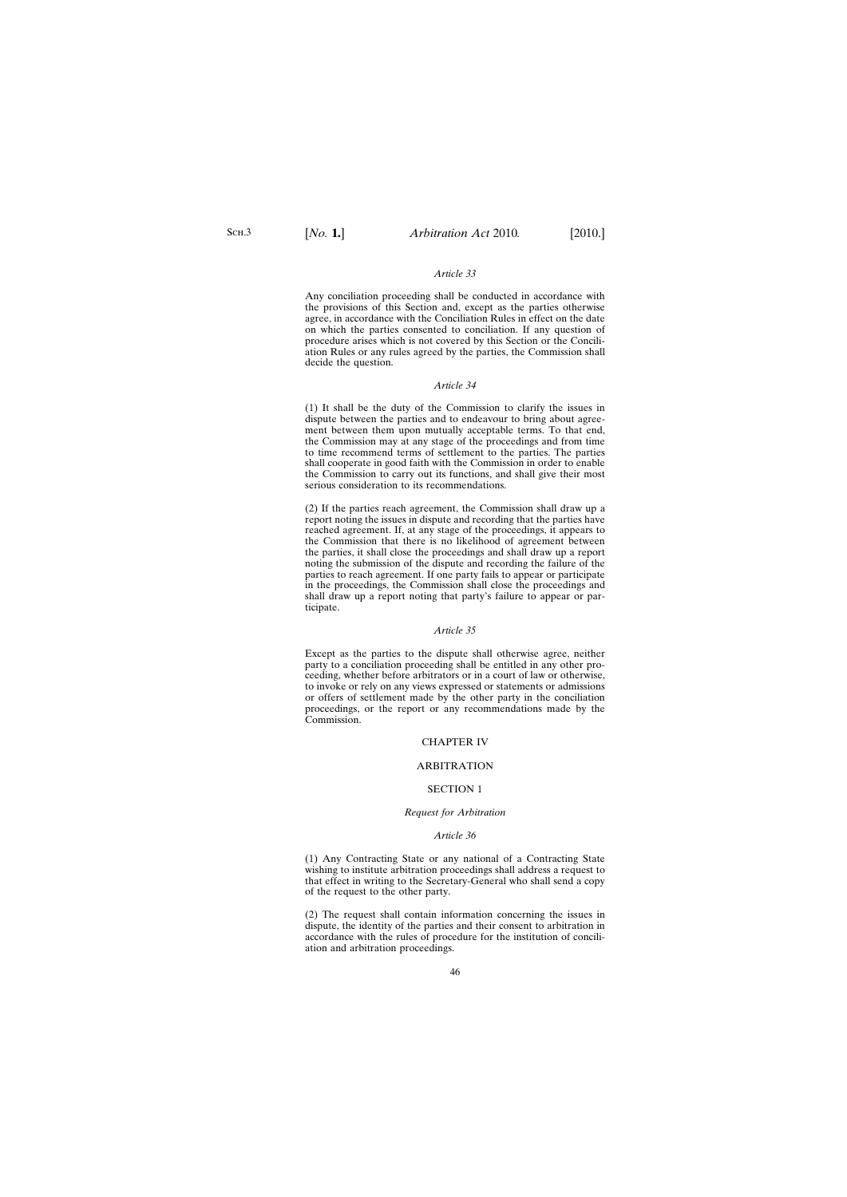## *Article 33*

Any conciliation proceeding shall be conducted in accordance with the provisions of this Section and, except as the parties otherwise agree, in accordance with the Conciliation Rules in effect on the date on which the parties consented to conciliation. If any question of procedure arises which is not covered by this Section or the Conciliation Rules or any rules agreed by the parties, the Commission shall decide the question.

# *Article 34*

(1) It shall be the duty of the Commission to clarify the issues in dispute between the parties and to endeavour to bring about agreement between them upon mutually acceptable terms. To that end, the Commission may at any stage of the proceedings and from time to time recommend terms of settlement to the parties. The parties shall cooperate in good faith with the Commission in order to enable the Commission to carry out its functions, and shall give their most serious consideration to its recommendations.

(2) If the parties reach agreement, the Commission shall draw up a report noting the issues in dispute and recording that the parties have reached agreement. If, at any stage of the proceedings, it appears to the Commission that there is no likelihood of agreement between the parties, it shall close the proceedings and shall draw up a report noting the submission of the dispute and recording the failure of the parties to reach agreement. If one party fails to appear or participate in the proceedings, the Commission shall close the proceedings and shall draw up a report noting that party's failure to appear or participate.

## *Article 35*

Except as the parties to the dispute shall otherwise agree, neither party to a conciliation proceeding shall be entitled in any other proceeding, whether before arbitrators or in a court of law or otherwise, to invoke or rely on any views expressed or statements or admissions or offers of settlement made by the other party in the conciliation proceedings, or the report or any recommendations made by the Commission.

#### CHAPTER IV

#### ARBITRATION

## SECTION 1

#### *Request for Arbitration*

#### *Article 36*

(1) Any Contracting State or any national of a Contracting State wishing to institute arbitration proceedings shall address a request to that effect in writing to the Secretary-General who shall send a copy of the request to the other party.

(2) The request shall contain information concerning the issues in dispute, the identity of the parties and their consent to arbitration in accordance with the rules of procedure for the institution of conciliation and arbitration proceedings.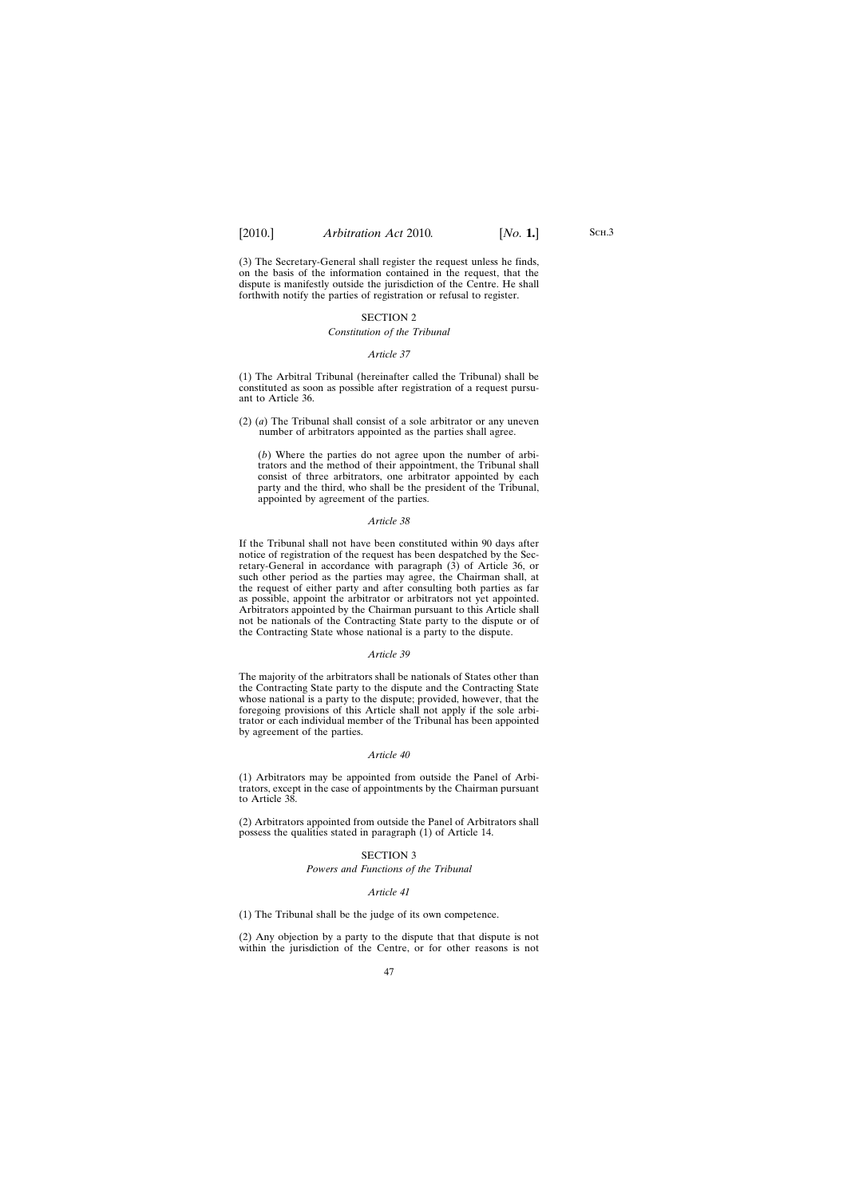(3) The Secretary-General shall register the request unless he finds, on the basis of the information contained in the request, that the dispute is manifestly outside the jurisdiction of the Centre. He shall forthwith notify the parties of registration or refusal to register.

#### SECTION 2

## *Constitution of the Tribunal*

#### *Article 37*

(1) The Arbitral Tribunal (hereinafter called the Tribunal) shall be constituted as soon as possible after registration of a request pursuant to Article 36.

(2) (*a*) The Tribunal shall consist of a sole arbitrator or any uneven number of arbitrators appointed as the parties shall agree.

(*b*) Where the parties do not agree upon the number of arbitrators and the method of their appointment, the Tribunal shall consist of three arbitrators, one arbitrator appointed by each party and the third, who shall be the president of the Tribunal, appointed by agreement of the parties.

## *Article 38*

If the Tribunal shall not have been constituted within 90 days after notice of registration of the request has been despatched by the Secretary-General in accordance with paragraph (3) of Article 36, or such other period as the parties may agree, the Chairman shall, at the request of either party and after consulting both parties as far as possible, appoint the arbitrator or arbitrators not yet appointed. Arbitrators appointed by the Chairman pursuant to this Article shall not be nationals of the Contracting State party to the dispute or of the Contracting State whose national is a party to the dispute.

## *Article 39*

The majority of the arbitrators shall be nationals of States other than the Contracting State party to the dispute and the Contracting State whose national is a party to the dispute; provided, however, that the foregoing provisions of this Article shall not apply if the sole arbitrator or each individual member of the Tribunal has been appointed by agreement of the parties.

## *Article 40*

(1) Arbitrators may be appointed from outside the Panel of Arbitrators, except in the case of appointments by the Chairman pursuant to Article 38.

(2) Arbitrators appointed from outside the Panel of Arbitrators shall possess the qualities stated in paragraph (1) of Article 14.

#### SECTION 3

## *Powers and Functions of the Tribunal*

#### *Article 41*

(1) The Tribunal shall be the judge of its own competence.

(2) Any objection by a party to the dispute that that dispute is not within the jurisdiction of the Centre, or for other reasons is not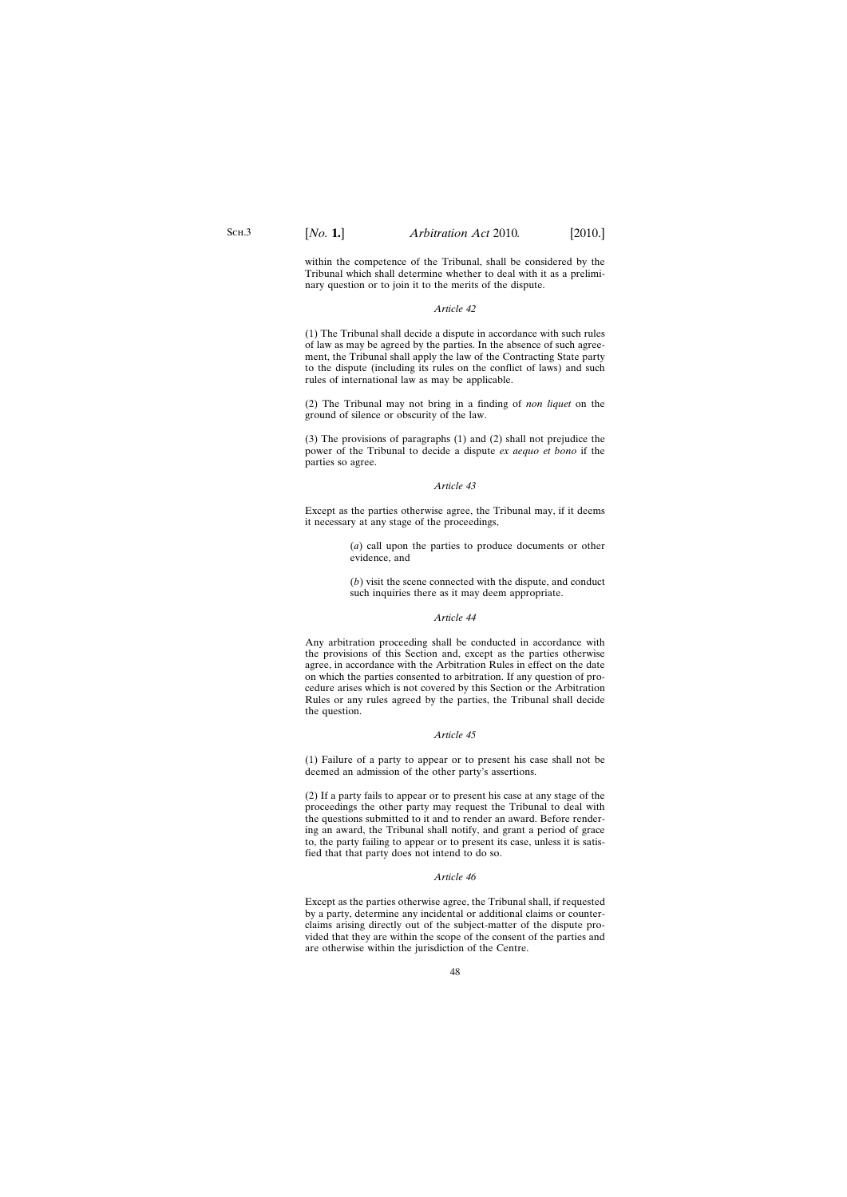within the competence of the Tribunal, shall be considered by the Tribunal which shall determine whether to deal with it as a preliminary question or to join it to the merits of the dispute.

## *Article 42*

(1) The Tribunal shall decide a dispute in accordance with such rules of law as may be agreed by the parties. In the absence of such agreement, the Tribunal shall apply the law of the Contracting State party to the dispute (including its rules on the conflict of laws) and such rules of international law as may be applicable.

(2) The Tribunal may not bring in a finding of *non liquet* on the ground of silence or obscurity of the law.

(3) The provisions of paragraphs (1) and (2) shall not prejudice the power of the Tribunal to decide a dispute *ex aequo et bono* if the parties so agree.

## *Article 43*

Except as the parties otherwise agree, the Tribunal may, if it deems it necessary at any stage of the proceedings,

> (*a*) call upon the parties to produce documents or other evidence, and

> (*b*) visit the scene connected with the dispute, and conduct such inquiries there as it may deem appropriate.

#### *Article 44*

Any arbitration proceeding shall be conducted in accordance with the provisions of this Section and, except as the parties otherwise agree, in accordance with the Arbitration Rules in effect on the date on which the parties consented to arbitration. If any question of procedure arises which is not covered by this Section or the Arbitration Rules or any rules agreed by the parties, the Tribunal shall decide the question.

## *Article 45*

(1) Failure of a party to appear or to present his case shall not be deemed an admission of the other party's assertions.

(2) If a party fails to appear or to present his case at any stage of the proceedings the other party may request the Tribunal to deal with the questions submitted to it and to render an award. Before rendering an award, the Tribunal shall notify, and grant a period of grace to, the party failing to appear or to present its case, unless it is satisfied that that party does not intend to do so.

### *Article 46*

Except as the parties otherwise agree, the Tribunal shall, if requested by a party, determine any incidental or additional claims or counterclaims arising directly out of the subject-matter of the dispute provided that they are within the scope of the consent of the parties and are otherwise within the jurisdiction of the Centre.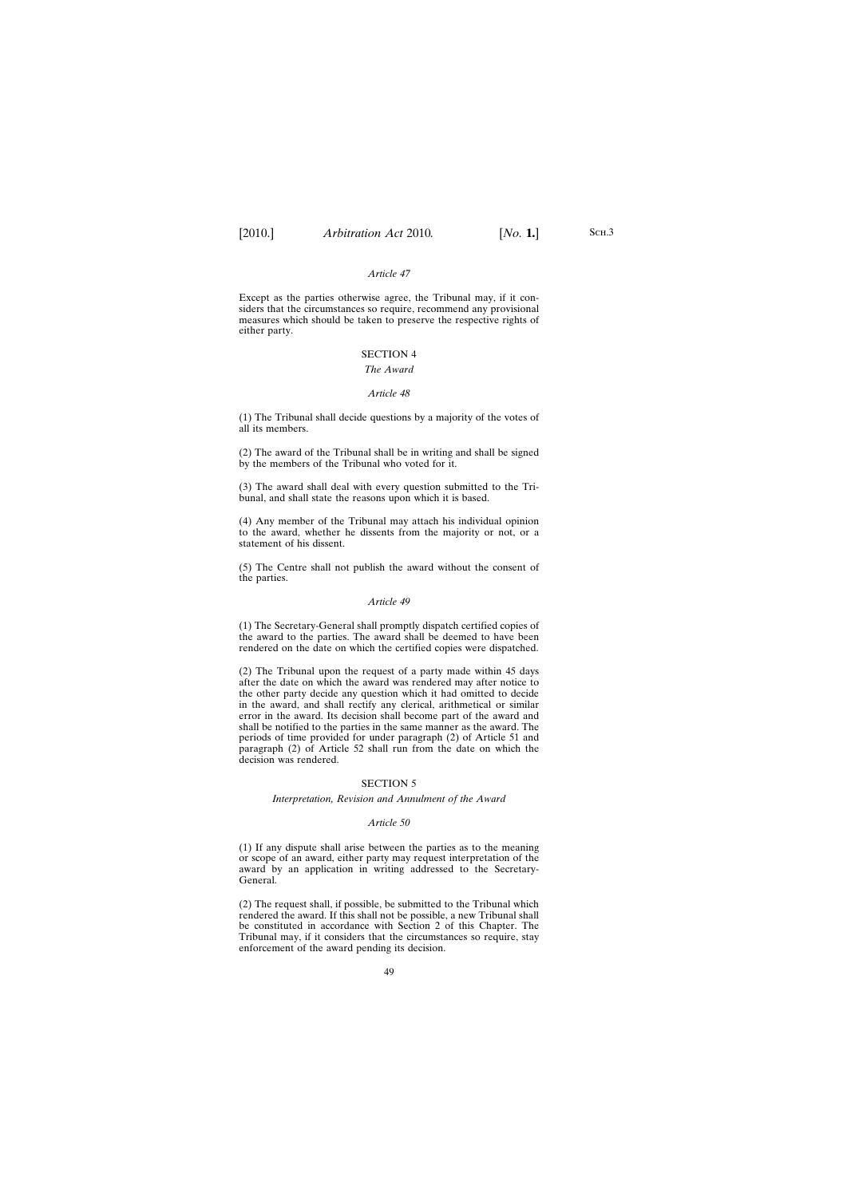## *Article 47*

Except as the parties otherwise agree, the Tribunal may, if it considers that the circumstances so require, recommend any provisional measures which should be taken to preserve the respective rights of either party.

#### SECTION 4

## *The Award*

#### *Article 48*

(1) The Tribunal shall decide questions by a majority of the votes of all its members.

(2) The award of the Tribunal shall be in writing and shall be signed by the members of the Tribunal who voted for it.

(3) The award shall deal with every question submitted to the Tribunal, and shall state the reasons upon which it is based.

(4) Any member of the Tribunal may attach his individual opinion to the award, whether he dissents from the majority or not, or a statement of his dissent.

(5) The Centre shall not publish the award without the consent of the parties.

## *Article 49*

(1) The Secretary-General shall promptly dispatch certified copies of the award to the parties. The award shall be deemed to have been rendered on the date on which the certified copies were dispatched.

(2) The Tribunal upon the request of a party made within 45 days after the date on which the award was rendered may after notice to the other party decide any question which it had omitted to decide in the award, and shall rectify any clerical, arithmetical or similar error in the award. Its decision shall become part of the award and shall be notified to the parties in the same manner as the award. The periods of time provided for under paragraph (2) of Article 51 and paragraph (2) of Article 52 shall run from the date on which the decision was rendered.

## SECTION 5

#### *Interpretation, Revision and Annulment of the Award*

#### *Article 50*

(1) If any dispute shall arise between the parties as to the meaning or scope of an award, either party may request interpretation of the award by an application in writing addressed to the Secretary-General.

(2) The request shall, if possible, be submitted to the Tribunal which rendered the award. If this shall not be possible, a new Tribunal shall be constituted in accordance with Section 2 of this Chapter. The Tribunal may, if it considers that the circumstances so require, stay enforcement of the award pending its decision.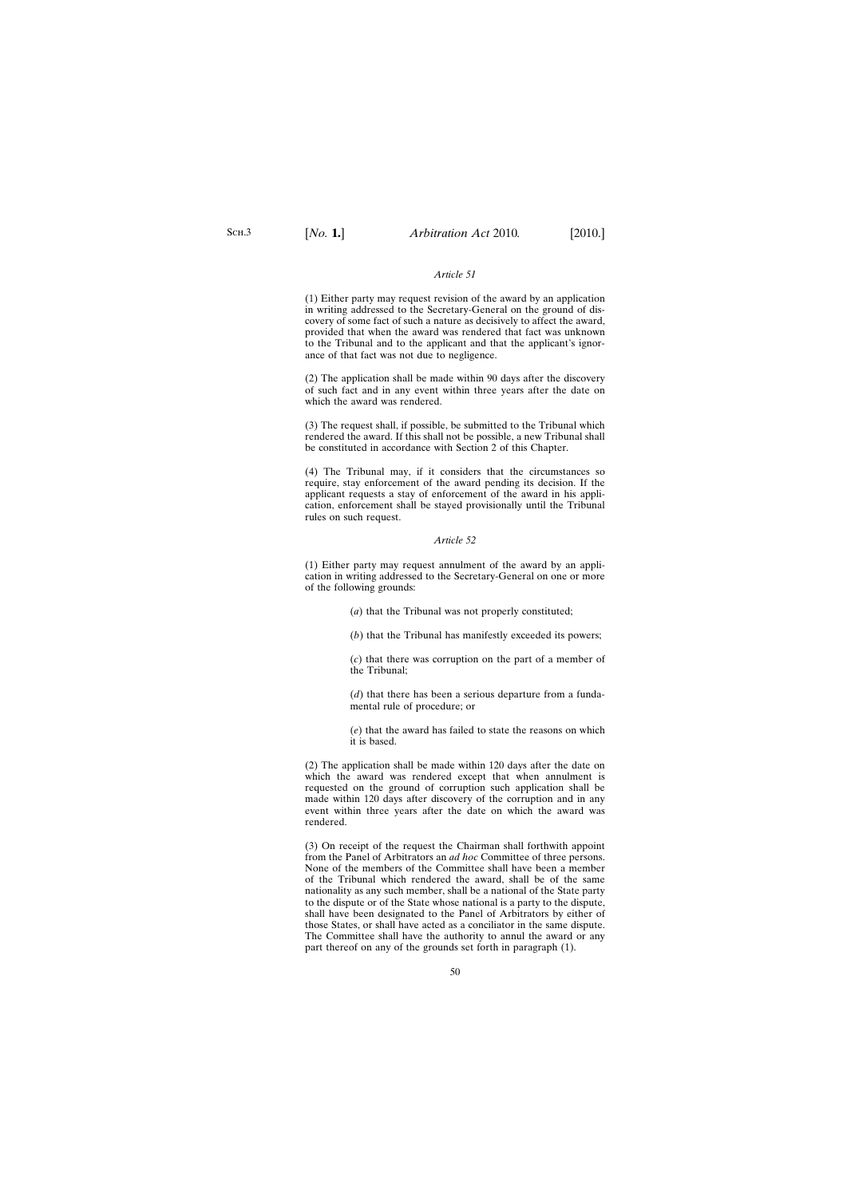## *Article 51*

(1) Either party may request revision of the award by an application in writing addressed to the Secretary-General on the ground of discovery of some fact of such a nature as decisively to affect the award, provided that when the award was rendered that fact was unknown to the Tribunal and to the applicant and that the applicant's ignorance of that fact was not due to negligence.

(2) The application shall be made within 90 days after the discovery of such fact and in any event within three years after the date on which the award was rendered.

(3) The request shall, if possible, be submitted to the Tribunal which rendered the award. If this shall not be possible, a new Tribunal shall be constituted in accordance with Section 2 of this Chapter.

(4) The Tribunal may, if it considers that the circumstances so require, stay enforcement of the award pending its decision. If the applicant requests a stay of enforcement of the award in his application, enforcement shall be stayed provisionally until the Tribunal rules on such request.

## *Article 52*

(1) Either party may request annulment of the award by an application in writing addressed to the Secretary-General on one or more of the following grounds:

(*a*) that the Tribunal was not properly constituted;

(*b*) that the Tribunal has manifestly exceeded its powers;

(*c*) that there was corruption on the part of a member of the Tribunal;

(*d*) that there has been a serious departure from a fundamental rule of procedure; or

(*e*) that the award has failed to state the reasons on which it is based.

(2) The application shall be made within 120 days after the date on which the award was rendered except that when annulment is requested on the ground of corruption such application shall be made within 120 days after discovery of the corruption and in any event within three years after the date on which the award was rendered.

(3) On receipt of the request the Chairman shall forthwith appoint from the Panel of Arbitrators an *ad hoc* Committee of three persons. None of the members of the Committee shall have been a member of the Tribunal which rendered the award, shall be of the same nationality as any such member, shall be a national of the State party to the dispute or of the State whose national is a party to the dispute, shall have been designated to the Panel of Arbitrators by either of those States, or shall have acted as a conciliator in the same dispute. The Committee shall have the authority to annul the award or any part thereof on any of the grounds set forth in paragraph (1).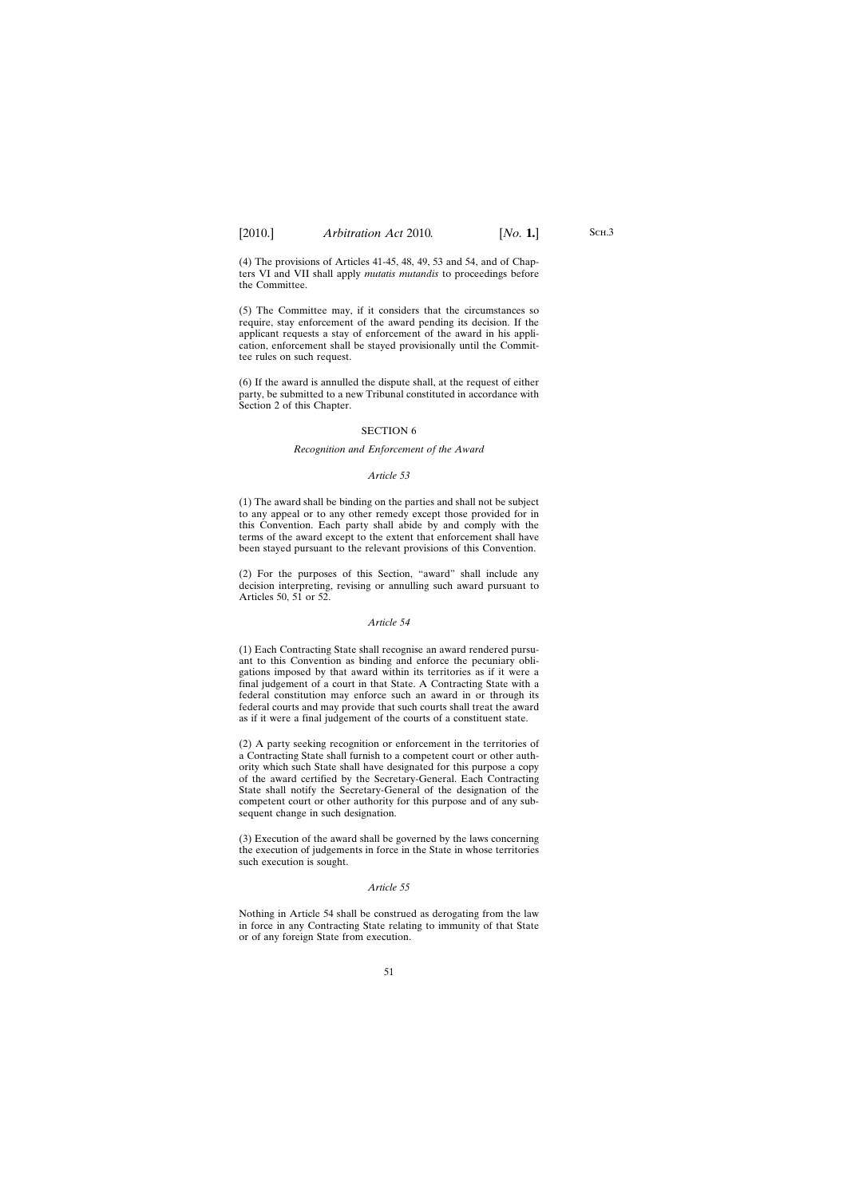(4) The provisions of Articles 41-45, 48, 49, 53 and 54, and of Chapters VI and VII shall apply *mutatis mutandis* to proceedings before the Committee.

(5) The Committee may, if it considers that the circumstances so require, stay enforcement of the award pending its decision. If the applicant requests a stay of enforcement of the award in his application, enforcement shall be stayed provisionally until the Committee rules on such request.

(6) If the award is annulled the dispute shall, at the request of either party, be submitted to a new Tribunal constituted in accordance with Section 2 of this Chapter.

## SECTION 6

## *Recognition and Enforcement of the Award*

## *Article 53*

(1) The award shall be binding on the parties and shall not be subject to any appeal or to any other remedy except those provided for in this Convention. Each party shall abide by and comply with the terms of the award except to the extent that enforcement shall have been stayed pursuant to the relevant provisions of this Convention.

(2) For the purposes of this Section, "award" shall include any decision interpreting, revising or annulling such award pursuant to Articles 50, 51 or 52.

## *Article 54*

(1) Each Contracting State shall recognise an award rendered pursuant to this Convention as binding and enforce the pecuniary obligations imposed by that award within its territories as if it were a final judgement of a court in that State. A Contracting State with a federal constitution may enforce such an award in or through its federal courts and may provide that such courts shall treat the award as if it were a final judgement of the courts of a constituent state.

(2) A party seeking recognition or enforcement in the territories of a Contracting State shall furnish to a competent court or other authority which such State shall have designated for this purpose a copy of the award certified by the Secretary-General. Each Contracting State shall notify the Secretary-General of the designation of the competent court or other authority for this purpose and of any subsequent change in such designation.

(3) Execution of the award shall be governed by the laws concerning the execution of judgements in force in the State in whose territories such execution is sought.

#### *Article 55*

Nothing in Article 54 shall be construed as derogating from the law in force in any Contracting State relating to immunity of that State or of any foreign State from execution.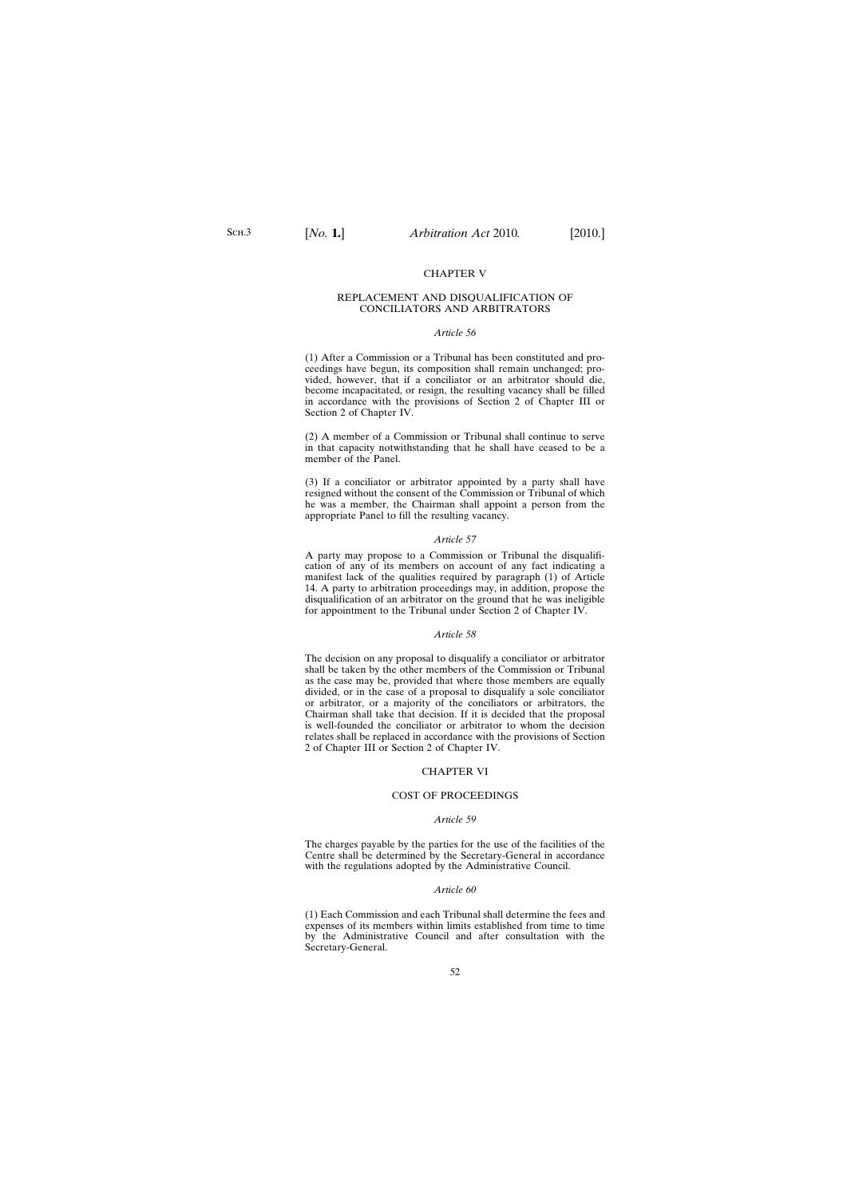## CHAPTER V

## REPLACEMENT AND DISQUALIFICATION OF CONCILIATORS AND ARBITRATORS

## *Article 56*

(1) After a Commission or a Tribunal has been constituted and proceedings have begun, its composition shall remain unchanged; provided, however, that if a conciliator or an arbitrator should die, become incapacitated, or resign, the resulting vacancy shall be filled in accordance with the provisions of Section 2 of Chapter III or Section 2 of Chapter IV.

(2) A member of a Commission or Tribunal shall continue to serve in that capacity notwithstanding that he shall have ceased to be a member of the Panel.

(3) If a conciliator or arbitrator appointed by a party shall have resigned without the consent of the Commission or Tribunal of which he was a member, the Chairman shall appoint a person from the appropriate Panel to fill the resulting vacancy.

#### *Article 57*

A party may propose to a Commission or Tribunal the disqualification of any of its members on account of any fact indicating a manifest lack of the qualities required by paragraph (1) of Article 14. A party to arbitration proceedings may, in addition, propose the disqualification of an arbitrator on the ground that he was ineligible for appointment to the Tribunal under Section 2 of Chapter IV.

#### *Article 58*

The decision on any proposal to disqualify a conciliator or arbitrator shall be taken by the other members of the Commission or Tribunal as the case may be, provided that where those members are equally divided, or in the case of a proposal to disqualify a sole conciliator or arbitrator, or a majority of the conciliators or arbitrators, the Chairman shall take that decision. If it is decided that the proposal is well-founded the conciliator or arbitrator to whom the decision relates shall be replaced in accordance with the provisions of Section 2 of Chapter III or Section 2 of Chapter IV.

## CHAPTER VI

## COST OF PROCEEDINGS

#### *Article 59*

The charges payable by the parties for the use of the facilities of the Centre shall be determined by the Secretary-General in accordance with the regulations adopted by the Administrative Council.

#### *Article 60*

(1) Each Commission and each Tribunal shall determine the fees and expenses of its members within limits established from time to time by the Administrative Council and after consultation with the Secretary-General.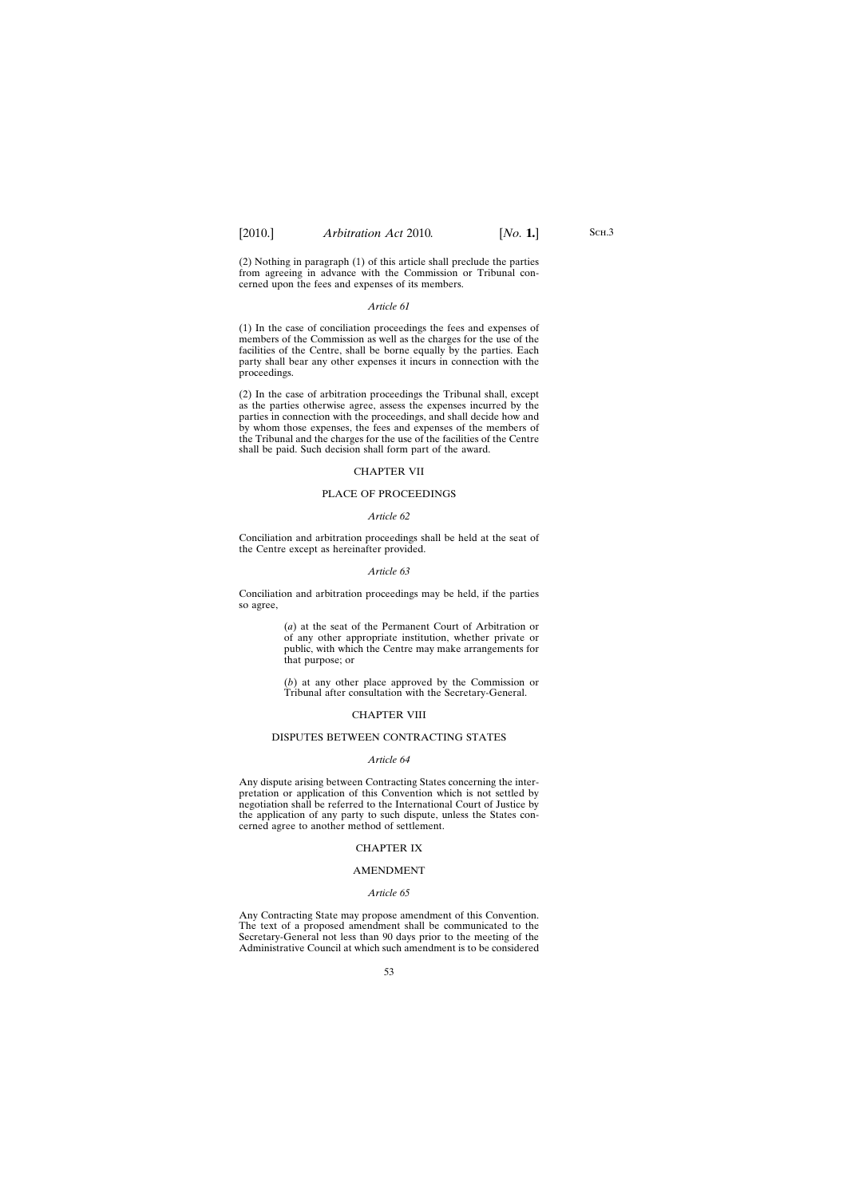(2) Nothing in paragraph (1) of this article shall preclude the parties from agreeing in advance with the Commission or Tribunal concerned upon the fees and expenses of its members.

#### *Article 61*

(1) In the case of conciliation proceedings the fees and expenses of members of the Commission as well as the charges for the use of the facilities of the Centre, shall be borne equally by the parties. Each party shall bear any other expenses it incurs in connection with the proceedings.

(2) In the case of arbitration proceedings the Tribunal shall, except as the parties otherwise agree, assess the expenses incurred by the parties in connection with the proceedings, and shall decide how and by whom those expenses, the fees and expenses of the members of the Tribunal and the charges for the use of the facilities of the Centre shall be paid. Such decision shall form part of the award.

## CHAPTER VII

## PLACE OF PROCEEDINGS

## *Article 62*

Conciliation and arbitration proceedings shall be held at the seat of the Centre except as hereinafter provided.

#### *Article 63*

Conciliation and arbitration proceedings may be held, if the parties so agree,

> (*a*) at the seat of the Permanent Court of Arbitration or of any other appropriate institution, whether private or public, with which the Centre may make arrangements for that purpose; or

> (*b*) at any other place approved by the Commission or Tribunal after consultation with the Secretary-General.

## CHAPTER VIII

#### DISPUTES BETWEEN CONTRACTING STATES

## *Article 64*

Any dispute arising between Contracting States concerning the interpretation or application of this Convention which is not settled by negotiation shall be referred to the International Court of Justice by the application of any party to such dispute, unless the States concerned agree to another method of settlement.

## CHAPTER IX

#### AMENDMENT

#### *Article 65*

Any Contracting State may propose amendment of this Convention. The text of a proposed amendment shall be communicated to the Secretary-General not less than 90 days prior to the meeting of the Administrative Council at which such amendment is to be considered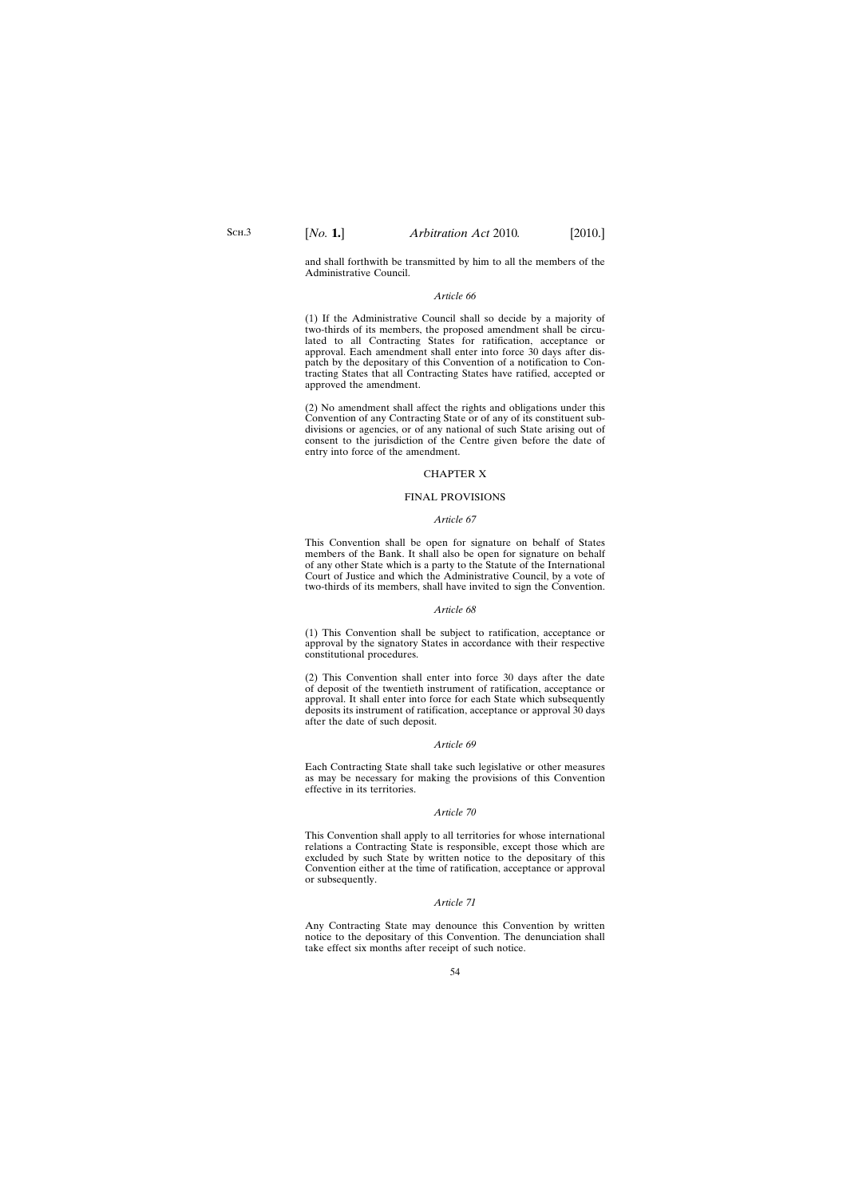and shall forthwith be transmitted by him to all the members of the Administrative Council.

## *Article 66*

(1) If the Administrative Council shall so decide by a majority of two-thirds of its members, the proposed amendment shall be circulated to all Contracting States for ratification, acceptance or approval. Each amendment shall enter into force 30 days after dispatch by the depositary of this Convention of a notification to Contracting States that all Contracting States have ratified, accepted or approved the amendment.

(2) No amendment shall affect the rights and obligations under this Convention of any Contracting State or of any of its constituent subdivisions or agencies, or of any national of such State arising out of consent to the jurisdiction of the Centre given before the date of entry into force of the amendment.

## CHAPTER X

## FINAL PROVISIONS

#### *Article 67*

This Convention shall be open for signature on behalf of States members of the Bank. It shall also be open for signature on behalf of any other State which is a party to the Statute of the International Court of Justice and which the Administrative Council, by a vote of two-thirds of its members, shall have invited to sign the Convention.

#### *Article 68*

(1) This Convention shall be subject to ratification, acceptance or approval by the signatory States in accordance with their respective constitutional procedures.

(2) This Convention shall enter into force 30 days after the date of deposit of the twentieth instrument of ratification, acceptance or approval. It shall enter into force for each State which subsequently deposits its instrument of ratification, acceptance or approval 30 days after the date of such deposit.

#### *Article 69*

Each Contracting State shall take such legislative or other measures as may be necessary for making the provisions of this Convention effective in its territories.

#### *Article 70*

This Convention shall apply to all territories for whose international relations a Contracting State is responsible, except those which are excluded by such State by written notice to the depositary of this Convention either at the time of ratification, acceptance or approval or subsequently.

## *Article 71*

Any Contracting State may denounce this Convention by written notice to the depositary of this Convention. The denunciation shall take effect six months after receipt of such notice.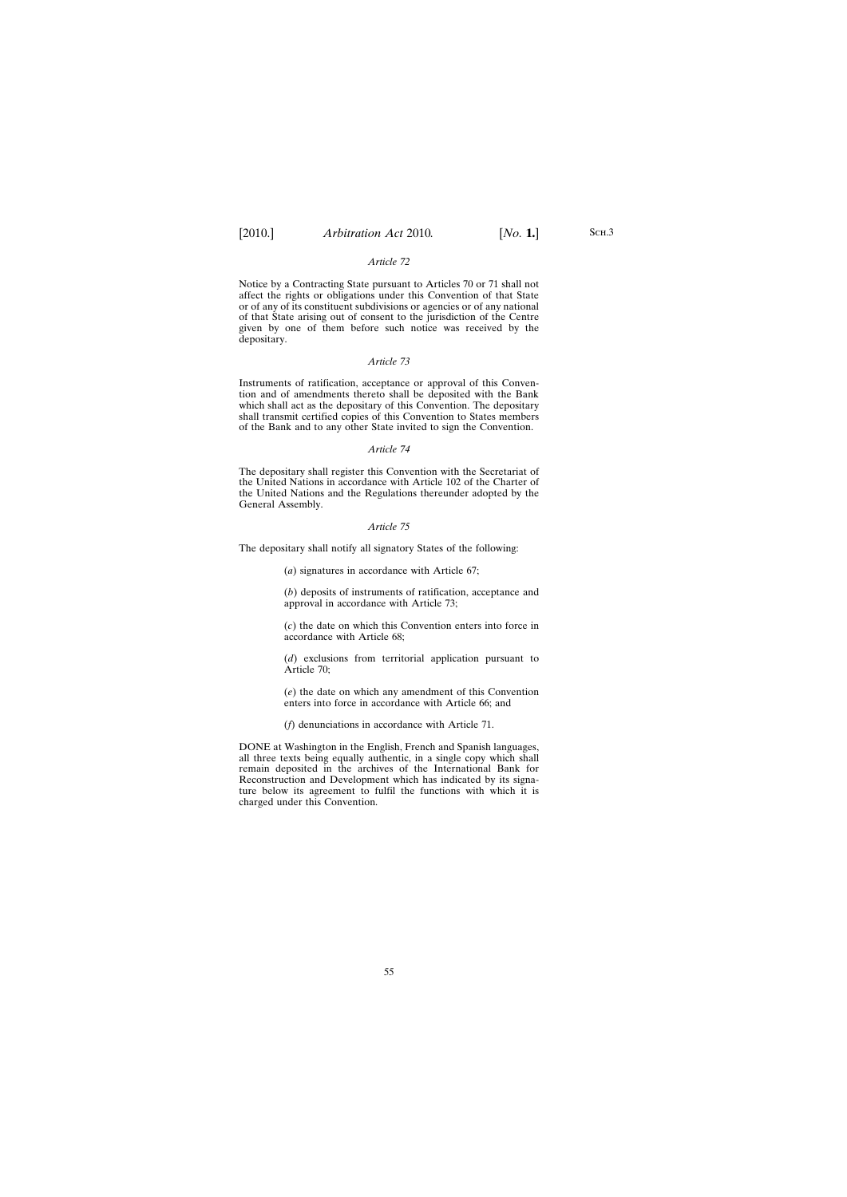S<sub>CH.3</sub>

## *Article 72*

Notice by a Contracting State pursuant to Articles 70 or 71 shall not affect the rights or obligations under this Convention of that State or of any of its constituent subdivisions or agencies or of any national of that State arising out of consent to the jurisdiction of the Centre given by one of them before such notice was received by the depositary.

## *Article 73*

Instruments of ratification, acceptance or approval of this Convention and of amendments thereto shall be deposited with the Bank which shall act as the depositary of this Convention. The depositary shall transmit certified copies of this Convention to States members of the Bank and to any other State invited to sign the Convention.

## *Article 74*

The depositary shall register this Convention with the Secretariat of the United Nations in accordance with Article 102 of the Charter of the United Nations and the Regulations thereunder adopted by the General Assembly.

## *Article 75*

The depositary shall notify all signatory States of the following:

(*a*) signatures in accordance with Article 67;

(*b*) deposits of instruments of ratification, acceptance and approval in accordance with Article 73;

(*c*) the date on which this Convention enters into force in accordance with Article 68;

(*d*) exclusions from territorial application pursuant to Article 70;

(*e*) the date on which any amendment of this Convention enters into force in accordance with Article 66; and

(*f*) denunciations in accordance with Article 71.

DONE at Washington in the English, French and Spanish languages, all three texts being equally authentic, in a single copy which shall remain deposited in the archives of the International Bank for Reconstruction and Development which has indicated by its signature below its agreement to fulfil the functions with which it is charged under this Convention.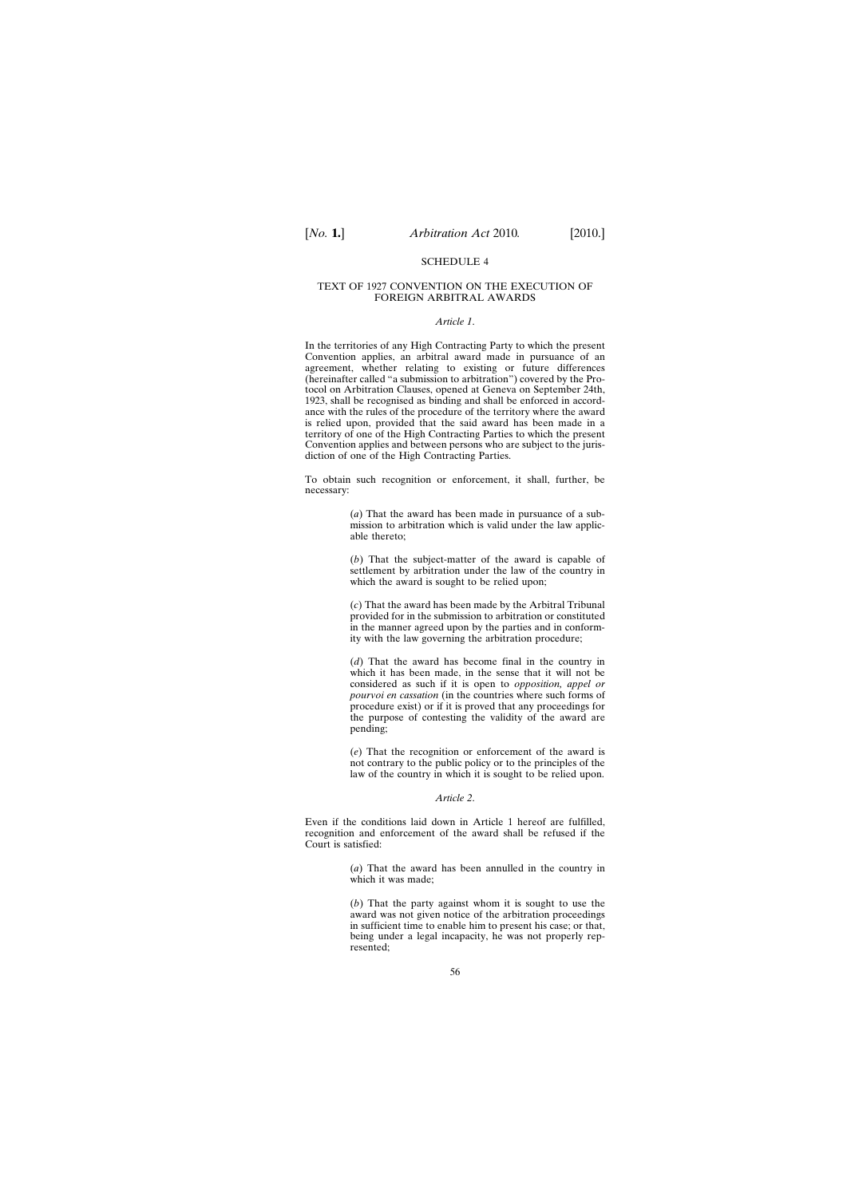## SCHEDULE 4

## <span id="page-55-0"></span>TEXT OF 1927 CONVENTION ON THE EXECUTION OF FOREIGN ARBITRAL AWARDS

## *Article 1*.

In the territories of any High Contracting Party to which the present Convention applies, an arbitral award made in pursuance of an agreement, whether relating to existing or future differences (hereinafter called "a submission to arbitration") covered by the Protocol on Arbitration Clauses, opened at Geneva on September 24th, 1923, shall be recognised as binding and shall be enforced in accordance with the rules of the procedure of the territory where the award is relied upon, provided that the said award has been made in a territory of one of the High Contracting Parties to which the present Convention applies and between persons who are subject to the jurisdiction of one of the High Contracting Parties.

To obtain such recognition or enforcement, it shall, further, be necessary:

> (*a*) That the award has been made in pursuance of a submission to arbitration which is valid under the law applicable thereto;

> (*b*) That the subject-matter of the award is capable of settlement by arbitration under the law of the country in which the award is sought to be relied upon;

> (*c*) That the award has been made by the Arbitral Tribunal provided for in the submission to arbitration or constituted in the manner agreed upon by the parties and in conformity with the law governing the arbitration procedure;

> (*d*) That the award has become final in the country in which it has been made, in the sense that it will not be considered as such if it is open to *opposition, appel or pourvoi en cassation* (in the countries where such forms of procedure exist) or if it is proved that any proceedings for the purpose of contesting the validity of the award are pending;

> (*e*) That the recognition or enforcement of the award is not contrary to the public policy or to the principles of the law of the country in which it is sought to be relied upon.

#### *Article 2*.

Even if the conditions laid down in Article 1 hereof are fulfilled, recognition and enforcement of the award shall be refused if the Court is satisfied:

> (*a*) That the award has been annulled in the country in which it was made;

> (*b*) That the party against whom it is sought to use the award was not given notice of the arbitration proceedings in sufficient time to enable him to present his case; or that, being under a legal incapacity, he was not properly represented;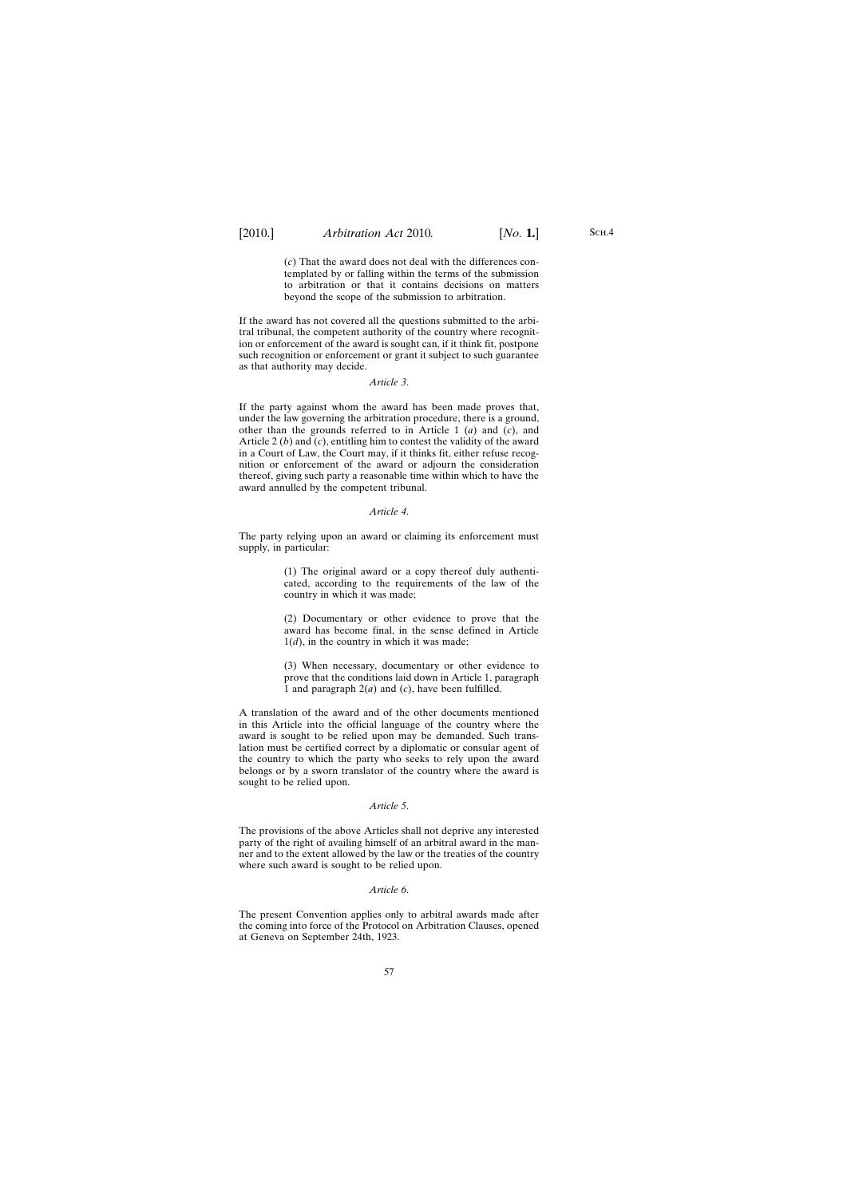(*c*) That the award does not deal with the differences contemplated by or falling within the terms of the submission to arbitration or that it contains decisions on matters beyond the scope of the submission to arbitration.

If the award has not covered all the questions submitted to the arbitral tribunal, the competent authority of the country where recognition or enforcement of the award is sought can, if it think fit, postpone such recognition or enforcement or grant it subject to such guarantee as that authority may decide.

## *Article 3*.

If the party against whom the award has been made proves that, under the law governing the arbitration procedure, there is a ground, other than the grounds referred to in Article 1 (*a*) and (*c*), and Article 2 (*b*) and (*c*), entitling him to contest the validity of the award in a Court of Law, the Court may, if it thinks fit, either refuse recognition or enforcement of the award or adjourn the consideration thereof, giving such party a reasonable time within which to have the award annulled by the competent tribunal.

## *Article 4*.

The party relying upon an award or claiming its enforcement must supply, in particular:

> (1) The original award or a copy thereof duly authenticated, according to the requirements of the law of the country in which it was made;

> (2) Documentary or other evidence to prove that the award has become final, in the sense defined in Article  $1(d)$ , in the country in which it was made;

> (3) When necessary, documentary or other evidence to prove that the conditions laid down in Article 1, paragraph 1 and paragraph 2(*a*) and (*c*), have been fulfilled.

A translation of the award and of the other documents mentioned in this Article into the official language of the country where the award is sought to be relied upon may be demanded. Such translation must be certified correct by a diplomatic or consular agent of the country to which the party who seeks to rely upon the award belongs or by a sworn translator of the country where the award is sought to be relied upon.

## *Article 5*.

The provisions of the above Articles shall not deprive any interested party of the right of availing himself of an arbitral award in the manner and to the extent allowed by the law or the treaties of the country where such award is sought to be relied upon.

#### *Article 6*.

The present Convention applies only to arbitral awards made after the coming into force of the Protocol on Arbitration Clauses, opened at Geneva on September 24th, 1923.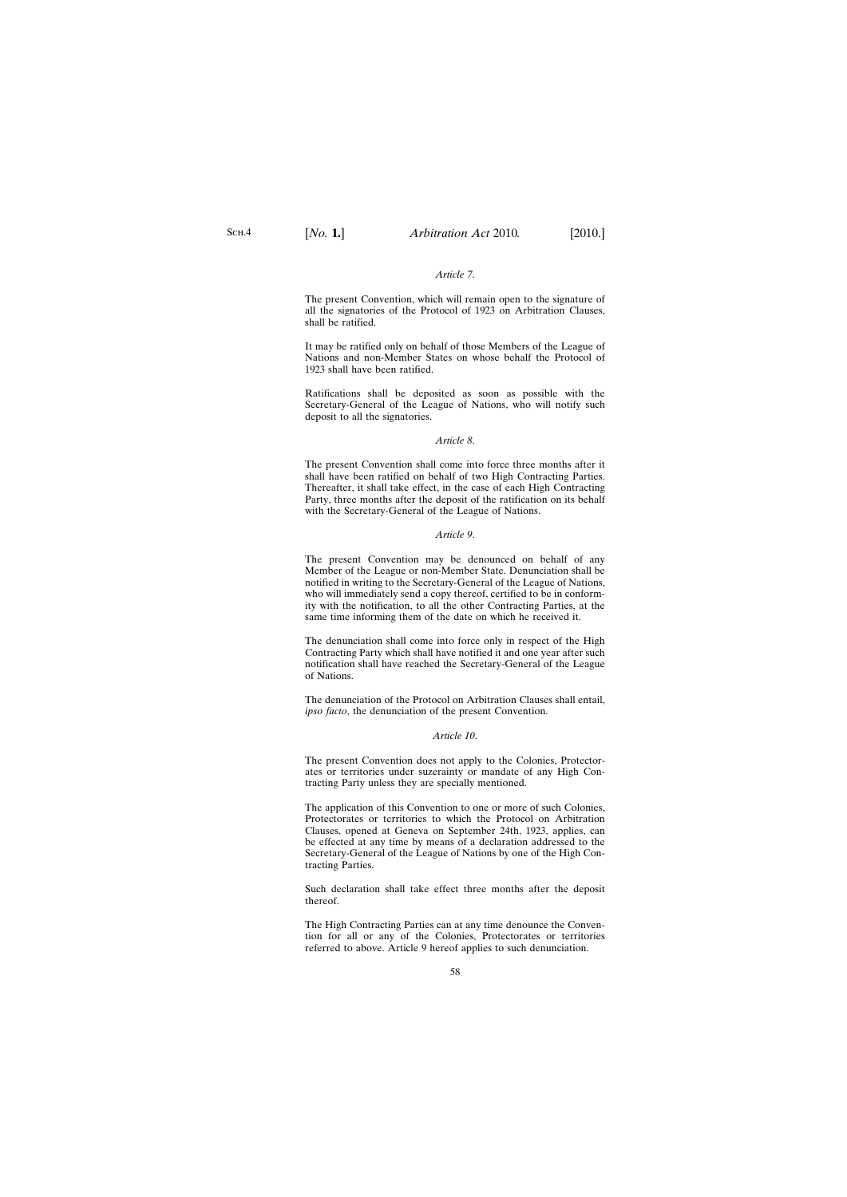## *Article 7*.

The present Convention, which will remain open to the signature of all the signatories of the Protocol of 1923 on Arbitration Clauses, shall be ratified.

It may be ratified only on behalf of those Members of the League of Nations and non-Member States on whose behalf the Protocol of 1923 shall have been ratified.

Ratifications shall be deposited as soon as possible with the Secretary-General of the League of Nations, who will notify such deposit to all the signatories.

## *Article 8*.

The present Convention shall come into force three months after it shall have been ratified on behalf of two High Contracting Parties. Thereafter, it shall take effect, in the case of each High Contracting Party, three months after the deposit of the ratification on its behalf with the Secretary-General of the League of Nations.

## *Article 9*.

The present Convention may be denounced on behalf of any Member of the League or non-Member State. Denunciation shall be notified in writing to the Secretary-General of the League of Nations, who will immediately send a copy thereof, certified to be in conformity with the notification, to all the other Contracting Parties, at the same time informing them of the date on which he received it.

The denunciation shall come into force only in respect of the High Contracting Party which shall have notified it and one year after such notification shall have reached the Secretary-General of the League of Nations.

The denunciation of the Protocol on Arbitration Clauses shall entail, *ipso facto*, the denunciation of the present Convention.

# *Article 10*.

The present Convention does not apply to the Colonies, Protectorates or territories under suzerainty or mandate of any High Contracting Party unless they are specially mentioned.

The application of this Convention to one or more of such Colonies, Protectorates or territories to which the Protocol on Arbitration Clauses, opened at Geneva on September 24th, 1923, applies, can be effected at any time by means of a declaration addressed to the Secretary-General of the League of Nations by one of the High Contracting Parties.

Such declaration shall take effect three months after the deposit thereof.

The High Contracting Parties can at any time denounce the Convention for all or any of the Colonies, Protectorates or territories referred to above. Article 9 hereof applies to such denunciation.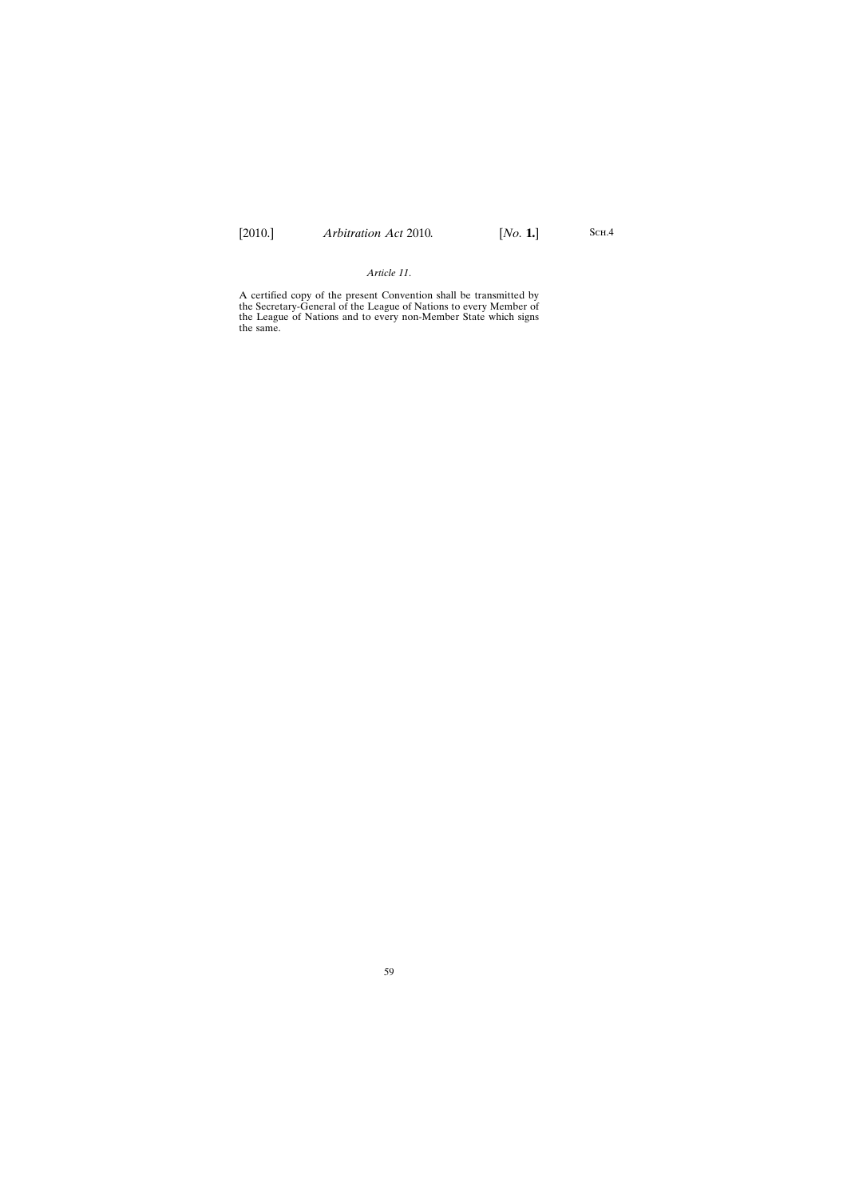A certified copy of the present Convention shall be transmitted by the Secretary-General of the League of Nations to every Member of the League of Nations and to every non-Member State which signs the same.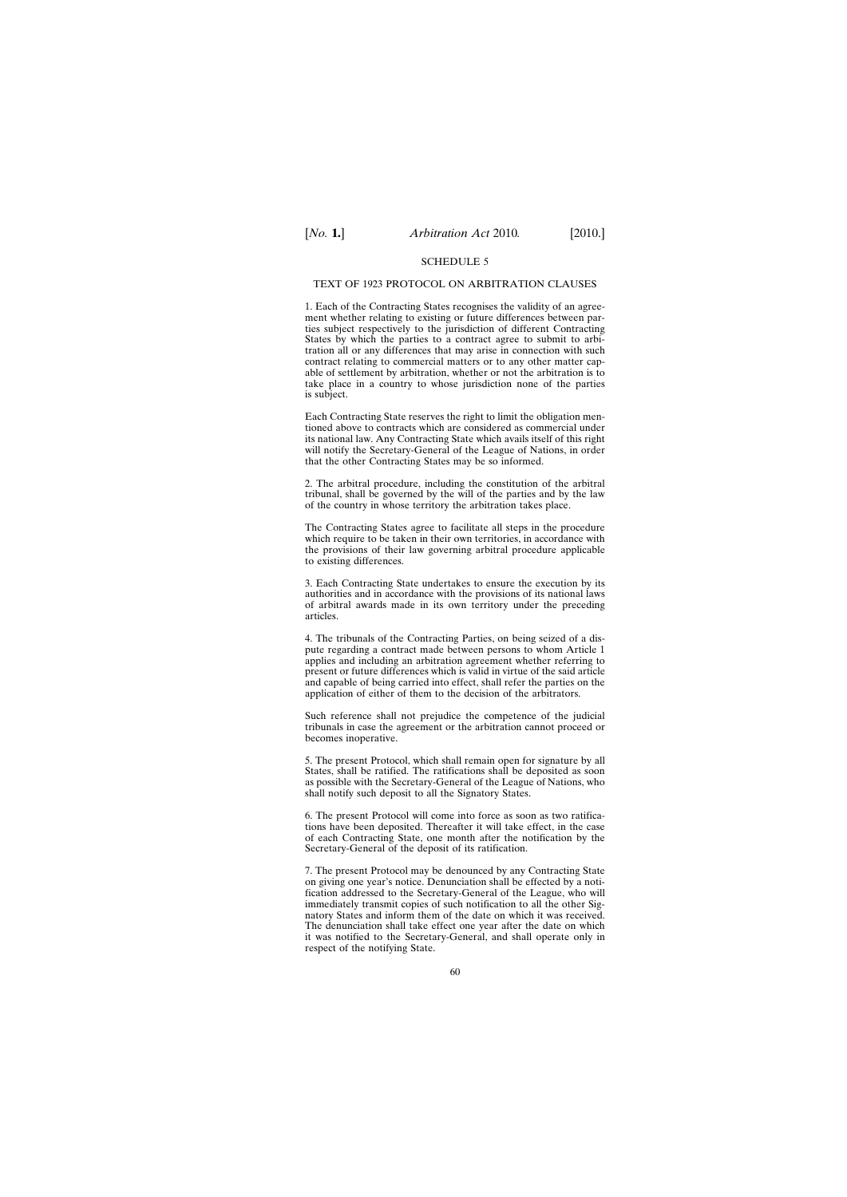## SCHEDULE 5

## <span id="page-59-0"></span>TEXT OF 1923 PROTOCOL ON ARBITRATION CLAUSES

1. Each of the Contracting States recognises the validity of an agreement whether relating to existing or future differences between parties subject respectively to the jurisdiction of different Contracting States by which the parties to a contract agree to submit to arbitration all or any differences that may arise in connection with such contract relating to commercial matters or to any other matter capable of settlement by arbitration, whether or not the arbitration is to take place in a country to whose jurisdiction none of the parties is subject.

Each Contracting State reserves the right to limit the obligation mentioned above to contracts which are considered as commercial under its national law. Any Contracting State which avails itself of this right will notify the Secretary-General of the League of Nations, in order that the other Contracting States may be so informed.

2. The arbitral procedure, including the constitution of the arbitral tribunal, shall be governed by the will of the parties and by the law of the country in whose territory the arbitration takes place.

The Contracting States agree to facilitate all steps in the procedure which require to be taken in their own territories, in accordance with the provisions of their law governing arbitral procedure applicable to existing differences.

3. Each Contracting State undertakes to ensure the execution by its authorities and in accordance with the provisions of its national laws of arbitral awards made in its own territory under the preceding articles.

4. The tribunals of the Contracting Parties, on being seized of a dispute regarding a contract made between persons to whom Article 1 applies and including an arbitration agreement whether referring to present or future differences which is valid in virtue of the said article and capable of being carried into effect, shall refer the parties on the application of either of them to the decision of the arbitrators.

Such reference shall not prejudice the competence of the judicial tribunals in case the agreement or the arbitration cannot proceed or becomes inoperative.

5. The present Protocol, which shall remain open for signature by all States, shall be ratified. The ratifications shall be deposited as soon as possible with the Secretary-General of the League of Nations, who shall notify such deposit to all the Signatory States.

6. The present Protocol will come into force as soon as two ratifications have been deposited. Thereafter it will take effect, in the case of each Contracting State, one month after the notification by the Secretary-General of the deposit of its ratification.

7. The present Protocol may be denounced by any Contracting State on giving one year's notice. Denunciation shall be effected by a notification addressed to the Secretary-General of the League, who will immediately transmit copies of such notification to all the other Signatory States and inform them of the date on which it was received. The denunciation shall take effect one year after the date on which it was notified to the Secretary-General, and shall operate only in respect of the notifying State.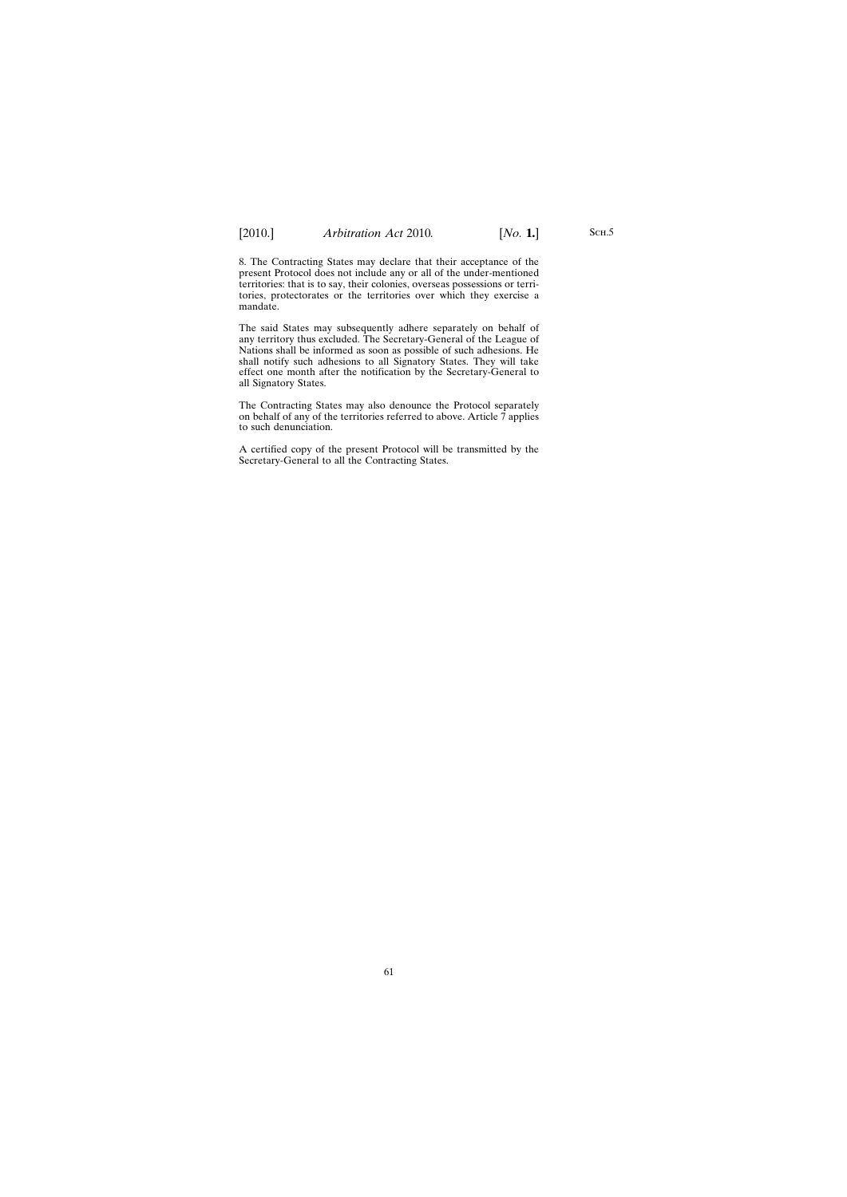8. The Contracting States may declare that their acceptance of the present Protocol does not include any or all of the under-mentioned territories: that is to say, their colonies, overseas possessions or territories, protectorates or the territories over which they exercise a mandate.

The said States may subsequently adhere separately on behalf of any territory thus excluded. The Secretary-General of the League of Nations shall be informed as soon as possible of such adhesions. He shall notify such adhesions to all Signatory States. They will take effect one month after the notification by the Secretary-General to all Signatory States.

The Contracting States may also denounce the Protocol separately on behalf of any of the territories referred to above. Article 7 applies to such denunciation.

A certified copy of the present Protocol will be transmitted by the Secretary-General to all the Contracting States.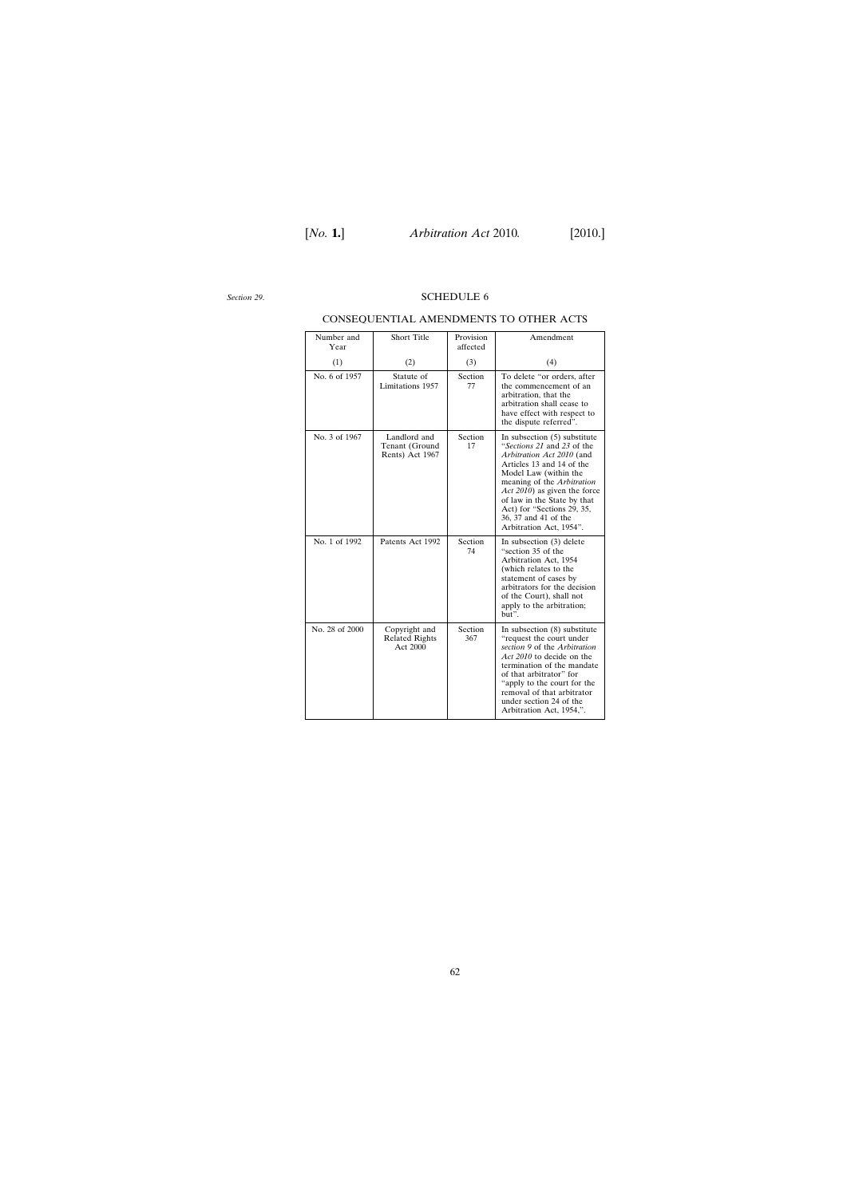<span id="page-61-0"></span>*Section 29*.

# SCHEDULE 6

# CONSEQUENTIAL AMENDMENTS TO OTHER ACTS

| Number and<br>Year | <b>Short Title</b>                                 | Provision<br>affected | Amendment                                                                                                                                                                                                                                                                                                                            |
|--------------------|----------------------------------------------------|-----------------------|--------------------------------------------------------------------------------------------------------------------------------------------------------------------------------------------------------------------------------------------------------------------------------------------------------------------------------------|
| (1)                | (2)                                                | (3)                   | (4)                                                                                                                                                                                                                                                                                                                                  |
| No. 6 of 1957      | Statute of<br>Limitations 1957                     | Section<br>77         | To delete "or orders, after<br>the commencement of an<br>arbitration, that the<br>arbitration shall cease to<br>have effect with respect to<br>the dispute referred".                                                                                                                                                                |
| No. 3 of 1967      | Landlord and<br>Tenant (Ground<br>Rents) Act 1967  | Section<br>17         | In subsection $(5)$ substitute<br>"Sections 21 and 23 of the<br>Arbitration Act 2010 (and<br>Articles 13 and 14 of the<br>Model Law (within the<br>meaning of the <i>Arbitration</i><br>Act 2010) as given the force<br>of law in the State by that<br>Act) for "Sections 29, 35,<br>36, 37 and 41 of the<br>Arbitration Act, 1954". |
| No. 1 of 1992      | Patents Act 1992                                   | Section<br>74         | In subsection (3) delete<br>"section 35 of the<br>Arbitration Act, 1954<br>(which relates to the<br>statement of cases by<br>arbitrators for the decision<br>of the Court), shall not<br>apply to the arbitration;<br>but".                                                                                                          |
| No. 28 of 2000     | Copyright and<br><b>Related Rights</b><br>Act 2000 | Section<br>367        | In subsection (8) substitute<br>"request the court under<br>section 9 of the Arbitration<br>Act 2010 to decide on the<br>termination of the mandate<br>of that arbitrator" for<br>"apply to the court for the<br>removal of that arbitrator<br>under section 24 of the<br>Arbitration Act, 1954,".                                   |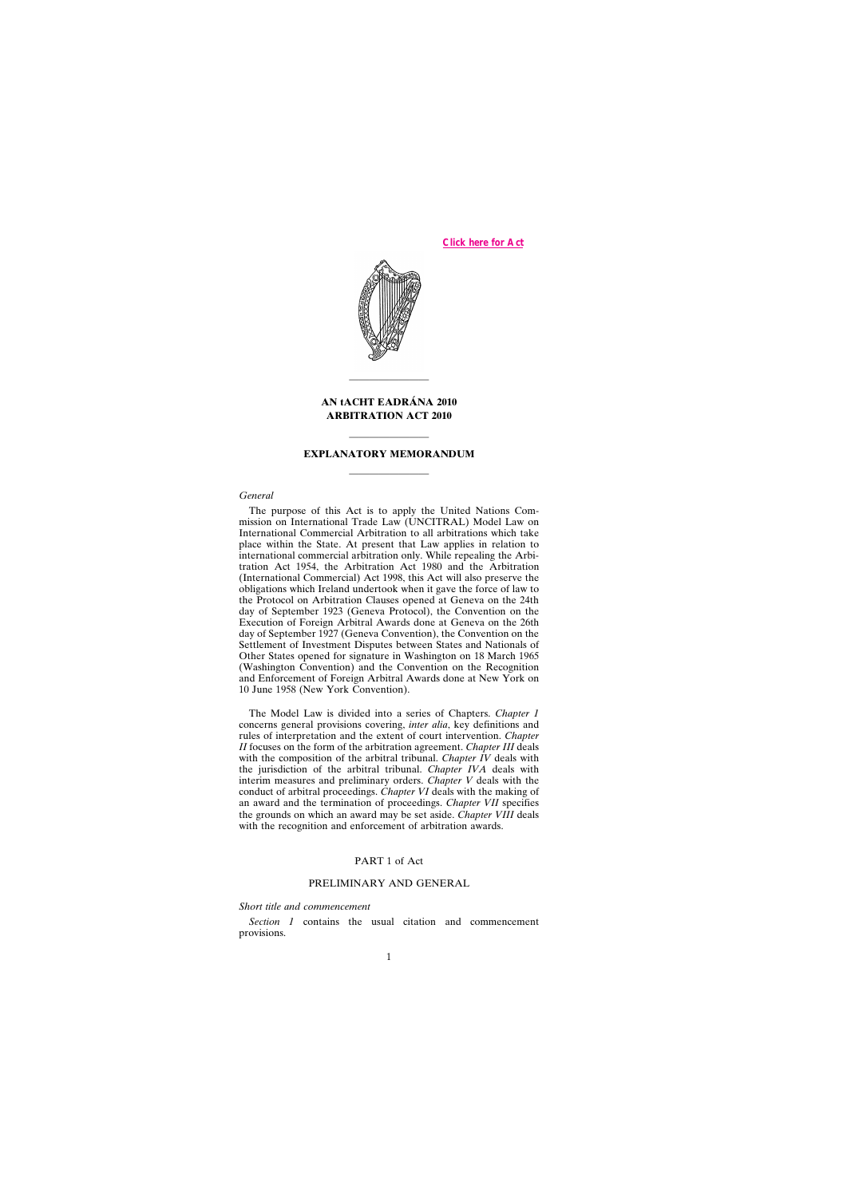**[Click](#page-0-0) here for Act**

<span id="page-62-0"></span>

# **AN tACHT EADRÁNA 2010 ARBITRATION ACT 2010**

————————

# ———————— **EXPLANATORY MEMORANDUM** ————————

## *General*

The purpose of this Act is to apply the United Nations Commission on International Trade Law (UNCITRAL) Model Law on International Commercial Arbitration to all arbitrations which take place within the State. At present that Law applies in relation to international commercial arbitration only. While repealing the Arbitration Act 1954, the Arbitration Act 1980 and the Arbitration (International Commercial) Act 1998, this Act will also preserve the obligations which Ireland undertook when it gave the force of law to the Protocol on Arbitration Clauses opened at Geneva on the 24th day of September 1923 (Geneva Protocol), the Convention on the Execution of Foreign Arbitral Awards done at Geneva on the 26th day of September 1927 (Geneva Convention), the Convention on the Settlement of Investment Disputes between States and Nationals of Other States opened for signature in Washington on 18 March 1965 (Washington Convention) and the Convention on the Recognition and Enforcement of Foreign Arbitral Awards done at New York on 10 June 1958 (New York Convention).

The Model Law is divided into a series of Chapters. *Chapter 1* concerns general provisions covering, *inter alia*, key definitions and rules of interpretation and the extent of court intervention. *Chapter II* focuses on the form of the arbitration agreement. *Chapter III* deals with the composition of the arbitral tribunal. *Chapter IV* deals with the jurisdiction of the arbitral tribunal. *Chapter IVA* deals with interim measures and preliminary orders. *Chapter V* deals with the conduct of arbitral proceedings. *Chapter VI* deals with the making of an award and the termination of proceedings. *Chapter VII* specifies the grounds on which an award may be set aside. *Chapter VIII* deals with the recognition and enforcement of arbitration awards.

## PART 1 of Act

## PRELIMINARY AND GENERAL

#### *Short title and commencement*

*Section 1* contains the usual citation and commencement provisions.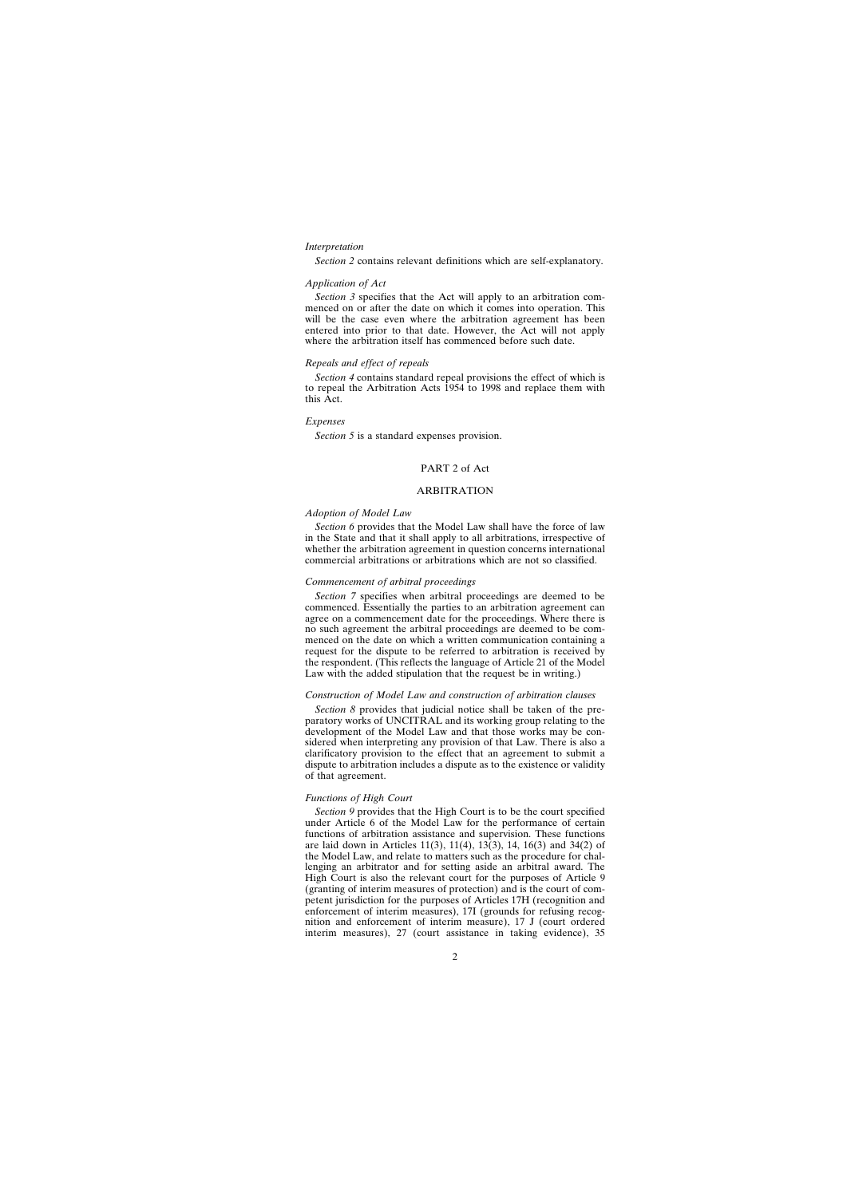#### *Interpretation*

*Section 2* contains relevant definitions which are self-explanatory.

#### *Application of Act*

*Section 3* specifies that the Act will apply to an arbitration commenced on or after the date on which it comes into operation. This will be the case even where the arbitration agreement has been entered into prior to that date. However, the Act will not apply where the arbitration itself has commenced before such date.

#### *Repeals and effect of repeals*

*Section 4* contains standard repeal provisions the effect of which is to repeal the Arbitration Acts 1954 to 1998 and replace them with this Act.

#### *Expenses*

*Section 5* is a standard expenses provision.

# PART 2 of Act

## ARBITRATION

## *Adoption of Model Law*

*Section 6* provides that the Model Law shall have the force of law in the State and that it shall apply to all arbitrations, irrespective of whether the arbitration agreement in question concerns international commercial arbitrations or arbitrations which are not so classified.

#### *Commencement of arbitral proceedings*

*Section 7* specifies when arbitral proceedings are deemed to be commenced. Essentially the parties to an arbitration agreement can agree on a commencement date for the proceedings. Where there is no such agreement the arbitral proceedings are deemed to be commenced on the date on which a written communication containing a request for the dispute to be referred to arbitration is received by the respondent. (This reflects the language of Article 21 of the Model Law with the added stipulation that the request be in writing.)

#### *Construction of Model Law and construction of arbitration clauses*

*Section 8* provides that judicial notice shall be taken of the preparatory works of UNCITRAL and its working group relating to the development of the Model Law and that those works may be considered when interpreting any provision of that Law. There is also a clarificatory provision to the effect that an agreement to submit a dispute to arbitration includes a dispute as to the existence or validity of that agreement.

## *Functions of High Court*

*Section 9* provides that the High Court is to be the court specified under Article 6 of the Model Law for the performance of certain functions of arbitration assistance and supervision. These functions are laid down in Articles 11(3), 11(4), 13(3), 14, 16(3) and 34(2) of the Model Law, and relate to matters such as the procedure for challenging an arbitrator and for setting aside an arbitral award. The High Court is also the relevant court for the purposes of Article 9 (granting of interim measures of protection) and is the court of competent jurisdiction for the purposes of Articles 17H (recognition and enforcement of interim measures), 17I (grounds for refusing recognition and enforcement of interim measure), 17 J (court ordered interim measures), 27 (court assistance in taking evidence), 35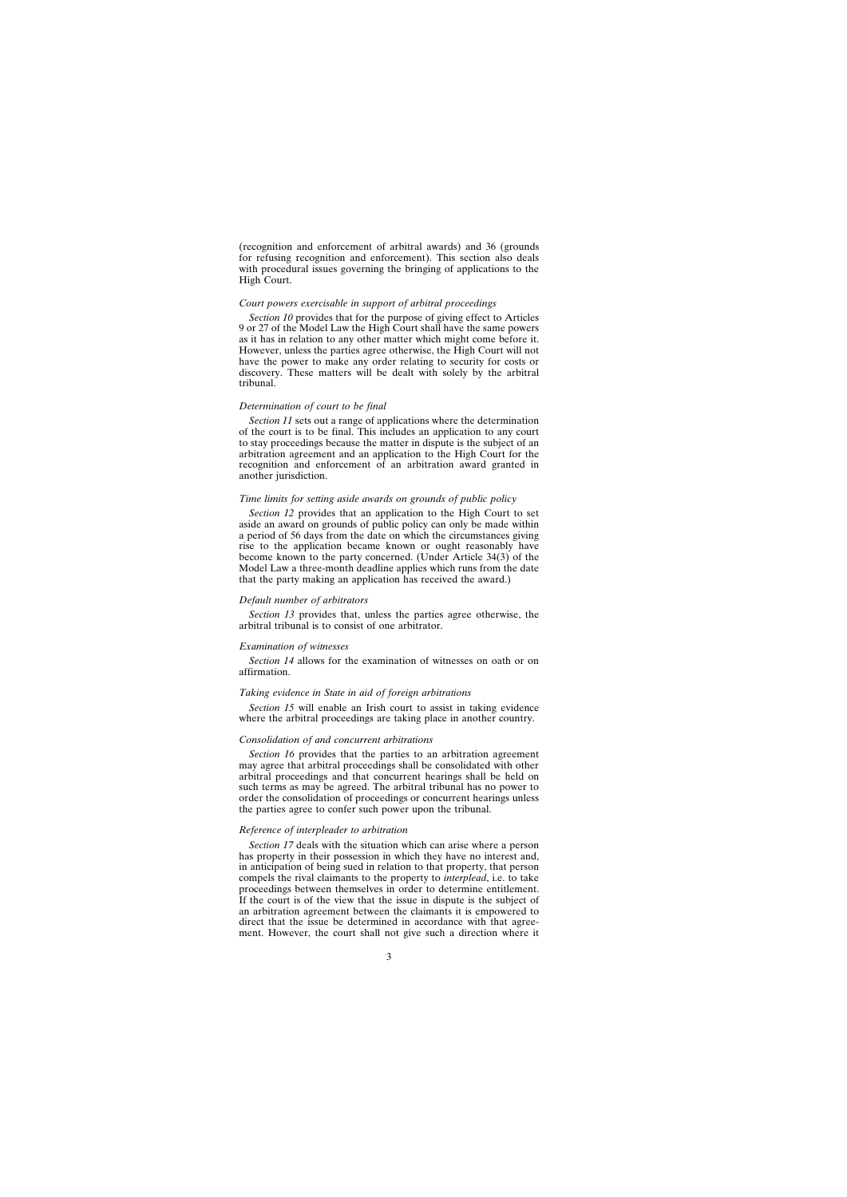(recognition and enforcement of arbitral awards) and 36 (grounds for refusing recognition and enforcement). This section also deals with procedural issues governing the bringing of applications to the High Court.

## *Court powers exercisable in support of arbitral proceedings*

*Section 10* provides that for the purpose of giving effect to Articles 9 or 27 of the Model Law the High Court shall have the same powers as it has in relation to any other matter which might come before it. However, unless the parties agree otherwise, the High Court will not have the power to make any order relating to security for costs or discovery. These matters will be dealt with solely by the arbitral tribunal.

#### *Determination of court to be final*

*Section 11* sets out a range of applications where the determination of the court is to be final. This includes an application to any court to stay proceedings because the matter in dispute is the subject of an arbitration agreement and an application to the High Court for the recognition and enforcement of an arbitration award granted in another jurisdiction.

#### *Time limits for setting aside awards on grounds of public policy*

*Section 12* provides that an application to the High Court to set aside an award on grounds of public policy can only be made within a period of 56 days from the date on which the circumstances giving rise to the application became known or ought reasonably have become known to the party concerned. (Under Article 34(3) of the Model Law a three-month deadline applies which runs from the date that the party making an application has received the award.)

#### *Default number of arbitrators*

*Section 13* provides that, unless the parties agree otherwise, the arbitral tribunal is to consist of one arbitrator.

#### *Examination of witnesses*

*Section 14* allows for the examination of witnesses on oath or on affirmation.

#### *Taking evidence in State in aid of foreign arbitrations*

*Section 15* will enable an Irish court to assist in taking evidence where the arbitral proceedings are taking place in another country.

#### *Consolidation of and concurrent arbitrations*

*Section 16* provides that the parties to an arbitration agreement may agree that arbitral proceedings shall be consolidated with other arbitral proceedings and that concurrent hearings shall be held on such terms as may be agreed. The arbitral tribunal has no power to order the consolidation of proceedings or concurrent hearings unless the parties agree to confer such power upon the tribunal.

#### *Reference of interpleader to arbitration*

*Section 17* deals with the situation which can arise where a person has property in their possession in which they have no interest and, in anticipation of being sued in relation to that property, that person compels the rival claimants to the property to *interplead*, i.e. to take proceedings between themselves in order to determine entitlement. If the court is of the view that the issue in dispute is the subject of an arbitration agreement between the claimants it is empowered to direct that the issue be determined in accordance with that agreement. However, the court shall not give such a direction where it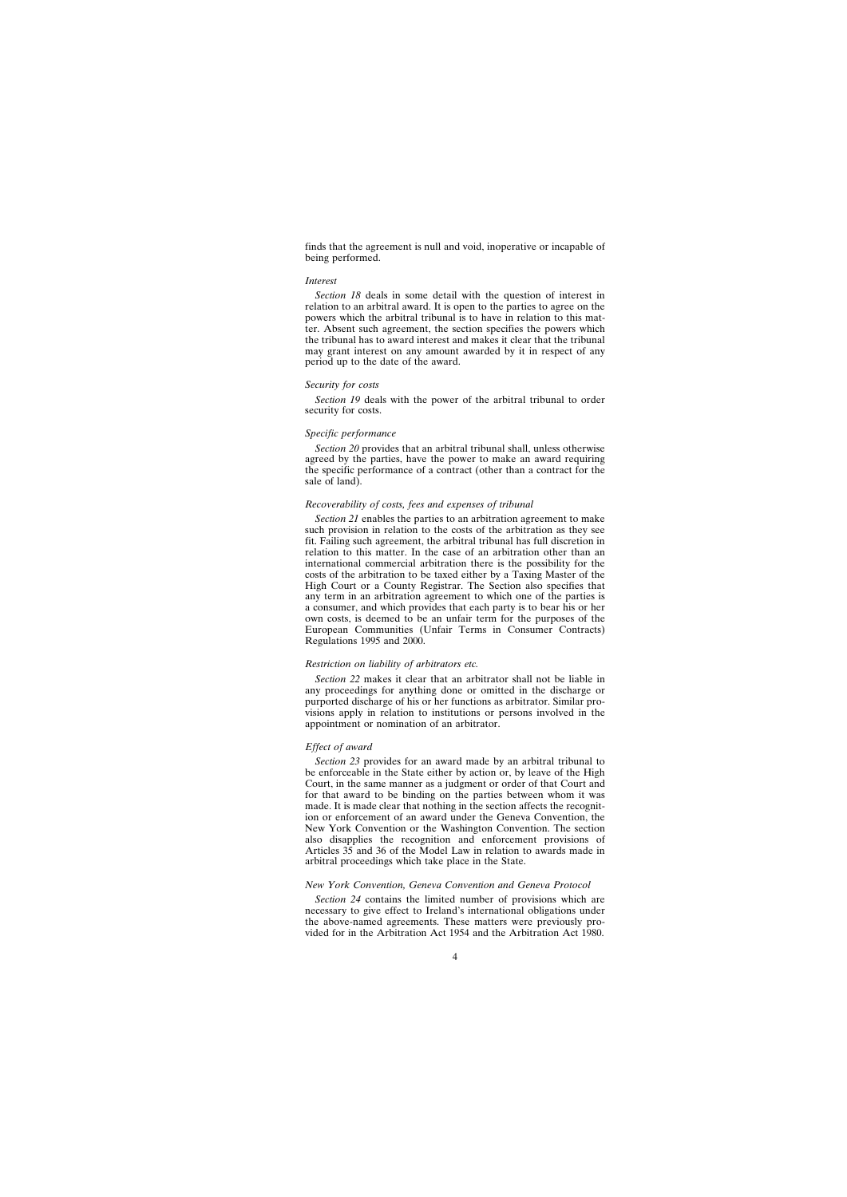finds that the agreement is null and void, inoperative or incapable of being performed.

#### *Interest*

*Section 18* deals in some detail with the question of interest in relation to an arbitral award. It is open to the parties to agree on the powers which the arbitral tribunal is to have in relation to this matter. Absent such agreement, the section specifies the powers which the tribunal has to award interest and makes it clear that the tribunal may grant interest on any amount awarded by it in respect of any period up to the date of the award.

#### *Security for costs*

*Section 19* deals with the power of the arbitral tribunal to order security for costs.

## *Specific performance*

*Section 20* provides that an arbitral tribunal shall, unless otherwise agreed by the parties, have the power to make an award requiring the specific performance of a contract (other than a contract for the sale of land).

## *Recoverability of costs, fees and expenses of tribunal*

*Section 21* enables the parties to an arbitration agreement to make such provision in relation to the costs of the arbitration as they see fit. Failing such agreement, the arbitral tribunal has full discretion in relation to this matter. In the case of an arbitration other than an international commercial arbitration there is the possibility for the costs of the arbitration to be taxed either by a Taxing Master of the High Court or a County Registrar. The Section also specifies that any term in an arbitration agreement to which one of the parties is a consumer, and which provides that each party is to bear his or her own costs, is deemed to be an unfair term for the purposes of the European Communities (Unfair Terms in Consumer Contracts) Regulations 1995 and 2000.

#### *Restriction on liability of arbitrators etc.*

*Section 22* makes it clear that an arbitrator shall not be liable in any proceedings for anything done or omitted in the discharge or purported discharge of his or her functions as arbitrator. Similar provisions apply in relation to institutions or persons involved in the appointment or nomination of an arbitrator.

## *Effect of award*

*Section 23* provides for an award made by an arbitral tribunal to be enforceable in the State either by action or, by leave of the High Court, in the same manner as a judgment or order of that Court and for that award to be binding on the parties between whom it was made. It is made clear that nothing in the section affects the recognition or enforcement of an award under the Geneva Convention, the New York Convention or the Washington Convention. The section also disapplies the recognition and enforcement provisions of Articles 35 and 36 of the Model Law in relation to awards made in arbitral proceedings which take place in the State.

#### *New York Convention, Geneva Convention and Geneva Protocol*

*Section 24* contains the limited number of provisions which are necessary to give effect to Ireland's international obligations under the above-named agreements. These matters were previously provided for in the Arbitration Act 1954 and the Arbitration Act 1980.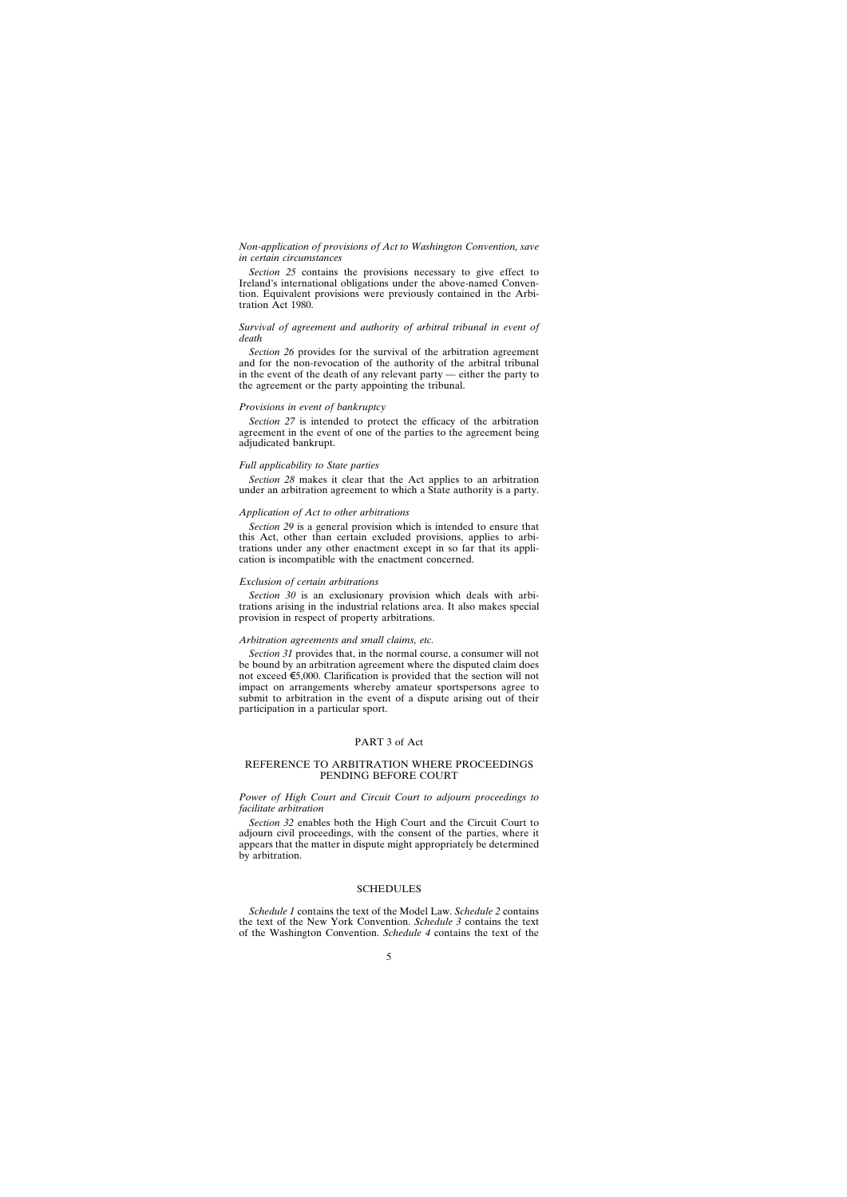## *Non-application of provisions of Act to Washington Convention, save in certain circumstances*

*Section 25* contains the provisions necessary to give effect to Ireland's international obligations under the above-named Convention. Equivalent provisions were previously contained in the Arbitration Act 1980.

## *Survival of agreement and authority of arbitral tribunal in event of death*

*Section 26* provides for the survival of the arbitration agreement and for the non-revocation of the authority of the arbitral tribunal in the event of the death of any relevant party — either the party to the agreement or the party appointing the tribunal.

#### *Provisions in event of bankruptcy*

*Section 27* is intended to protect the efficacy of the arbitration agreement in the event of one of the parties to the agreement being adjudicated bankrupt.

#### *Full applicability to State parties*

*Section 28* makes it clear that the Act applies to an arbitration under an arbitration agreement to which a State authority is a party.

## *Application of Act to other arbitrations*

*Section 29* is a general provision which is intended to ensure that this Act, other than certain excluded provisions, applies to arbitrations under any other enactment except in so far that its application is incompatible with the enactment concerned.

#### *Exclusion of certain arbitrations*

*Section 30* is an exclusionary provision which deals with arbitrations arising in the industrial relations area. It also makes special provision in respect of property arbitrations.

#### *Arbitration agreements and small claims, etc.*

*Section 31* provides that, in the normal course, a consumer will not be bound by an arbitration agreement where the disputed claim does not exceed €5,000. Clarification is provided that the section will not impact on arrangements whereby amateur sportspersons agree to submit to arbitration in the event of a dispute arising out of their participation in a particular sport.

## PART 3 of Act

#### REFERENCE TO ARBITRATION WHERE PROCEEDINGS PENDING BEFORE COURT

#### *Power of High Court and Circuit Court to adjourn proceedings to facilitate arbitration*

*Section 32* enables both the High Court and the Circuit Court to adjourn civil proceedings, with the consent of the parties, where it appears that the matter in dispute might appropriately be determined by arbitration.

## **SCHEDULES**

*Schedule 1* contains the text of the Model Law. *Schedule 2* contains the text of the New York Convention. *Schedule 3* contains the text of the Washington Convention. *Schedule 4* contains the text of the